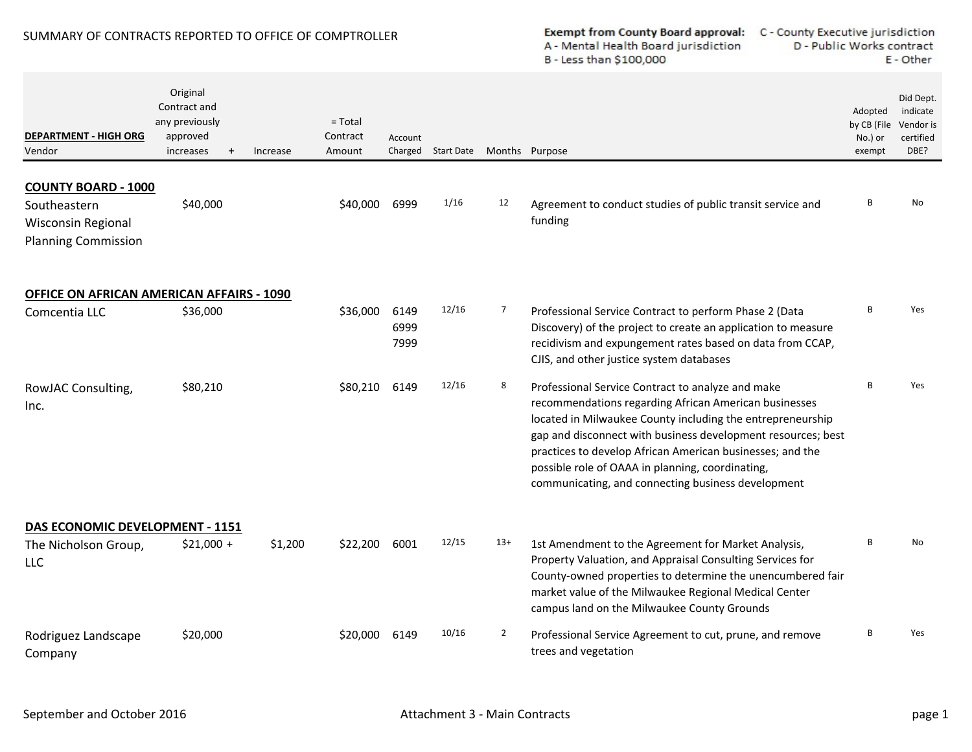## SUMMARY OF CONTRACTS REPORTED TO OFFICE OF COMPTROLLER

## Exempt from County Board approval: C - County Executive jurisdiction A - Mental Health Board jurisdiction B - Less than \$100,000

D - Public Works contract E - Other

| <b>DEPARTMENT - HIGH ORG</b><br>Vendor                                                         | Original<br>Contract and<br>any previously<br>approved<br>increases<br>$\ddot{}$ | Increase | $=$ Total<br>Contract<br>Amount | Account              | Charged Start Date |                | Months Purpose                                                                                                                                                                                                                                                                                                                                                                                                  | Adopted<br>by CB (File<br>No.) or<br>exempt | Did Dept.<br>indicate<br>Vendor is<br>certified<br>DBE? |
|------------------------------------------------------------------------------------------------|----------------------------------------------------------------------------------|----------|---------------------------------|----------------------|--------------------|----------------|-----------------------------------------------------------------------------------------------------------------------------------------------------------------------------------------------------------------------------------------------------------------------------------------------------------------------------------------------------------------------------------------------------------------|---------------------------------------------|---------------------------------------------------------|
| <b>COUNTY BOARD - 1000</b><br>Southeastern<br>Wisconsin Regional<br><b>Planning Commission</b> | \$40,000                                                                         |          | \$40,000                        | 6999                 | 1/16               | 12             | Agreement to conduct studies of public transit service and<br>funding                                                                                                                                                                                                                                                                                                                                           | B                                           | <b>No</b>                                               |
| <b>OFFICE ON AFRICAN AMERICAN AFFAIRS - 1090</b><br>Comcentia LLC                              | \$36,000                                                                         |          | \$36,000                        | 6149<br>6999<br>7999 | 12/16              | $\overline{7}$ | Professional Service Contract to perform Phase 2 (Data<br>Discovery) of the project to create an application to measure<br>recidivism and expungement rates based on data from CCAP,<br>CJIS, and other justice system databases                                                                                                                                                                                | B                                           | Yes                                                     |
| RowJAC Consulting,<br>Inc.                                                                     | \$80,210                                                                         |          | \$80,210                        | 6149                 | 12/16              | 8              | Professional Service Contract to analyze and make<br>recommendations regarding African American businesses<br>located in Milwaukee County including the entrepreneurship<br>gap and disconnect with business development resources; best<br>practices to develop African American businesses; and the<br>possible role of OAAA in planning, coordinating,<br>communicating, and connecting business development | R                                           | Yes                                                     |
| DAS ECONOMIC DEVELOPMENT - 1151                                                                |                                                                                  |          |                                 |                      |                    |                |                                                                                                                                                                                                                                                                                                                                                                                                                 |                                             |                                                         |
| The Nicholson Group,<br><b>LLC</b>                                                             | $$21,000 +$                                                                      | \$1,200  | \$22,200                        | 6001                 | 12/15              | $13+$          | 1st Amendment to the Agreement for Market Analysis,<br>Property Valuation, and Appraisal Consulting Services for<br>County-owned properties to determine the unencumbered fair<br>market value of the Milwaukee Regional Medical Center<br>campus land on the Milwaukee County Grounds                                                                                                                          | B                                           | <b>No</b>                                               |
| Rodriguez Landscape<br>Company                                                                 | \$20,000                                                                         |          | \$20,000                        | 6149                 | 10/16              | $\overline{2}$ | Professional Service Agreement to cut, prune, and remove<br>trees and vegetation                                                                                                                                                                                                                                                                                                                                | B                                           | Yes                                                     |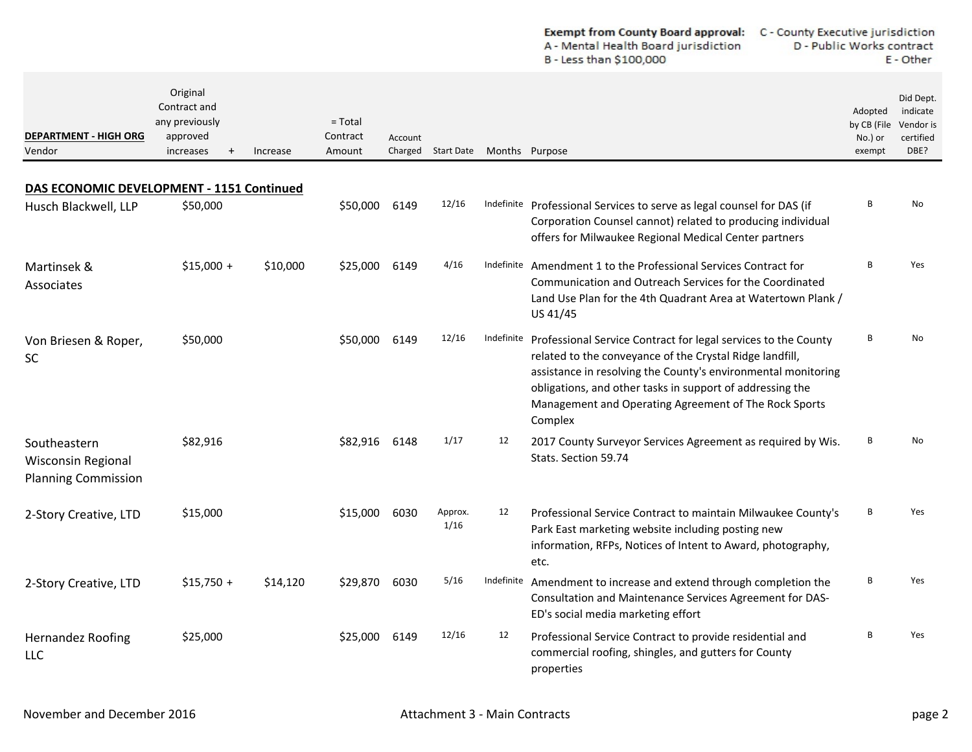| <b>Exempt from County Board approval:</b> | C - County Executive jurisdiction |
|-------------------------------------------|-----------------------------------|
| A - Mental Health Board jurisdiction      | D - Public Works contract         |
| B - Less than \$100,000                   | E - Other                         |

| <b>DEPARTMENT - HIGH ORG</b><br>Vendor                                  | Original<br>Contract and<br>any previously<br>approved<br>increases<br>$\ddot{}$ | Increase | $=$ Total<br>Contract<br>Amount | Account | Charged Start Date Months Purpose |    |                                                                                                                                                                                                                                                                                                                                         | Adopted<br>by CB (File<br>No.) or<br>exempt | Did Dept.<br>indicate<br>Vendor is<br>certified<br>DBE? |
|-------------------------------------------------------------------------|----------------------------------------------------------------------------------|----------|---------------------------------|---------|-----------------------------------|----|-----------------------------------------------------------------------------------------------------------------------------------------------------------------------------------------------------------------------------------------------------------------------------------------------------------------------------------------|---------------------------------------------|---------------------------------------------------------|
| DAS ECONOMIC DEVELOPMENT - 1151 Continued                               |                                                                                  |          |                                 |         |                                   |    |                                                                                                                                                                                                                                                                                                                                         |                                             |                                                         |
| Husch Blackwell, LLP                                                    | \$50,000                                                                         |          | \$50,000                        | 6149    | 12/16                             |    | Indefinite Professional Services to serve as legal counsel for DAS (if<br>Corporation Counsel cannot) related to producing individual<br>offers for Milwaukee Regional Medical Center partners                                                                                                                                          | <b>B</b>                                    | No                                                      |
| Martinsek &<br>Associates                                               | $$15,000 +$                                                                      | \$10,000 | \$25,000                        | 6149    | 4/16                              |    | Indefinite Amendment 1 to the Professional Services Contract for<br>Communication and Outreach Services for the Coordinated<br>Land Use Plan for the 4th Quadrant Area at Watertown Plank /<br>US 41/45                                                                                                                                 | B                                           | Yes                                                     |
| Von Briesen & Roper,<br><b>SC</b>                                       | \$50,000                                                                         |          | \$50,000                        | 6149    | 12/16                             |    | Indefinite Professional Service Contract for legal services to the County<br>related to the conveyance of the Crystal Ridge landfill,<br>assistance in resolving the County's environmental monitoring<br>obligations, and other tasks in support of addressing the<br>Management and Operating Agreement of The Rock Sports<br>Complex | <b>B</b>                                    | N <sub>0</sub>                                          |
| Southeastern<br><b>Wisconsin Regional</b><br><b>Planning Commission</b> | \$82,916                                                                         |          | \$82,916                        | 6148    | 1/17                              | 12 | 2017 County Surveyor Services Agreement as required by Wis.<br>Stats. Section 59.74                                                                                                                                                                                                                                                     | B                                           | No                                                      |
| 2-Story Creative, LTD                                                   | \$15,000                                                                         |          | \$15,000                        | 6030    | Approx.<br>1/16                   | 12 | Professional Service Contract to maintain Milwaukee County's<br>Park East marketing website including posting new<br>information, RFPs, Notices of Intent to Award, photography,<br>etc.                                                                                                                                                | <b>B</b>                                    | Yes                                                     |
| 2-Story Creative, LTD                                                   | $$15,750 +$                                                                      | \$14,120 | \$29.870                        | 6030    | 5/16                              |    | Indefinite Amendment to increase and extend through completion the<br>Consultation and Maintenance Services Agreement for DAS-<br>ED's social media marketing effort                                                                                                                                                                    | <b>B</b>                                    | Yes                                                     |
| <b>Hernandez Roofing</b><br><b>LLC</b>                                  | \$25,000                                                                         |          | \$25,000                        | 6149    | 12/16                             | 12 | Professional Service Contract to provide residential and<br>commercial roofing, shingles, and gutters for County<br>properties                                                                                                                                                                                                          | <b>B</b>                                    | Yes                                                     |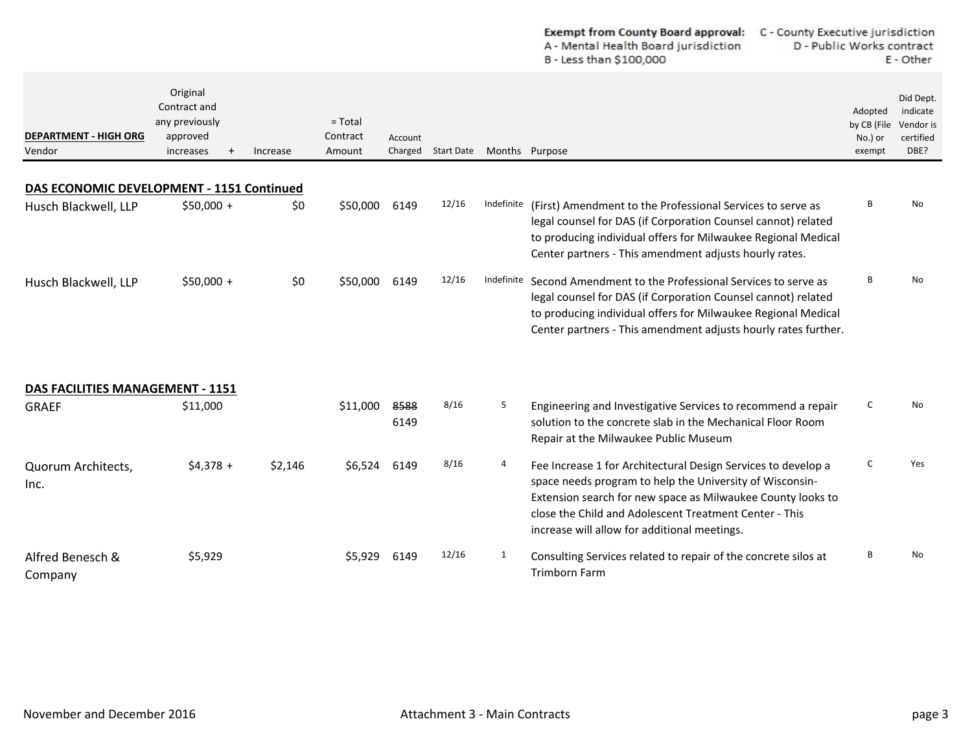|                                           |                                                                                  |          |                                 |                    |                   |                | <b>Exempt from County Board approval:</b><br>A - Mental Health Board jurisdiction<br>B - Less than \$100,000                                                                                                                                                                                       | C - County Executive jurisdiction<br>D - Public Works contract<br>E - Other |                                             |                                                         |  |
|-------------------------------------------|----------------------------------------------------------------------------------|----------|---------------------------------|--------------------|-------------------|----------------|----------------------------------------------------------------------------------------------------------------------------------------------------------------------------------------------------------------------------------------------------------------------------------------------------|-----------------------------------------------------------------------------|---------------------------------------------|---------------------------------------------------------|--|
| <b>DEPARTMENT - HIGH ORG</b><br>Vendor    | Original<br>Contract and<br>any previously<br>approved<br>increases<br>$\ddot{}$ | Increase | $=$ Total<br>Contract<br>Amount | Account<br>Charged | <b>Start Date</b> | Months Purpose |                                                                                                                                                                                                                                                                                                    |                                                                             | Adopted<br>by CB (File<br>No.) or<br>exempt | Did Dept.<br>indicate<br>Vendor is<br>certified<br>DBE? |  |
| DAS ECONOMIC DEVELOPMENT - 1151 Continued |                                                                                  |          |                                 |                    |                   |                |                                                                                                                                                                                                                                                                                                    |                                                                             |                                             |                                                         |  |
| Husch Blackwell, LLP                      | $$50,000 +$                                                                      | \$0      | \$50,000                        | 6149               | 12/16             | Indefinite     | (First) Amendment to the Professional Services to serve as<br>legal counsel for DAS (if Corporation Counsel cannot) related<br>to producing individual offers for Milwaukee Regional Medical<br>Center partners - This amendment adjusts hourly rates.                                             |                                                                             | B                                           | No                                                      |  |
| Husch Blackwell, LLP                      | $$50,000 +$                                                                      | \$0      | \$50,000                        | 6149               | 12/16             | Indefinite     | Second Amendment to the Professional Services to serve as<br>legal counsel for DAS (if Corporation Counsel cannot) related<br>to producing individual offers for Milwaukee Regional Medical<br>Center partners - This amendment adjusts hourly rates further.                                      |                                                                             | R                                           | No                                                      |  |
| <b>DAS FACILITIES MANAGEMENT - 1151</b>   |                                                                                  |          |                                 |                    |                   |                |                                                                                                                                                                                                                                                                                                    |                                                                             |                                             |                                                         |  |
| <b>GRAEF</b>                              | \$11,000                                                                         |          | \$11,000                        | 8588<br>6149       | 8/16              | 5              | Engineering and Investigative Services to recommend a repair<br>solution to the concrete slab in the Mechanical Floor Room<br>Repair at the Milwaukee Public Museum                                                                                                                                |                                                                             | C                                           | <b>No</b>                                               |  |
| Quorum Architects,<br>Inc.                | $$4,378 +$                                                                       | \$2,146  | \$6,524                         | 6149               | 8/16              | 4              | Fee Increase 1 for Architectural Design Services to develop a<br>space needs program to help the University of Wisconsin-<br>Extension search for new space as Milwaukee County looks to<br>close the Child and Adolescent Treatment Center - This<br>increase will allow for additional meetings. |                                                                             | C                                           | Yes                                                     |  |
| Alfred Benesch &<br>Company               | \$5,929                                                                          |          | \$5,929                         | 6149               | 12/16             | 1              | Consulting Services related to repair of the concrete silos at<br><b>Trimborn Farm</b>                                                                                                                                                                                                             |                                                                             | B                                           | No                                                      |  |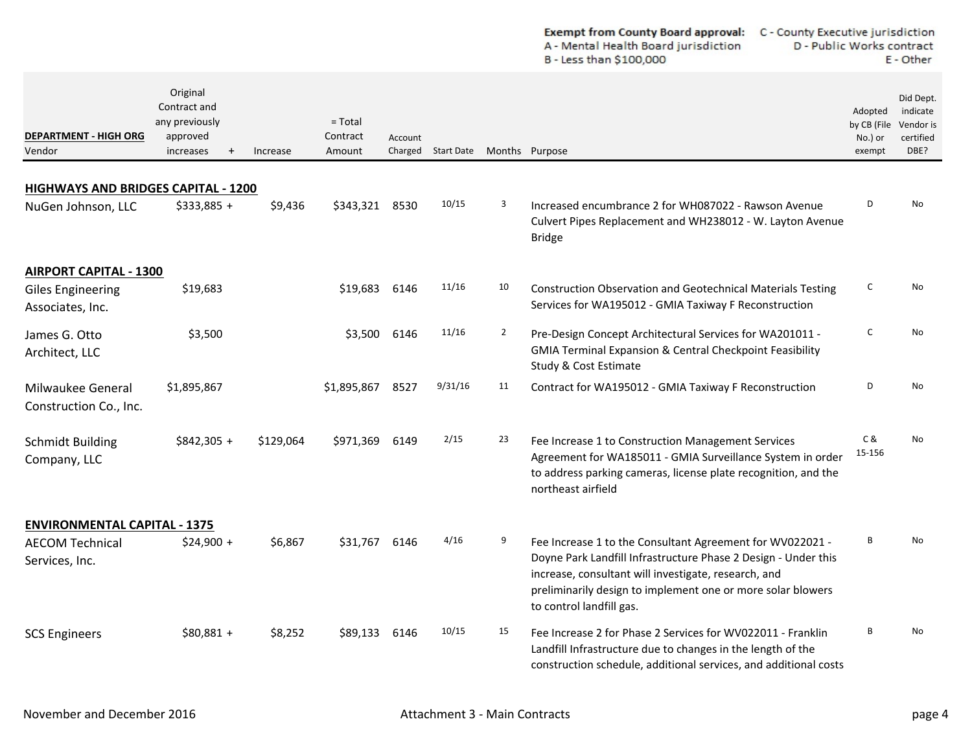|                                                                  |                                                                                  |           |                                 |         |                    |                | <b>Exempt from County Board approval:</b><br>C - County Executive jurisdiction<br>A - Mental Health Board jurisdiction<br>D - Public Works contract<br>B - Less than \$100,000                                                                                                 |                                             | E - Other                                               |
|------------------------------------------------------------------|----------------------------------------------------------------------------------|-----------|---------------------------------|---------|--------------------|----------------|--------------------------------------------------------------------------------------------------------------------------------------------------------------------------------------------------------------------------------------------------------------------------------|---------------------------------------------|---------------------------------------------------------|
| <b>DEPARTMENT - HIGH ORG</b><br>Vendor                           | Original<br>Contract and<br>any previously<br>approved<br>increases<br>$\ddot{}$ | Increase  | $=$ Total<br>Contract<br>Amount | Account | Charged Start Date | Months Purpose |                                                                                                                                                                                                                                                                                | Adopted<br>by CB (File<br>No.) or<br>exempt | Did Dept.<br>indicate<br>Vendor is<br>certified<br>DBE? |
|                                                                  |                                                                                  |           |                                 |         |                    |                |                                                                                                                                                                                                                                                                                |                                             |                                                         |
| <b>HIGHWAYS AND BRIDGES CAPITAL - 1200</b><br>NuGen Johnson, LLC | $$333,885 +$                                                                     | \$9,436   | \$343,321                       | 8530    | 10/15              | 3              | Increased encumbrance 2 for WH087022 - Rawson Avenue<br>Culvert Pipes Replacement and WH238012 - W. Layton Avenue<br><b>Bridge</b>                                                                                                                                             | D                                           | No                                                      |
| <b>AIRPORT CAPITAL - 1300</b>                                    |                                                                                  |           |                                 |         |                    |                |                                                                                                                                                                                                                                                                                |                                             |                                                         |
| <b>Giles Engineering</b><br>Associates, Inc.                     | \$19,683                                                                         |           | \$19,683                        | 6146    | 11/16              | 10             | <b>Construction Observation and Geotechnical Materials Testing</b><br>Services for WA195012 - GMIA Taxiway F Reconstruction                                                                                                                                                    | C                                           | No                                                      |
| James G. Otto<br>Architect, LLC                                  | \$3,500                                                                          |           | \$3,500                         | 6146    | 11/16              | $\overline{2}$ | Pre-Design Concept Architectural Services for WA201011 -<br><b>GMIA Terminal Expansion &amp; Central Checkpoint Feasibility</b><br>Study & Cost Estimate                                                                                                                       | C                                           | No                                                      |
| Milwaukee General<br>Construction Co., Inc.                      | \$1,895,867                                                                      |           | \$1,895,867                     | 8527    | 9/31/16            | 11             | Contract for WA195012 - GMIA Taxiway F Reconstruction                                                                                                                                                                                                                          | D                                           | No                                                      |
| <b>Schmidt Building</b><br>Company, LLC                          | $$842,305 +$                                                                     | \$129,064 | \$971,369                       | 6149    | 2/15               | 23             | Fee Increase 1 to Construction Management Services<br>Agreement for WA185011 - GMIA Surveillance System in order<br>to address parking cameras, license plate recognition, and the<br>northeast airfield                                                                       | C&<br>15-156                                | No                                                      |
| <b>ENVIRONMENTAL CAPITAL - 1375</b>                              |                                                                                  |           |                                 |         |                    |                |                                                                                                                                                                                                                                                                                |                                             |                                                         |
| <b>AECOM Technical</b><br>Services, Inc.                         | $$24,900 +$                                                                      | \$6,867   | \$31,767                        | 6146    | 4/16               | 9              | Fee Increase 1 to the Consultant Agreement for WV022021 -<br>Doyne Park Landfill Infrastructure Phase 2 Design - Under this<br>increase, consultant will investigate, research, and<br>preliminarily design to implement one or more solar blowers<br>to control landfill gas. | В                                           | No                                                      |
| <b>SCS Engineers</b>                                             | $$80,881 +$                                                                      | \$8,252   | \$89,133 6146                   |         | 10/15              | 15             | Fee Increase 2 for Phase 2 Services for WV022011 - Franklin<br>Landfill Infrastructure due to changes in the length of the<br>construction schedule, additional services, and additional costs                                                                                 | В                                           | No                                                      |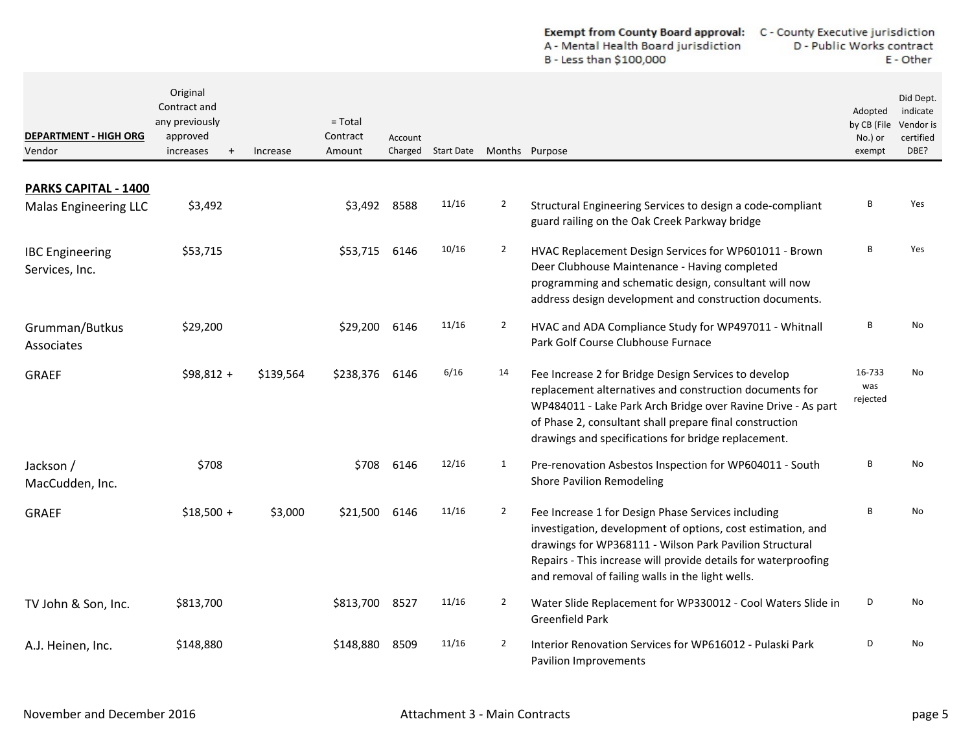| <b>Exempt from County Board approval:</b> | C - County Executive jurisdiction |
|-------------------------------------------|-----------------------------------|
| A - Mental Health Board jurisdiction      | D - Public Works contract         |
| B - Less than \$100,000                   | E - Other                         |

| <b>DEPARTMENT - HIGH ORG</b><br>Vendor               | Original<br>Contract and<br>any previously<br>approved<br>increases<br>$^{+}$ | Increase  | $=$ Total<br>Contract<br>Amount | Account | Charged Start Date |                | Months Purpose                                                                                                                                                                                                                                                                                     | Adopted<br>by CB (File<br>No.) or<br>exempt | Did Dept.<br>indicate<br>Vendor is<br>certified<br>DBE? |
|------------------------------------------------------|-------------------------------------------------------------------------------|-----------|---------------------------------|---------|--------------------|----------------|----------------------------------------------------------------------------------------------------------------------------------------------------------------------------------------------------------------------------------------------------------------------------------------------------|---------------------------------------------|---------------------------------------------------------|
|                                                      |                                                                               |           |                                 |         |                    |                |                                                                                                                                                                                                                                                                                                    |                                             |                                                         |
| PARKS CAPITAL - 1400<br><b>Malas Engineering LLC</b> | \$3,492                                                                       |           | \$3,492                         | 8588    | 11/16              | $\overline{2}$ | Structural Engineering Services to design a code-compliant<br>guard railing on the Oak Creek Parkway bridge                                                                                                                                                                                        | R                                           | Yes                                                     |
| <b>IBC</b> Engineering<br>Services, Inc.             | \$53,715                                                                      |           | \$53,715                        | 6146    | 10/16              | $\overline{2}$ | HVAC Replacement Design Services for WP601011 - Brown<br>Deer Clubhouse Maintenance - Having completed<br>programming and schematic design, consultant will now<br>address design development and construction documents.                                                                          | B                                           | Yes                                                     |
| Grumman/Butkus<br>Associates                         | \$29,200                                                                      |           | \$29,200                        | 6146    | 11/16              | $\mathbf{2}$   | HVAC and ADA Compliance Study for WP497011 - Whitnall<br>Park Golf Course Clubhouse Furnace                                                                                                                                                                                                        | В                                           | No                                                      |
| <b>GRAEF</b>                                         | $$98,812 +$                                                                   | \$139,564 | \$238,376                       | 6146    | 6/16               | 14             | Fee Increase 2 for Bridge Design Services to develop<br>replacement alternatives and construction documents for<br>WP484011 - Lake Park Arch Bridge over Ravine Drive - As part<br>of Phase 2, consultant shall prepare final construction<br>drawings and specifications for bridge replacement.  | 16-733<br>was<br>rejected                   | No                                                      |
| Jackson /<br>MacCudden, Inc.                         | \$708                                                                         |           | \$708                           | 6146    | 12/16              | 1              | Pre-renovation Asbestos Inspection for WP604011 - South<br><b>Shore Pavilion Remodeling</b>                                                                                                                                                                                                        | B                                           | <b>No</b>                                               |
| <b>GRAEF</b>                                         | $$18,500 +$                                                                   | \$3,000   | \$21,500                        | 6146    | 11/16              | $\overline{2}$ | Fee Increase 1 for Design Phase Services including<br>investigation, development of options, cost estimation, and<br>drawings for WP368111 - Wilson Park Pavilion Structural<br>Repairs - This increase will provide details for waterproofing<br>and removal of failing walls in the light wells. | <sub>R</sub>                                | No                                                      |
| TV John & Son, Inc.                                  | \$813,700                                                                     |           | \$813,700                       | 8527    | 11/16              | $\overline{2}$ | Water Slide Replacement for WP330012 - Cool Waters Slide in<br><b>Greenfield Park</b>                                                                                                                                                                                                              | D                                           | No                                                      |
| A.J. Heinen, Inc.                                    | \$148,880                                                                     |           | \$148,880                       | 8509    | 11/16              | $\overline{2}$ | Interior Renovation Services for WP616012 - Pulaski Park<br>Pavilion Improvements                                                                                                                                                                                                                  | D                                           | No                                                      |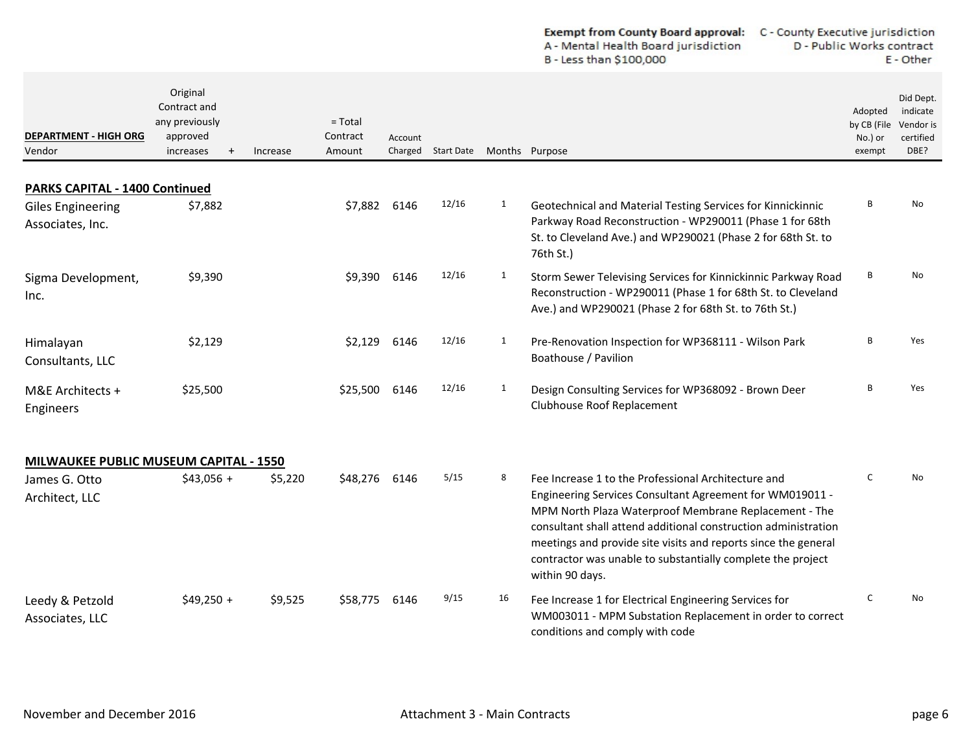|                                              |                                                                                  |          |                                 |                    |                   |              | A - Mental Health Board jurisdiction<br>B - Less than \$100,000                                                                                                                                                                                                                                                                                                                                | D - Public Works contract<br>E - Other      |                                                         |
|----------------------------------------------|----------------------------------------------------------------------------------|----------|---------------------------------|--------------------|-------------------|--------------|------------------------------------------------------------------------------------------------------------------------------------------------------------------------------------------------------------------------------------------------------------------------------------------------------------------------------------------------------------------------------------------------|---------------------------------------------|---------------------------------------------------------|
| <b>DEPARTMENT - HIGH ORG</b><br>Vendor       | Original<br>Contract and<br>any previously<br>approved<br>increases<br>$\ddot{}$ | Increase | $=$ Total<br>Contract<br>Amount | Account<br>Charged | <b>Start Date</b> |              | Months Purpose                                                                                                                                                                                                                                                                                                                                                                                 | Adopted<br>by CB (File<br>No.) or<br>exempt | Did Dept.<br>indicate<br>Vendor is<br>certified<br>DBE? |
| <b>PARKS CAPITAL - 1400 Continued</b>        |                                                                                  |          |                                 |                    |                   |              |                                                                                                                                                                                                                                                                                                                                                                                                |                                             |                                                         |
| <b>Giles Engineering</b><br>Associates, Inc. | \$7,882                                                                          |          | \$7,882                         | 6146               | 12/16             | $\mathbf{1}$ | Geotechnical and Material Testing Services for Kinnickinnic<br>Parkway Road Reconstruction - WP290011 (Phase 1 for 68th<br>St. to Cleveland Ave.) and WP290021 (Phase 2 for 68th St. to<br>76th St.)                                                                                                                                                                                           | В                                           | No                                                      |
| Sigma Development,<br>Inc.                   | \$9,390                                                                          |          | \$9,390                         | 6146               | 12/16             | $\mathbf{1}$ | Storm Sewer Televising Services for Kinnickinnic Parkway Road<br>Reconstruction - WP290011 (Phase 1 for 68th St. to Cleveland<br>Ave.) and WP290021 (Phase 2 for 68th St. to 76th St.)                                                                                                                                                                                                         | B                                           | No                                                      |
| Himalayan<br>Consultants, LLC                | \$2,129                                                                          |          | \$2,129                         | 6146               | 12/16             | 1            | Pre-Renovation Inspection for WP368111 - Wilson Park<br>Boathouse / Pavilion                                                                                                                                                                                                                                                                                                                   | В                                           | Yes                                                     |
| M&E Architects +<br>Engineers                | \$25,500                                                                         |          | \$25,500                        | 6146               | 12/16             | 1            | Design Consulting Services for WP368092 - Brown Deer<br>Clubhouse Roof Replacement                                                                                                                                                                                                                                                                                                             | В                                           | Yes                                                     |
| MILWAUKEE PUBLIC MUSEUM CAPITAL - 1550       |                                                                                  |          |                                 |                    |                   |              |                                                                                                                                                                                                                                                                                                                                                                                                |                                             |                                                         |
| James G. Otto<br>Architect, LLC              | $$43,056 +$                                                                      | \$5,220  | \$48,276                        | 6146               | 5/15              | 8            | Fee Increase 1 to the Professional Architecture and<br>Engineering Services Consultant Agreement for WM019011 -<br>MPM North Plaza Waterproof Membrane Replacement - The<br>consultant shall attend additional construction administration<br>meetings and provide site visits and reports since the general<br>contractor was unable to substantially complete the project<br>within 90 days. | C                                           | <b>No</b>                                               |
| Leedy & Petzold<br>Associates, LLC           | $$49,250 +$                                                                      | \$9,525  | \$58,775                        | 6146               | 9/15              | 16           | Fee Increase 1 for Electrical Engineering Services for<br>WM003011 - MPM Substation Replacement in order to correct<br>conditions and comply with code                                                                                                                                                                                                                                         | $\mathsf{C}$                                | <b>No</b>                                               |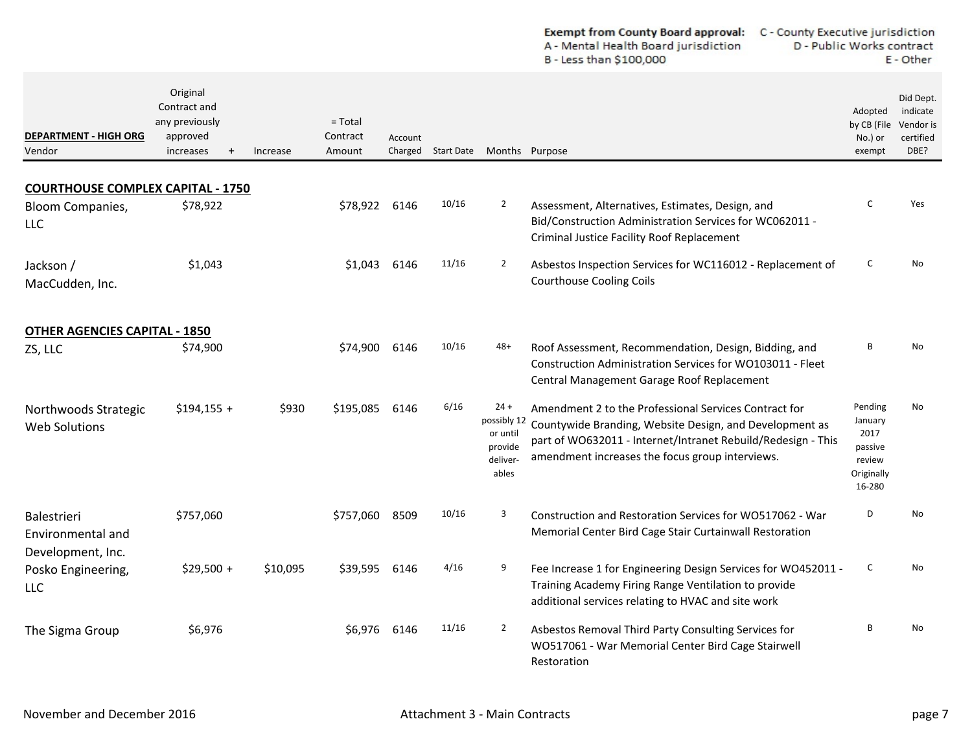| <b>Exempt from County Board approval:</b> | C - County Executive jurisdiction |
|-------------------------------------------|-----------------------------------|
| A - Mental Health Board jurisdiction      | D - Public Works contract         |
| B - Less than \$100,000                   | E - Other                         |

| <b>DEPARTMENT - HIGH ORG</b><br>Vendor                                            | Original<br>Contract and<br>any previously<br>approved<br>increases<br>$+$ | Increase | $=$ Total<br>Contract<br>Amount | Account<br>Charged | <b>Start Date</b> |                                                                   | Months Purpose                                                                                                                                                                                                                      | Adopted<br>by CB (File<br>No.) or<br>exempt                             | Did Dept.<br>indicate<br>Vendor is<br>certified<br>DBE? |
|-----------------------------------------------------------------------------------|----------------------------------------------------------------------------|----------|---------------------------------|--------------------|-------------------|-------------------------------------------------------------------|-------------------------------------------------------------------------------------------------------------------------------------------------------------------------------------------------------------------------------------|-------------------------------------------------------------------------|---------------------------------------------------------|
|                                                                                   |                                                                            |          |                                 |                    |                   |                                                                   |                                                                                                                                                                                                                                     |                                                                         |                                                         |
| <b>COURTHOUSE COMPLEX CAPITAL - 1750</b><br><b>Bloom Companies,</b><br><b>LLC</b> | \$78,922                                                                   |          | \$78.922                        | 6146               | 10/16             | $\overline{2}$                                                    | Assessment, Alternatives, Estimates, Design, and<br>Bid/Construction Administration Services for WC062011 -<br><b>Criminal Justice Facility Roof Replacement</b>                                                                    | $\epsilon$                                                              | Yes                                                     |
| Jackson /<br>MacCudden, Inc.                                                      | \$1,043                                                                    |          | \$1,043                         | 6146               | 11/16             | $\overline{2}$                                                    | Asbestos Inspection Services for WC116012 - Replacement of<br><b>Courthouse Cooling Coils</b>                                                                                                                                       | C                                                                       | No                                                      |
| <b>OTHER AGENCIES CAPITAL - 1850</b>                                              |                                                                            |          |                                 |                    |                   |                                                                   |                                                                                                                                                                                                                                     |                                                                         |                                                         |
| ZS, LLC                                                                           | \$74,900                                                                   |          | \$74,900                        | 6146               | 10/16             | $48+$                                                             | Roof Assessment, Recommendation, Design, Bidding, and<br>Construction Administration Services for WO103011 - Fleet<br>Central Management Garage Roof Replacement                                                                    | R                                                                       | No                                                      |
| Northwoods Strategic<br><b>Web Solutions</b>                                      | $$194,155 +$                                                               | \$930    | \$195,085                       | 6146               | 6/16              | $24 +$<br>possibly 12<br>or until<br>provide<br>deliver-<br>ables | Amendment 2 to the Professional Services Contract for<br>Countywide Branding, Website Design, and Development as<br>part of WO632011 - Internet/Intranet Rebuild/Redesign - This<br>amendment increases the focus group interviews. | Pending<br>January<br>2017<br>passive<br>review<br>Originally<br>16-280 | No                                                      |
| Balestrieri<br>Environmental and<br>Development, Inc.                             | \$757,060                                                                  |          | \$757,060                       | 8509               | 10/16             | 3                                                                 | Construction and Restoration Services for WO517062 - War<br>Memorial Center Bird Cage Stair Curtainwall Restoration                                                                                                                 | D                                                                       | N <sub>o</sub>                                          |
| Posko Engineering,<br><b>LLC</b>                                                  | $$29,500 +$                                                                | \$10,095 | \$39,595                        | 6146               | 4/16              | 9                                                                 | Fee Increase 1 for Engineering Design Services for WO452011 -<br>Training Academy Firing Range Ventilation to provide<br>additional services relating to HVAC and site work                                                         | C                                                                       | N <sub>o</sub>                                          |
| The Sigma Group                                                                   | \$6,976                                                                    |          | S6.976                          | 6146               | 11/16             | $\overline{2}$                                                    | Asbestos Removal Third Party Consulting Services for<br>WO517061 - War Memorial Center Bird Cage Stairwell<br>Restoration                                                                                                           | <b>B</b>                                                                | N <sub>0</sub>                                          |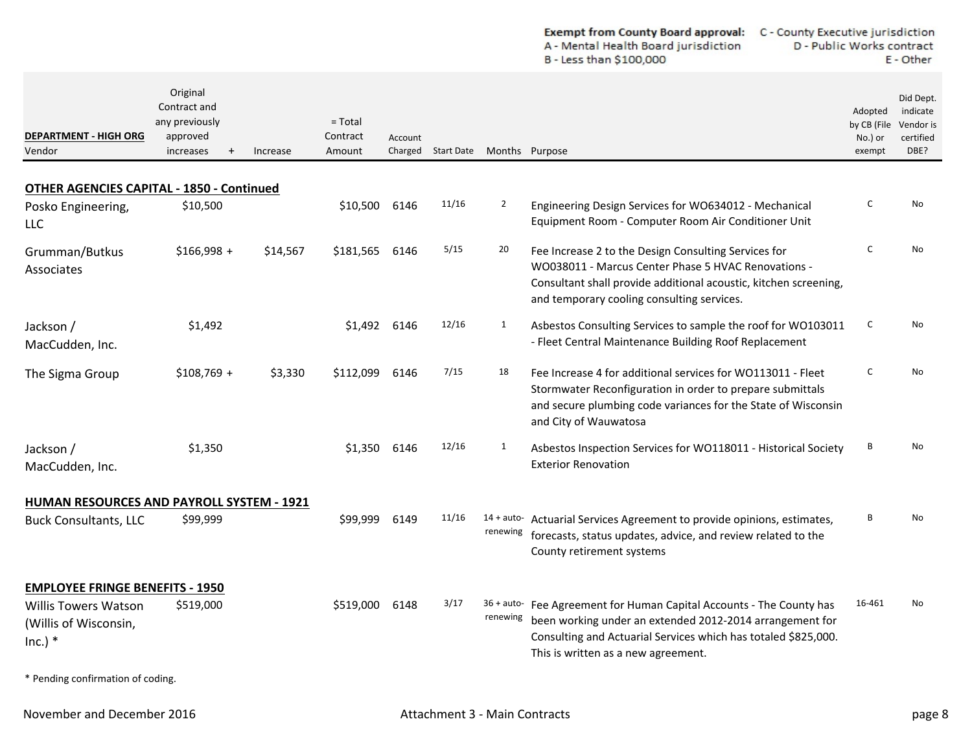|                       |                    |                   | <b>Exempt from County Board approval:</b> C - County Executive jurisdiction<br>A - Mental Health Board jurisdiction<br>B - Less than \$100,000 | D - Public Works contract        | E - Other             |  |
|-----------------------|--------------------|-------------------|------------------------------------------------------------------------------------------------------------------------------------------------|----------------------------------|-----------------------|--|
| $=$ Total<br>Contract |                    |                   |                                                                                                                                                | Adopted<br>by CB (File Vendor is | Did Dept.<br>indicate |  |
| Amount                | Account<br>Charged | <b>Start Date</b> | Months Purpose                                                                                                                                 | No.) or<br>exempt                | certified<br>DBE?     |  |

## **OTHER AGENCIES CAPITAL ‐ 1850 ‐ Continued**

Original Contract and any previously approved increases

+

Increase

**DEPARTMENT ‐ HIGH ORG**

Vendor

| Posko Engineering,<br>LLC                                         | \$10,500     |          | \$10,500  | 6146 | 11/16 | 2        | Engineering Design Services for WO634012 - Mechanical<br>Equipment Room - Computer Room Air Conditioner Unit                                                                                                                              | C      | No |
|-------------------------------------------------------------------|--------------|----------|-----------|------|-------|----------|-------------------------------------------------------------------------------------------------------------------------------------------------------------------------------------------------------------------------------------------|--------|----|
| Grumman/Butkus<br>Associates                                      | $$166,998 +$ | \$14,567 | \$181,565 | 6146 | 5/15  | 20       | Fee Increase 2 to the Design Consulting Services for<br>WO038011 - Marcus Center Phase 5 HVAC Renovations -<br>Consultant shall provide additional acoustic, kitchen screening,<br>and temporary cooling consulting services.             | C      | No |
| Jackson /<br>MacCudden, Inc.                                      | \$1,492      |          | \$1,492   | 6146 | 12/16 | 1        | Asbestos Consulting Services to sample the roof for WO103011<br>- Fleet Central Maintenance Building Roof Replacement                                                                                                                     | C      | No |
| The Sigma Group                                                   | $$108,769 +$ | \$3,330  | \$112,099 | 6146 | 7/15  | 18       | Fee Increase 4 for additional services for WO113011 - Fleet<br>Stormwater Reconfiguration in order to prepare submittals<br>and secure plumbing code variances for the State of Wisconsin<br>and City of Wauwatosa                        | C      | No |
| Jackson /<br>MacCudden, Inc.                                      | \$1,350      |          | \$1,350   | 6146 | 12/16 | 1        | Asbestos Inspection Services for WO118011 - Historical Society<br><b>Exterior Renovation</b>                                                                                                                                              | B      | No |
| HUMAN RESOURCES AND PAYROLL SYSTEM - 1921                         |              |          |           |      |       |          |                                                                                                                                                                                                                                           |        |    |
| <b>Buck Consultants, LLC</b>                                      | \$99,999     |          | \$99,999  | 6149 | 11/16 | renewing | 14 + auto- Actuarial Services Agreement to provide opinions, estimates,<br>forecasts, status updates, advice, and review related to the<br>County retirement systems                                                                      | B      | No |
| <b>EMPLOYEE FRINGE BENEFITS - 1950</b>                            |              |          |           |      |       |          |                                                                                                                                                                                                                                           |        |    |
| <b>Willis Towers Watson</b><br>(Willis of Wisconsin,<br>$Inc.)$ * | \$519,000    |          | \$519,000 | 6148 | 3/17  | renewing | 36 + auto- Fee Agreement for Human Capital Accounts - The County has<br>been working under an extended 2012-2014 arrangement for<br>Consulting and Actuarial Services which has totaled \$825,000.<br>This is written as a new agreement. | 16-461 | No |
| * Pending confirmation of coding.                                 |              |          |           |      |       |          |                                                                                                                                                                                                                                           |        |    |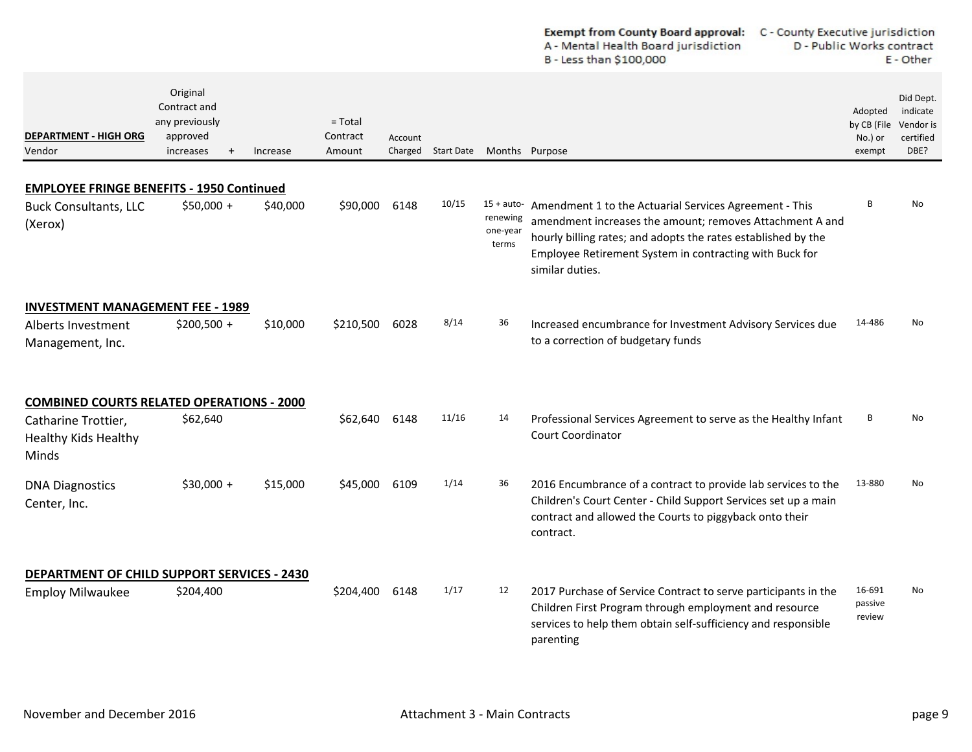|                                                                                             |                                                                                  |          |                                 |         |                    |                               | Exempt from County Board approval:<br>C - County Executive jurisdiction<br>A - Mental Health Board jurisdiction<br>D - Public Works contract<br>B - Less than \$100,000                                                                                                      |                                             | E - Other                                               |
|---------------------------------------------------------------------------------------------|----------------------------------------------------------------------------------|----------|---------------------------------|---------|--------------------|-------------------------------|------------------------------------------------------------------------------------------------------------------------------------------------------------------------------------------------------------------------------------------------------------------------------|---------------------------------------------|---------------------------------------------------------|
| <b>DEPARTMENT - HIGH ORG</b><br>Vendor                                                      | Original<br>Contract and<br>any previously<br>approved<br>increases<br>$\ddot{}$ | Increase | $=$ Total<br>Contract<br>Amount | Account | Charged Start Date |                               | Months Purpose                                                                                                                                                                                                                                                               | Adopted<br>by CB (File<br>No.) or<br>exempt | Did Dept.<br>indicate<br>Vendor is<br>certified<br>DBE? |
|                                                                                             |                                                                                  |          |                                 |         |                    |                               |                                                                                                                                                                                                                                                                              |                                             |                                                         |
| <b>EMPLOYEE FRINGE BENEFITS - 1950 Continued</b><br><b>Buck Consultants, LLC</b><br>(Xerox) | \$50,000 +                                                                       | \$40,000 | \$90,000                        | 6148    | 10/15              | renewing<br>one-year<br>terms | 15 + auto- Amendment 1 to the Actuarial Services Agreement - This<br>amendment increases the amount; removes Attachment A and<br>hourly billing rates; and adopts the rates established by the<br>Employee Retirement System in contracting with Buck for<br>similar duties. | B                                           | No                                                      |
| <b>INVESTMENT MANAGEMENT FEE - 1989</b><br>Alberts Investment<br>Management, Inc.           | $$200,500 +$                                                                     | \$10,000 | \$210,500                       | 6028    | 8/14               | 36                            | Increased encumbrance for Investment Advisory Services due<br>to a correction of budgetary funds                                                                                                                                                                             | 14-486                                      | No                                                      |
| <b>COMBINED COURTS RELATED OPERATIONS - 2000</b>                                            |                                                                                  |          |                                 |         |                    |                               |                                                                                                                                                                                                                                                                              |                                             |                                                         |
| Catharine Trottier,<br><b>Healthy Kids Healthy</b><br>Minds                                 | \$62,640                                                                         |          | \$62,640                        | 6148    | 11/16              | 14                            | Professional Services Agreement to serve as the Healthy Infant<br>Court Coordinator                                                                                                                                                                                          | B                                           | No                                                      |
| <b>DNA Diagnostics</b><br>Center, Inc.                                                      | $$30,000 +$                                                                      | \$15,000 | \$45,000                        | 6109    | 1/14               | 36                            | 2016 Encumbrance of a contract to provide lab services to the<br>Children's Court Center - Child Support Services set up a main<br>contract and allowed the Courts to piggyback onto their<br>contract.                                                                      | 13-880                                      | No.                                                     |
| <b>DEPARTMENT OF CHILD SUPPORT SERVICES - 2430</b>                                          |                                                                                  |          |                                 |         |                    |                               |                                                                                                                                                                                                                                                                              |                                             |                                                         |
| <b>Employ Milwaukee</b>                                                                     | \$204,400                                                                        |          | \$204,400                       | 6148    | 1/17               | 12                            | 2017 Purchase of Service Contract to serve participants in the<br>Children First Program through employment and resource<br>services to help them obtain self-sufficiency and responsible<br>parenting                                                                       | 16-691<br>passive<br>review                 | No.                                                     |

 $\sim$  $\overline{a}$  ×.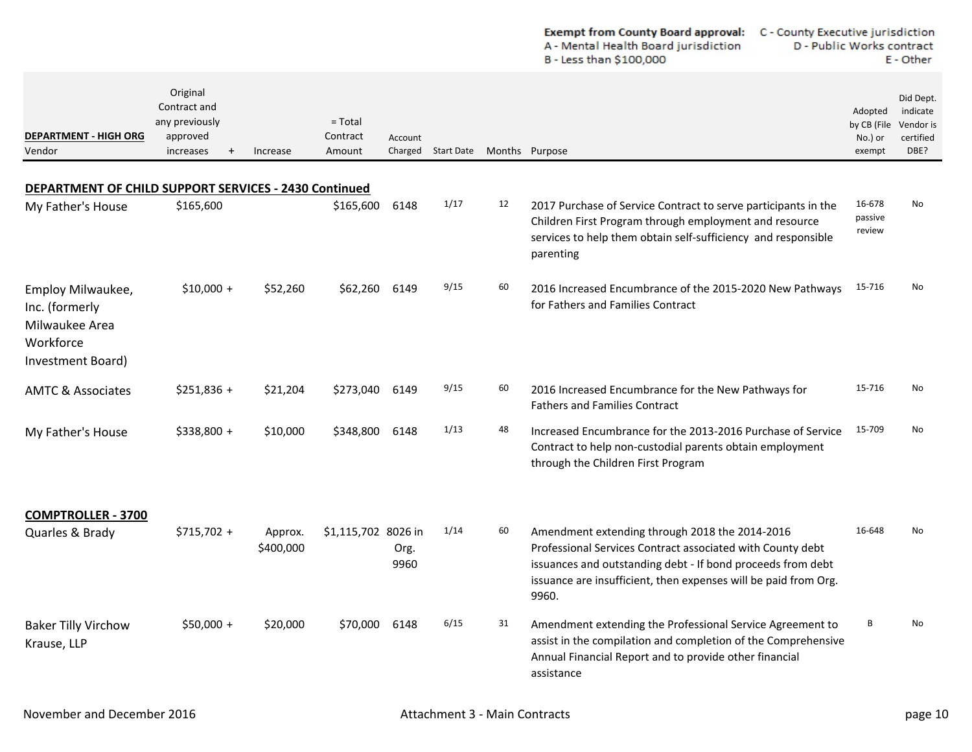|                                                                                         |                                                                                  |                      |                                 |              |                    |    | <b>Exempt from County Board approval:</b><br>A - Mental Health Board jurisdiction<br>B - Less than \$100,000                                                                                                                                            | C - County Executive jurisdiction<br>D - Public Works contract<br>E - Other |                                                         |  |
|-----------------------------------------------------------------------------------------|----------------------------------------------------------------------------------|----------------------|---------------------------------|--------------|--------------------|----|---------------------------------------------------------------------------------------------------------------------------------------------------------------------------------------------------------------------------------------------------------|-----------------------------------------------------------------------------|---------------------------------------------------------|--|
| <b>DEPARTMENT - HIGH ORG</b><br>Vendor                                                  | Original<br>Contract and<br>any previously<br>approved<br>increases<br>$\ddot{}$ | Increase             | $=$ Total<br>Contract<br>Amount | Account      | Charged Start Date |    | Months Purpose                                                                                                                                                                                                                                          | Adopted<br>by CB (File<br>No.) or<br>exempt                                 | Did Dept.<br>indicate<br>Vendor is<br>certified<br>DBE? |  |
| DEPARTMENT OF CHILD SUPPORT SERVICES - 2430 Continued                                   |                                                                                  |                      |                                 |              |                    |    |                                                                                                                                                                                                                                                         |                                                                             |                                                         |  |
| My Father's House                                                                       | \$165,600                                                                        |                      | \$165,600                       | 6148         | 1/17               | 12 | 2017 Purchase of Service Contract to serve participants in the<br>Children First Program through employment and resource<br>services to help them obtain self-sufficiency and responsible<br>parenting                                                  | 16-678<br>passive<br>review                                                 | N <sub>o</sub>                                          |  |
| Employ Milwaukee,<br>Inc. (formerly<br>Milwaukee Area<br>Workforce<br>Investment Board) | $$10,000 +$                                                                      | \$52,260             | \$62,260                        | 6149         | 9/15               | 60 | 2016 Increased Encumbrance of the 2015-2020 New Pathways<br>for Fathers and Families Contract                                                                                                                                                           | 15-716                                                                      | No                                                      |  |
| <b>AMTC &amp; Associates</b>                                                            | $$251,836 +$                                                                     | \$21,204             | \$273,040                       | 6149         | 9/15               | 60 | 2016 Increased Encumbrance for the New Pathways for<br><b>Fathers and Families Contract</b>                                                                                                                                                             | 15-716                                                                      | No                                                      |  |
| My Father's House                                                                       | $$338,800 +$                                                                     | \$10,000             | \$348,800                       | 6148         | 1/13               | 48 | Increased Encumbrance for the 2013-2016 Purchase of Service<br>Contract to help non-custodial parents obtain employment<br>through the Children First Program                                                                                           | 15-709                                                                      | No                                                      |  |
| <b>COMPTROLLER - 3700</b>                                                               |                                                                                  |                      |                                 |              |                    |    |                                                                                                                                                                                                                                                         |                                                                             |                                                         |  |
| Quarles & Brady                                                                         | $$715,702 +$                                                                     | Approx.<br>\$400,000 | \$1,115,702 8026 in             | Org.<br>9960 | 1/14               | 60 | Amendment extending through 2018 the 2014-2016<br>Professional Services Contract associated with County debt<br>issuances and outstanding debt - If bond proceeds from debt<br>issuance are insufficient, then expenses will be paid from Org.<br>9960. | 16-648                                                                      | No                                                      |  |
| <b>Baker Tilly Virchow</b><br>Krause, LLP                                               | $$50,000 +$                                                                      | \$20,000             | \$70,000 6148                   |              | 6/15               | 31 | Amendment extending the Professional Service Agreement to<br>assist in the compilation and completion of the Comprehensive<br>Annual Financial Report and to provide other financial<br>assistance                                                      | В                                                                           | No                                                      |  |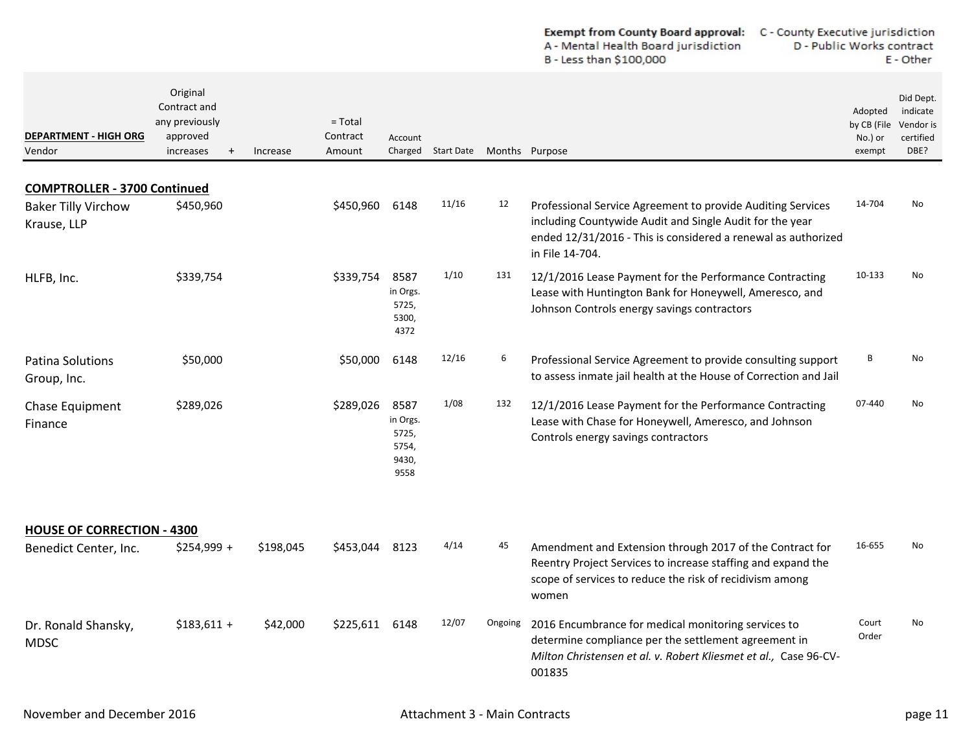| <b>Exempt from County Board approval:</b> | C - County Executive jurisdiction |
|-------------------------------------------|-----------------------------------|
| A - Mental Health Board jurisdiction      | D - Public Works contract         |
| B - Less than \$100,000                   | E - Other                         |

| <b>DEPARTMENT - HIGH ORG</b><br>Vendor    | Original<br>Contract and<br>any previously<br>approved<br>increases<br>$\ddot{}$ | Increase  | $=$ Total<br>Contract<br>Amount | Account                                             | Charged Start Date Months Purpose |         |                                                                                                                                                                                                             | Adopted<br>by CB (File<br>No.) or<br>exempt | Did Dept.<br>indicate<br>Vendor is<br>certified<br>DBE? |
|-------------------------------------------|----------------------------------------------------------------------------------|-----------|---------------------------------|-----------------------------------------------------|-----------------------------------|---------|-------------------------------------------------------------------------------------------------------------------------------------------------------------------------------------------------------------|---------------------------------------------|---------------------------------------------------------|
| <b>COMPTROLLER - 3700 Continued</b>       |                                                                                  |           |                                 |                                                     |                                   |         |                                                                                                                                                                                                             |                                             |                                                         |
| <b>Baker Tilly Virchow</b><br>Krause, LLP | \$450,960                                                                        |           | \$450,960                       | 6148                                                | 11/16                             | 12      | Professional Service Agreement to provide Auditing Services<br>including Countywide Audit and Single Audit for the year<br>ended 12/31/2016 - This is considered a renewal as authorized<br>in File 14-704. | 14-704                                      | No                                                      |
| HLFB, Inc.                                | \$339,754                                                                        |           | \$339,754                       | 8587<br>in Orgs.<br>5725,<br>5300,<br>4372          | 1/10                              | 131     | 12/1/2016 Lease Payment for the Performance Contracting<br>Lease with Huntington Bank for Honeywell, Ameresco, and<br>Johnson Controls energy savings contractors                                           | 10-133                                      | <b>No</b>                                               |
| <b>Patina Solutions</b><br>Group, Inc.    | \$50,000                                                                         |           | \$50,000                        | 6148                                                | 12/16                             | 6       | Professional Service Agreement to provide consulting support<br>to assess inmate jail health at the House of Correction and Jail                                                                            | В                                           | No                                                      |
| Chase Equipment<br>Finance                | \$289,026                                                                        |           | \$289,026                       | 8587<br>in Orgs.<br>5725,<br>5754,<br>9430,<br>9558 | 1/08                              | 132     | 12/1/2016 Lease Payment for the Performance Contracting<br>Lease with Chase for Honeywell, Ameresco, and Johnson<br>Controls energy savings contractors                                                     | 07-440                                      | No.                                                     |
| <b>HOUSE OF CORRECTION - 4300</b>         |                                                                                  |           |                                 |                                                     |                                   |         |                                                                                                                                                                                                             |                                             |                                                         |
| Benedict Center, Inc.                     | \$254,999 +                                                                      | \$198,045 | \$453,044                       | 8123                                                | 4/14                              | 45      | Amendment and Extension through 2017 of the Contract for<br>Reentry Project Services to increase staffing and expand the<br>scope of services to reduce the risk of recidivism among<br>women               | 16-655                                      | <b>No</b>                                               |
| Dr. Ronald Shansky,<br><b>MDSC</b>        | $$183,611 +$                                                                     | \$42,000  | \$225,611                       | 6148                                                | 12/07                             | Ongoing | 2016 Encumbrance for medical monitoring services to<br>determine compliance per the settlement agreement in<br>Milton Christensen et al. v. Robert Kliesmet et al., Case 96-CV-<br>001835                   | Court<br>Order                              | No                                                      |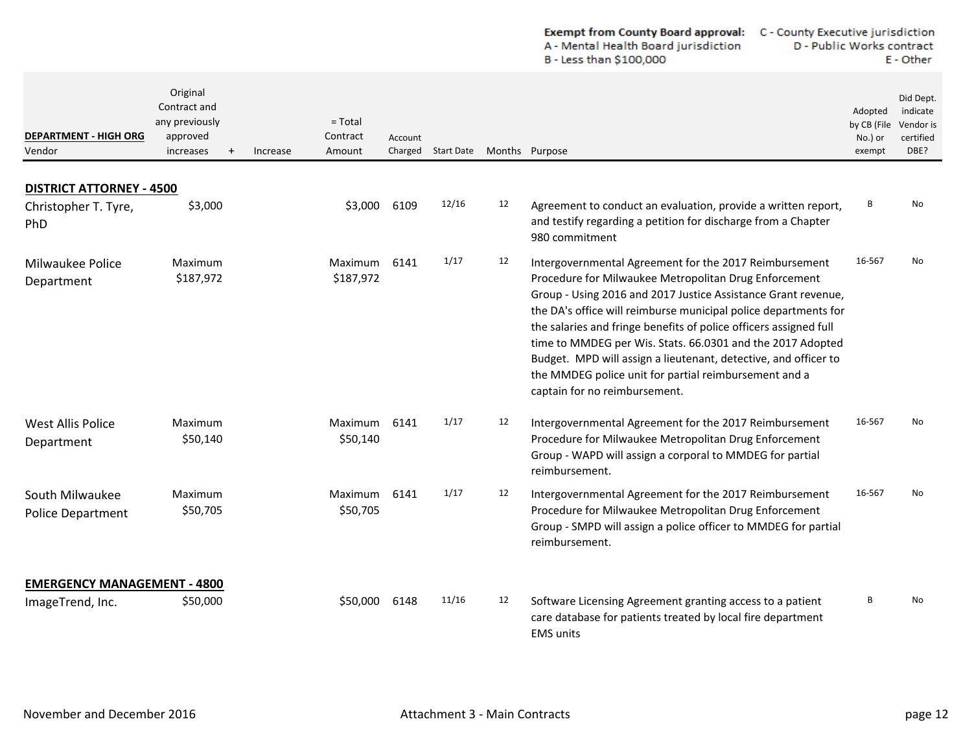|                                             |                                                                               |                                             |         |                    |                |                                                                                                                                                                                                                                                                                                                                                                                                                                                                                                                                                     | A - Mental Health Board jurisdiction<br>D - Public Works contract<br>B - Less than \$100,000 |                                                         | E - Other |
|---------------------------------------------|-------------------------------------------------------------------------------|---------------------------------------------|---------|--------------------|----------------|-----------------------------------------------------------------------------------------------------------------------------------------------------------------------------------------------------------------------------------------------------------------------------------------------------------------------------------------------------------------------------------------------------------------------------------------------------------------------------------------------------------------------------------------------------|----------------------------------------------------------------------------------------------|---------------------------------------------------------|-----------|
| <b>DEPARTMENT - HIGH ORG</b><br>Vendor      | Original<br>Contract and<br>any previously<br>approved<br>increases<br>$^{+}$ | $=$ Total<br>Contract<br>Increase<br>Amount | Account | Charged Start Date | Months Purpose |                                                                                                                                                                                                                                                                                                                                                                                                                                                                                                                                                     | Adopted<br>by CB (File<br>No.) or<br>exempt                                                  | Did Dept.<br>indicate<br>Vendor is<br>certified<br>DBE? |           |
| <b>DISTRICT ATTORNEY - 4500</b>             |                                                                               |                                             |         |                    |                |                                                                                                                                                                                                                                                                                                                                                                                                                                                                                                                                                     |                                                                                              |                                                         |           |
| Christopher T. Tyre,<br>PhD                 | \$3,000                                                                       | \$3,000                                     | 6109    | 12/16              | 12             | Agreement to conduct an evaluation, provide a written report,<br>and testify regarding a petition for discharge from a Chapter<br>980 commitment                                                                                                                                                                                                                                                                                                                                                                                                    | В                                                                                            | No                                                      |           |
| Milwaukee Police<br>Department              | Maximum<br>\$187,972                                                          | Maximum<br>\$187,972                        | 6141    | 1/17               | 12             | Intergovernmental Agreement for the 2017 Reimbursement<br>Procedure for Milwaukee Metropolitan Drug Enforcement<br>Group - Using 2016 and 2017 Justice Assistance Grant revenue,<br>the DA's office will reimburse municipal police departments for<br>the salaries and fringe benefits of police officers assigned full<br>time to MMDEG per Wis. Stats. 66.0301 and the 2017 Adopted<br>Budget. MPD will assign a lieutenant, detective, and officer to<br>the MMDEG police unit for partial reimbursement and a<br>captain for no reimbursement. | 16-567                                                                                       | No                                                      |           |
| <b>West Allis Police</b><br>Department      | Maximum<br>\$50,140                                                           | Maximum<br>\$50,140                         | 6141    | 1/17               | 12             | Intergovernmental Agreement for the 2017 Reimbursement<br>Procedure for Milwaukee Metropolitan Drug Enforcement<br>Group - WAPD will assign a corporal to MMDEG for partial<br>reimbursement.                                                                                                                                                                                                                                                                                                                                                       | 16-567                                                                                       | No.                                                     |           |
| South Milwaukee<br><b>Police Department</b> | Maximum<br>\$50,705                                                           | Maximum<br>\$50,705                         | 6141    | 1/17               | 12             | Intergovernmental Agreement for the 2017 Reimbursement<br>Procedure for Milwaukee Metropolitan Drug Enforcement<br>Group - SMPD will assign a police officer to MMDEG for partial<br>reimbursement.                                                                                                                                                                                                                                                                                                                                                 | 16-567                                                                                       | No                                                      |           |
| <b>EMERGENCY MANAGEMENT - 4800</b>          |                                                                               |                                             |         |                    |                |                                                                                                                                                                                                                                                                                                                                                                                                                                                                                                                                                     |                                                                                              |                                                         |           |
| ImageTrend, Inc.                            | \$50,000                                                                      | \$50,000                                    | 6148    | 11/16              | 12             | Software Licensing Agreement granting access to a patient<br>care database for patients treated by local fire department<br><b>EMS</b> units                                                                                                                                                                                                                                                                                                                                                                                                        | B                                                                                            | No                                                      |           |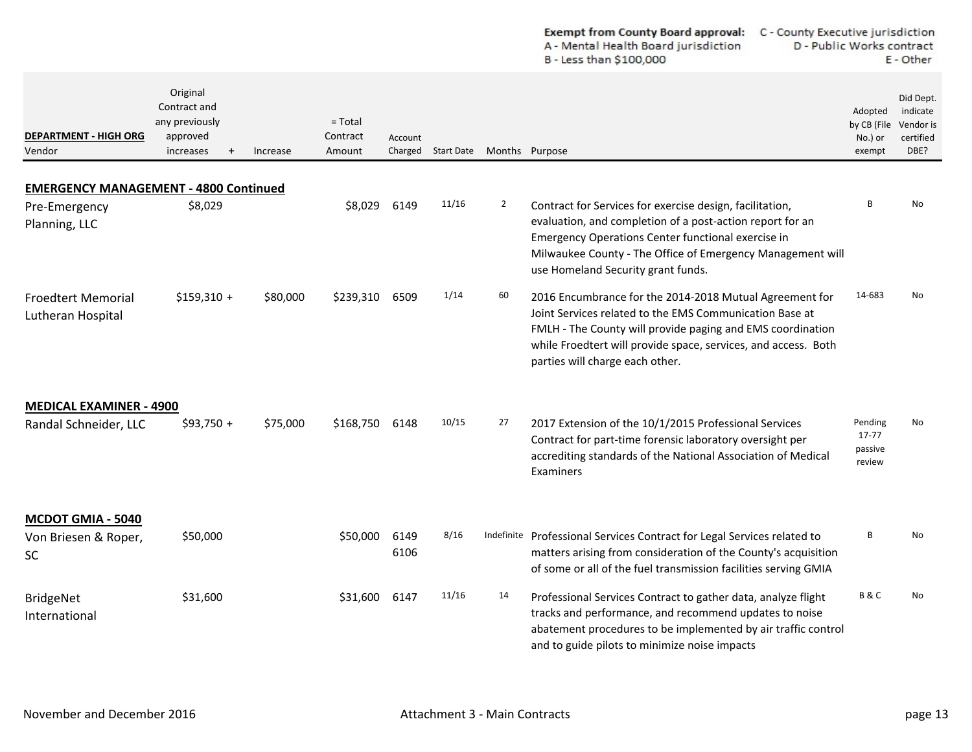|                                                         |                                                                     |          |                                 |              |                    |                | <b>Exempt from County Board approval:</b><br>A - Mental Health Board jurisdiction<br>B - Less than \$100,000                                                                                                                                                                          | C - County Executive jurisdiction<br>D - Public Works contract<br>E - Other |                                                         |  |
|---------------------------------------------------------|---------------------------------------------------------------------|----------|---------------------------------|--------------|--------------------|----------------|---------------------------------------------------------------------------------------------------------------------------------------------------------------------------------------------------------------------------------------------------------------------------------------|-----------------------------------------------------------------------------|---------------------------------------------------------|--|
| <b>DEPARTMENT - HIGH ORG</b><br>Vendor                  | Original<br>Contract and<br>any previously<br>approved<br>increases | Increase | $=$ Total<br>Contract<br>Amount | Account      | Charged Start Date | Months Purpose |                                                                                                                                                                                                                                                                                       | Adopted<br>by CB (File<br>No.) or<br>exempt                                 | Did Dept.<br>indicate<br>Vendor is<br>certified<br>DBE? |  |
| <b>EMERGENCY MANAGEMENT - 4800 Continued</b>            |                                                                     |          |                                 |              |                    |                |                                                                                                                                                                                                                                                                                       |                                                                             |                                                         |  |
| Pre-Emergency<br>Planning, LLC                          | \$8,029                                                             |          | \$8,029                         | 6149         | 11/16              | $\overline{2}$ | Contract for Services for exercise design, facilitation,<br>evaluation, and completion of a post-action report for an<br>Emergency Operations Center functional exercise in<br>Milwaukee County - The Office of Emergency Management will<br>use Homeland Security grant funds.       | B                                                                           | <b>No</b>                                               |  |
| <b>Froedtert Memorial</b><br>Lutheran Hospital          | $$159,310 +$                                                        | \$80,000 | \$239,310                       | 6509         | 1/14               | 60             | 2016 Encumbrance for the 2014-2018 Mutual Agreement for<br>Joint Services related to the EMS Communication Base at<br>FMLH - The County will provide paging and EMS coordination<br>while Froedtert will provide space, services, and access. Both<br>parties will charge each other. | 14-683                                                                      | No                                                      |  |
| <b>MEDICAL EXAMINER - 4900</b><br>Randal Schneider, LLC | $$93,750 +$                                                         | \$75,000 | \$168,750                       | 6148         | 10/15              | 27             | 2017 Extension of the 10/1/2015 Professional Services<br>Contract for part-time forensic laboratory oversight per<br>accrediting standards of the National Association of Medical<br>Examiners                                                                                        | Pending<br>17-77<br>passive<br>review                                       | No                                                      |  |
| MCDOT GMIA - 5040<br>Von Briesen & Roper,<br>SC.        | \$50,000                                                            |          | \$50,000                        | 6149<br>6106 | 8/16               |                | Indefinite Professional Services Contract for Legal Services related to<br>matters arising from consideration of the County's acquisition<br>of some or all of the fuel transmission facilities serving GMIA                                                                          | B                                                                           | No                                                      |  |
| <b>BridgeNet</b><br>International                       | \$31,600                                                            |          | \$31,600                        | 6147         | 11/16              | 14             | Professional Services Contract to gather data, analyze flight<br>tracks and performance, and recommend updates to noise<br>abatement procedures to be implemented by air traffic control<br>and to guide pilots to minimize noise impacts                                             | <b>B&amp;C</b>                                                              | No                                                      |  |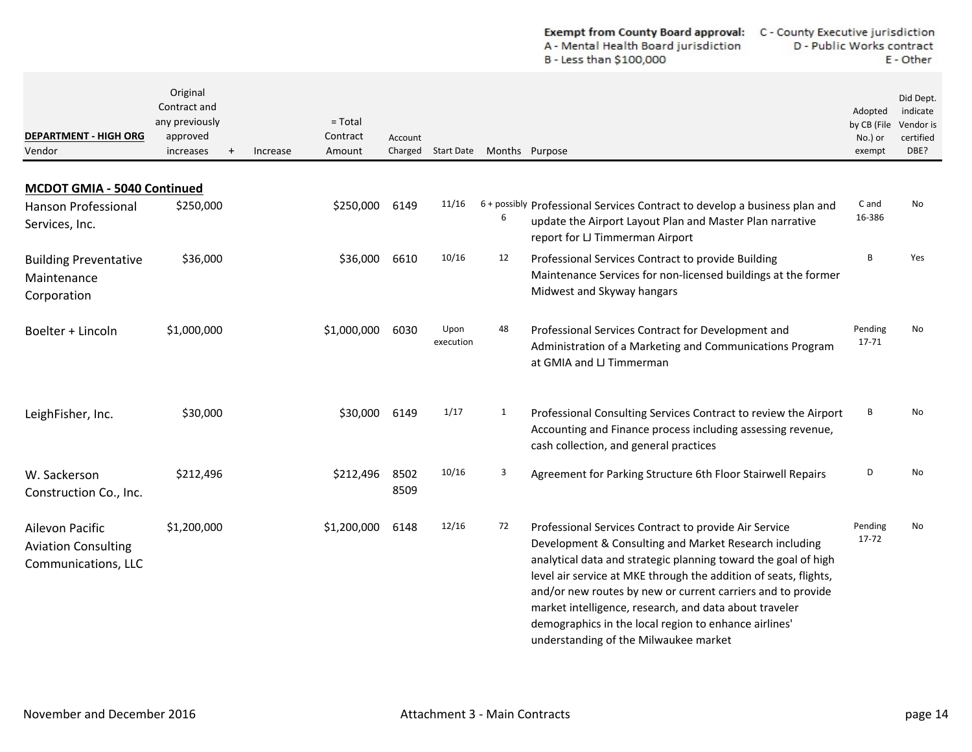|                                                                      |                                                                     |          |                                 |              |                    |                | A - Mental Health Board jurisdiction<br>B - Less than \$100,000                                                                                                                                                                                                                                                                                                                                                                         | D - Public Works contract<br>E - Other      |                                                         |  |
|----------------------------------------------------------------------|---------------------------------------------------------------------|----------|---------------------------------|--------------|--------------------|----------------|-----------------------------------------------------------------------------------------------------------------------------------------------------------------------------------------------------------------------------------------------------------------------------------------------------------------------------------------------------------------------------------------------------------------------------------------|---------------------------------------------|---------------------------------------------------------|--|
| DEPARTMENT - HIGH ORG<br>Vendor                                      | Original<br>Contract and<br>any previously<br>approved<br>increases | Increase | $=$ Total<br>Contract<br>Amount | Account      | Charged Start Date | Months Purpose |                                                                                                                                                                                                                                                                                                                                                                                                                                         | Adopted<br>by CB (File<br>No.) or<br>exempt | Did Dept.<br>indicate<br>Vendor is<br>certified<br>DBE? |  |
| MCDOT GMIA - 5040 Continued                                          |                                                                     |          |                                 |              |                    |                |                                                                                                                                                                                                                                                                                                                                                                                                                                         |                                             |                                                         |  |
| <b>Hanson Professional</b><br>Services, Inc.                         | \$250,000                                                           |          | \$250,000                       | 6149         | 11/16              | 6              | 6+ possibly Professional Services Contract to develop a business plan and<br>update the Airport Layout Plan and Master Plan narrative<br>report for LJ Timmerman Airport                                                                                                                                                                                                                                                                | C and<br>16-386                             | No                                                      |  |
| <b>Building Preventative</b><br>Maintenance<br>Corporation           | \$36,000                                                            |          | \$36,000                        | 6610         | 10/16              | 12             | Professional Services Contract to provide Building<br>Maintenance Services for non-licensed buildings at the former<br>Midwest and Skyway hangars                                                                                                                                                                                                                                                                                       | В                                           | Yes                                                     |  |
| Boelter + Lincoln                                                    | \$1,000,000                                                         |          | \$1,000,000                     | 6030         | Upon<br>execution  | 48             | Professional Services Contract for Development and<br>Administration of a Marketing and Communications Program<br>at GMIA and LJ Timmerman                                                                                                                                                                                                                                                                                              | Pending<br>17-71                            | No                                                      |  |
| LeighFisher, Inc.                                                    | \$30,000                                                            |          | \$30,000                        | 6149         | 1/17               | 1              | Professional Consulting Services Contract to review the Airport<br>Accounting and Finance process including assessing revenue,<br>cash collection, and general practices                                                                                                                                                                                                                                                                | В                                           | No                                                      |  |
| W. Sackerson<br>Construction Co., Inc.                               | \$212,496                                                           |          | \$212,496                       | 8502<br>8509 | 10/16              | 3              | Agreement for Parking Structure 6th Floor Stairwell Repairs                                                                                                                                                                                                                                                                                                                                                                             | D                                           | No                                                      |  |
| Ailevon Pacific<br><b>Aviation Consulting</b><br>Communications, LLC | \$1,200,000                                                         |          | \$1,200,000                     | 6148         | 12/16              | 72             | Professional Services Contract to provide Air Service<br>Development & Consulting and Market Research including<br>analytical data and strategic planning toward the goal of high<br>level air service at MKE through the addition of seats, flights,<br>and/or new routes by new or current carriers and to provide<br>market intelligence, research, and data about traveler<br>demographics in the local region to enhance airlines' | Pending<br>17-72                            | No                                                      |  |

understanding of the Milwaukee market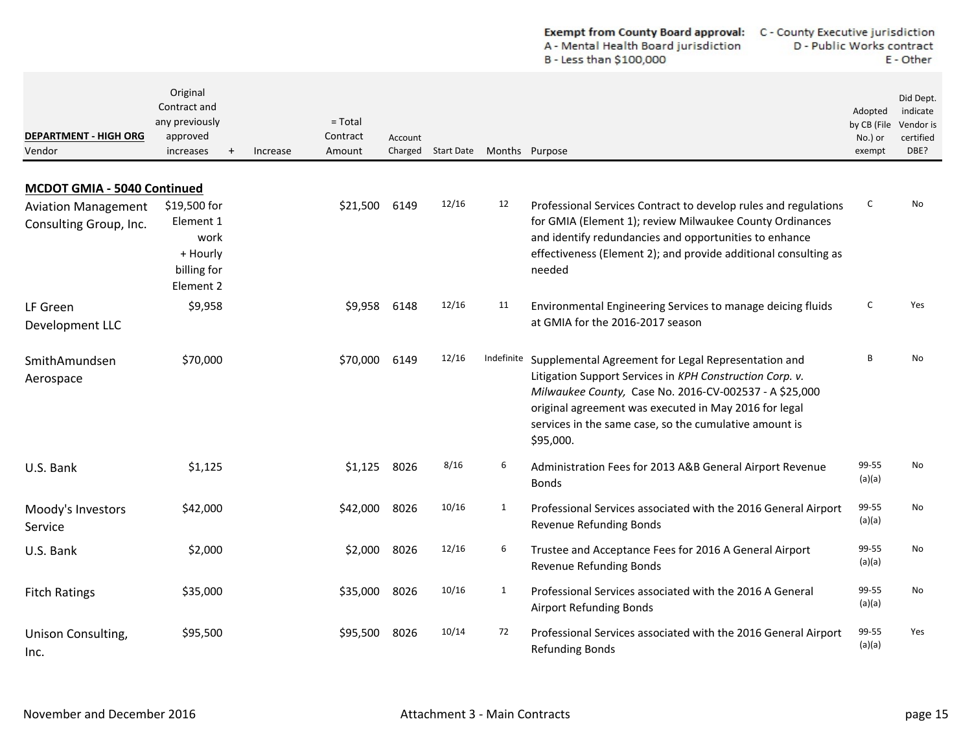|                                                      |                                                                                  |          |                                 |         |                                   |              | A - Mental Health Board jurisdiction<br>B - Less than \$100,000                                                                                                                                                                                                                                                      | D - Public Works contract<br>E - Other      |                                                         |  |
|------------------------------------------------------|----------------------------------------------------------------------------------|----------|---------------------------------|---------|-----------------------------------|--------------|----------------------------------------------------------------------------------------------------------------------------------------------------------------------------------------------------------------------------------------------------------------------------------------------------------------------|---------------------------------------------|---------------------------------------------------------|--|
| <b>DEPARTMENT - HIGH ORG</b><br>Vendor               | Original<br>Contract and<br>any previously<br>approved<br>increases<br>$\ddot{}$ | Increase | $=$ Total<br>Contract<br>Amount | Account | Charged Start Date Months Purpose |              |                                                                                                                                                                                                                                                                                                                      | Adopted<br>by CB (File<br>No.) or<br>exempt | Did Dept.<br>indicate<br>Vendor is<br>certified<br>DBE? |  |
| MCDOT GMIA - 5040 Continued                          |                                                                                  |          |                                 |         |                                   |              |                                                                                                                                                                                                                                                                                                                      |                                             |                                                         |  |
| <b>Aviation Management</b><br>Consulting Group, Inc. | \$19,500 for<br>Element 1<br>work<br>+ Hourly<br>billing for<br>Element 2        |          | \$21,500                        | 6149    | 12/16                             | 12           | Professional Services Contract to develop rules and regulations<br>for GMIA (Element 1); review Milwaukee County Ordinances<br>and identify redundancies and opportunities to enhance<br>effectiveness (Element 2); and provide additional consulting as<br>needed                                                   | C                                           | No                                                      |  |
| LF Green<br>Development LLC                          | \$9,958                                                                          |          | \$9,958                         | 6148    | 12/16                             | 11           | Environmental Engineering Services to manage deicing fluids<br>at GMIA for the 2016-2017 season                                                                                                                                                                                                                      | C                                           | Yes                                                     |  |
| SmithAmundsen<br>Aerospace                           | \$70,000                                                                         |          | \$70,000                        | 6149    | 12/16                             |              | Indefinite Supplemental Agreement for Legal Representation and<br>Litigation Support Services in KPH Construction Corp. v.<br>Milwaukee County, Case No. 2016-CV-002537 - A \$25,000<br>original agreement was executed in May 2016 for legal<br>services in the same case, so the cumulative amount is<br>\$95,000. | B                                           | No                                                      |  |
| U.S. Bank                                            | \$1,125                                                                          |          | \$1,125                         | 8026    | 8/16                              | 6            | Administration Fees for 2013 A&B General Airport Revenue<br><b>Bonds</b>                                                                                                                                                                                                                                             | 99-55<br>(a)(a)                             | No                                                      |  |
| Moody's Investors<br>Service                         | \$42,000                                                                         |          | \$42,000                        | 8026    | 10/16                             | $\mathbf{1}$ | Professional Services associated with the 2016 General Airport<br>Revenue Refunding Bonds                                                                                                                                                                                                                            | 99-55<br>(a)(a)                             | No                                                      |  |
| U.S. Bank                                            | \$2,000                                                                          |          | \$2,000                         | 8026    | 12/16                             | 6            | Trustee and Acceptance Fees for 2016 A General Airport<br>Revenue Refunding Bonds                                                                                                                                                                                                                                    | 99-55<br>(a)(a)                             | No                                                      |  |
| <b>Fitch Ratings</b>                                 | \$35,000                                                                         |          | \$35,000                        | 8026    | 10/16                             | $\mathbf{1}$ | Professional Services associated with the 2016 A General<br><b>Airport Refunding Bonds</b>                                                                                                                                                                                                                           | 99-55<br>(a)(a)                             | No                                                      |  |
| Unison Consulting,<br>Inc.                           | \$95,500                                                                         |          | \$95,500                        | 8026    | 10/14                             | 72           | Professional Services associated with the 2016 General Airport<br><b>Refunding Bonds</b>                                                                                                                                                                                                                             | 99-55<br>(a)(a)                             | Yes                                                     |  |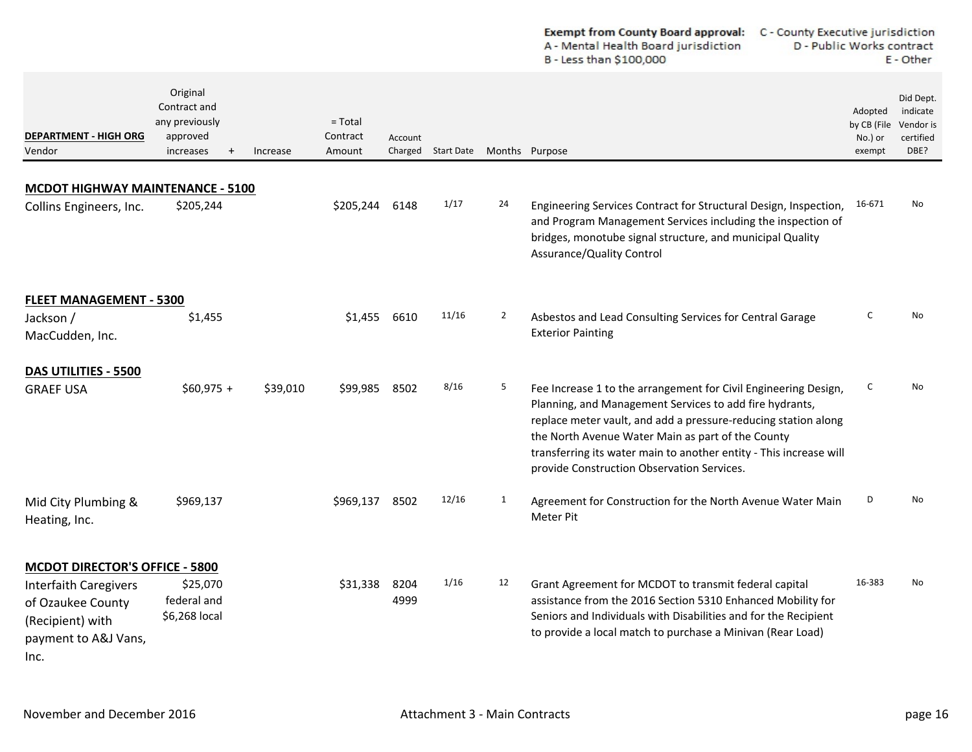|                                                                                                       |                                                                              |          |                                 |              |                    |                | <b>Exempt from County Board approval:</b><br>A - Mental Health Board jurisdiction<br>B - Less than \$100,000                                                                                                                                                                                                                                                          | C - County Executive jurisdiction<br>D - Public Works contract<br>E - Other |                                                         |  |
|-------------------------------------------------------------------------------------------------------|------------------------------------------------------------------------------|----------|---------------------------------|--------------|--------------------|----------------|-----------------------------------------------------------------------------------------------------------------------------------------------------------------------------------------------------------------------------------------------------------------------------------------------------------------------------------------------------------------------|-----------------------------------------------------------------------------|---------------------------------------------------------|--|
| <b>DEPARTMENT - HIGH ORG</b><br>Vendor                                                                | Original<br>Contract and<br>any previously<br>approved<br>increases<br>$\pm$ | Increase | $=$ Total<br>Contract<br>Amount | Account      | Charged Start Date | Months Purpose |                                                                                                                                                                                                                                                                                                                                                                       | Adopted<br>by CB (File<br>No.) or<br>exempt                                 | Did Dept.<br>indicate<br>Vendor is<br>certified<br>DBE? |  |
|                                                                                                       |                                                                              |          |                                 |              |                    |                |                                                                                                                                                                                                                                                                                                                                                                       |                                                                             |                                                         |  |
| <b>MCDOT HIGHWAY MAINTENANCE - 5100</b><br>Collins Engineers, Inc.                                    | \$205,244                                                                    |          | \$205,244                       | 6148         | 1/17               | 24             | Engineering Services Contract for Structural Design, Inspection,<br>and Program Management Services including the inspection of<br>bridges, monotube signal structure, and municipal Quality<br>Assurance/Quality Control                                                                                                                                             | 16-671                                                                      | No                                                      |  |
| <b>FLEET MANAGEMENT - 5300</b>                                                                        |                                                                              |          |                                 |              |                    |                |                                                                                                                                                                                                                                                                                                                                                                       |                                                                             |                                                         |  |
| Jackson /<br>MacCudden, Inc.                                                                          | \$1,455                                                                      |          | \$1,455                         | 6610         | 11/16              | $\overline{2}$ | Asbestos and Lead Consulting Services for Central Garage<br><b>Exterior Painting</b>                                                                                                                                                                                                                                                                                  | c                                                                           | No                                                      |  |
| DAS UTILITIES - 5500                                                                                  |                                                                              |          |                                 |              |                    |                |                                                                                                                                                                                                                                                                                                                                                                       |                                                                             |                                                         |  |
| <b>GRAEF USA</b>                                                                                      | $$60,975 +$                                                                  | \$39,010 | \$99,985                        | 8502         | 8/16               | 5              | Fee Increase 1 to the arrangement for Civil Engineering Design,<br>Planning, and Management Services to add fire hydrants,<br>replace meter vault, and add a pressure-reducing station along<br>the North Avenue Water Main as part of the County<br>transferring its water main to another entity - This increase will<br>provide Construction Observation Services. | C                                                                           | No                                                      |  |
| Mid City Plumbing &<br>Heating, Inc.                                                                  | \$969,137                                                                    |          | \$969,137                       | 8502         | 12/16              | 1              | Agreement for Construction for the North Avenue Water Main<br>Meter Pit                                                                                                                                                                                                                                                                                               | D                                                                           | No                                                      |  |
| <b>MCDOT DIRECTOR'S OFFICE - 5800</b>                                                                 |                                                                              |          |                                 |              |                    |                |                                                                                                                                                                                                                                                                                                                                                                       |                                                                             |                                                         |  |
| <b>Interfaith Caregivers</b><br>of Ozaukee County<br>(Recipient) with<br>payment to A&J Vans,<br>Inc. | \$25,070<br>federal and<br>\$6,268 local                                     |          | \$31,338                        | 8204<br>4999 | 1/16               | 12             | Grant Agreement for MCDOT to transmit federal capital<br>assistance from the 2016 Section 5310 Enhanced Mobility for<br>Seniors and Individuals with Disabilities and for the Recipient<br>to provide a local match to purchase a Minivan (Rear Load)                                                                                                                 | 16-383                                                                      | No                                                      |  |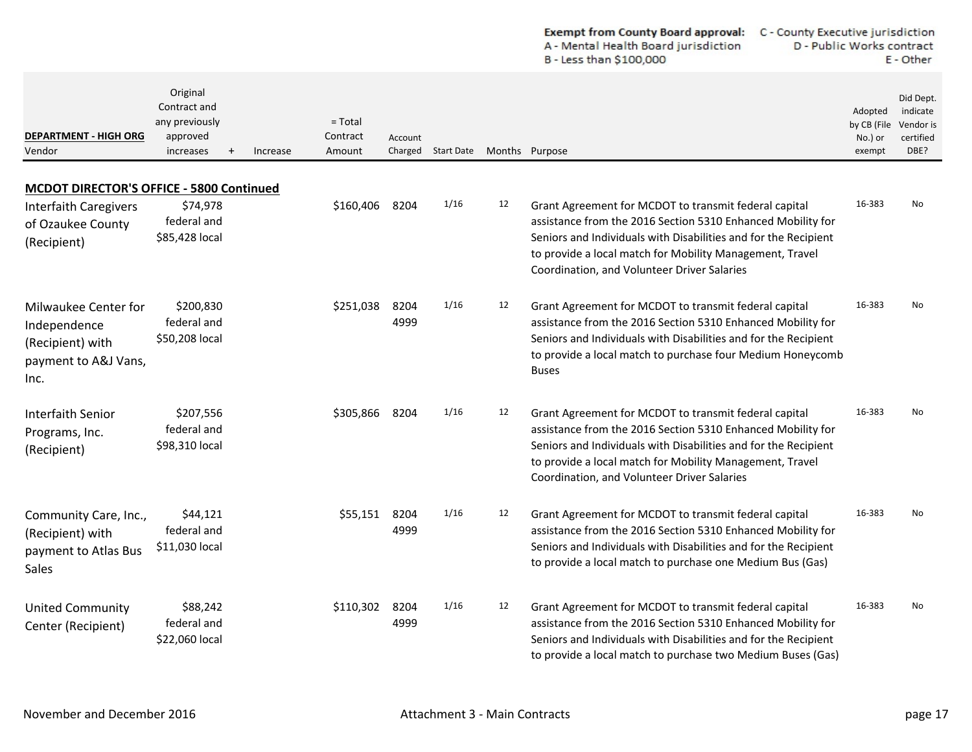|                                                                                          |                                                                     |          |                                 |                    |                   |    | <b>Exempt from County Board approval:</b><br>A - Mental Health Board jurisdiction<br>B - Less than \$100,000                                                                                                                                                                                       | C - County Executive jurisdiction<br>D - Public Works contract<br>E - Other |                                                         |  |
|------------------------------------------------------------------------------------------|---------------------------------------------------------------------|----------|---------------------------------|--------------------|-------------------|----|----------------------------------------------------------------------------------------------------------------------------------------------------------------------------------------------------------------------------------------------------------------------------------------------------|-----------------------------------------------------------------------------|---------------------------------------------------------|--|
| <b>DEPARTMENT - HIGH ORG</b><br>Vendor                                                   | Original<br>Contract and<br>any previously<br>approved<br>increases | Increase | $=$ Total<br>Contract<br>Amount | Account<br>Charged | <b>Start Date</b> |    | Months Purpose                                                                                                                                                                                                                                                                                     | Adopted<br>by CB (File<br>No.) or<br>exempt                                 | Did Dept.<br>indicate<br>Vendor is<br>certified<br>DBE? |  |
| <b>MCDOT DIRECTOR'S OFFICE - 5800 Continued</b>                                          |                                                                     |          |                                 |                    |                   |    |                                                                                                                                                                                                                                                                                                    |                                                                             |                                                         |  |
| <b>Interfaith Caregivers</b><br>of Ozaukee County<br>(Recipient)                         | \$74,978<br>federal and<br>\$85,428 local                           |          | \$160,406                       | 8204               | 1/16              | 12 | Grant Agreement for MCDOT to transmit federal capital<br>assistance from the 2016 Section 5310 Enhanced Mobility for<br>Seniors and Individuals with Disabilities and for the Recipient<br>to provide a local match for Mobility Management, Travel<br>Coordination, and Volunteer Driver Salaries | 16-383                                                                      | No                                                      |  |
| Milwaukee Center for<br>Independence<br>(Recipient) with<br>payment to A&J Vans,<br>Inc. | \$200,830<br>federal and<br>\$50,208 local                          |          | \$251,038                       | 8204<br>4999       | 1/16              | 12 | Grant Agreement for MCDOT to transmit federal capital<br>assistance from the 2016 Section 5310 Enhanced Mobility for<br>Seniors and Individuals with Disabilities and for the Recipient<br>to provide a local match to purchase four Medium Honeycomb<br><b>Buses</b>                              | 16-383                                                                      | No                                                      |  |
| Interfaith Senior<br>Programs, Inc.<br>(Recipient)                                       | \$207,556<br>federal and<br>\$98,310 local                          |          | \$305,866                       | 8204               | 1/16              | 12 | Grant Agreement for MCDOT to transmit federal capital<br>assistance from the 2016 Section 5310 Enhanced Mobility for<br>Seniors and Individuals with Disabilities and for the Recipient<br>to provide a local match for Mobility Management, Travel<br>Coordination, and Volunteer Driver Salaries | 16-383                                                                      | No                                                      |  |
| Community Care, Inc.,<br>(Recipient) with<br>payment to Atlas Bus<br>Sales               | \$44,121<br>federal and<br>\$11,030 local                           |          | \$55,151                        | 8204<br>4999       | 1/16              | 12 | Grant Agreement for MCDOT to transmit federal capital<br>assistance from the 2016 Section 5310 Enhanced Mobility for<br>Seniors and Individuals with Disabilities and for the Recipient<br>to provide a local match to purchase one Medium Bus (Gas)                                               | 16-383                                                                      | No                                                      |  |
| <b>United Community</b><br>Center (Recipient)                                            | \$88,242<br>federal and<br>\$22,060 local                           |          | \$110,302                       | 8204<br>4999       | 1/16              | 12 | Grant Agreement for MCDOT to transmit federal capital<br>assistance from the 2016 Section 5310 Enhanced Mobility for<br>Seniors and Individuals with Disabilities and for the Recipient<br>to provide a local match to purchase two Medium Buses (Gas)                                             | 16-383                                                                      | <b>No</b>                                               |  |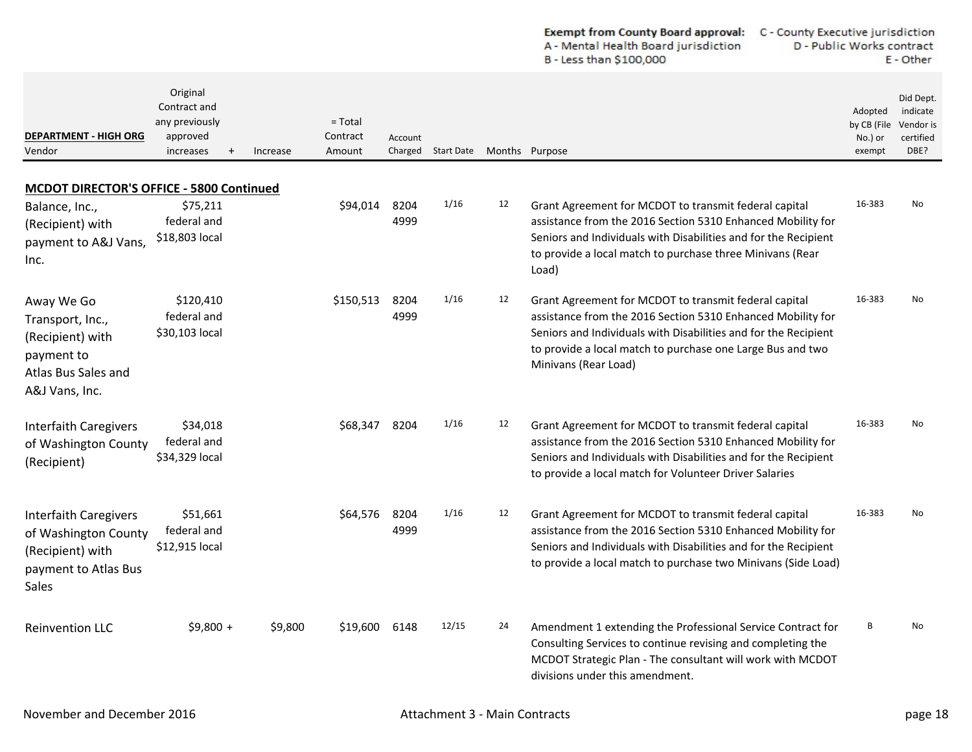|                                                                                                           |                                                                     |          |                                 |              |                    |                | <b>Exempt from County Board approval:</b><br>A - Mental Health Board jurisdiction<br>B - Less than \$100,000                                                                                                                                                                  |                                             | C - County Executive jurisdiction<br>D - Public Works contract<br>E - Other |  |
|-----------------------------------------------------------------------------------------------------------|---------------------------------------------------------------------|----------|---------------------------------|--------------|--------------------|----------------|-------------------------------------------------------------------------------------------------------------------------------------------------------------------------------------------------------------------------------------------------------------------------------|---------------------------------------------|-----------------------------------------------------------------------------|--|
| <b>DEPARTMENT - HIGH ORG</b><br>Vendor                                                                    | Original<br>Contract and<br>any previously<br>approved<br>increases | Increase | $=$ Total<br>Contract<br>Amount | Account      | Charged Start Date | Months Purpose |                                                                                                                                                                                                                                                                               | Adopted<br>by CB (File<br>No.) or<br>exempt | Did Dept.<br>indicate<br>Vendor is<br>certified<br>DBE?                     |  |
| <b>MCDOT DIRECTOR'S OFFICE - 5800 Continued</b>                                                           |                                                                     |          |                                 |              |                    |                |                                                                                                                                                                                                                                                                               |                                             |                                                                             |  |
| Balance, Inc.,<br>(Recipient) with<br>payment to A&J Vans,<br>Inc.                                        | \$75,211<br>federal and<br>\$18,803 local                           |          | \$94,014                        | 8204<br>4999 | 1/16               | 12             | Grant Agreement for MCDOT to transmit federal capital<br>assistance from the 2016 Section 5310 Enhanced Mobility for<br>Seniors and Individuals with Disabilities and for the Recipient<br>to provide a local match to purchase three Minivans (Rear<br>Load)                 | 16-383                                      | No                                                                          |  |
| Away We Go<br>Transport, Inc.,<br>(Recipient) with<br>payment to<br>Atlas Bus Sales and<br>A&J Vans, Inc. | \$120,410<br>federal and<br>\$30,103 local                          |          | \$150,513                       | 8204<br>4999 | 1/16               | 12             | Grant Agreement for MCDOT to transmit federal capital<br>assistance from the 2016 Section 5310 Enhanced Mobility for<br>Seniors and Individuals with Disabilities and for the Recipient<br>to provide a local match to purchase one Large Bus and two<br>Minivans (Rear Load) | 16-383                                      | No                                                                          |  |
| <b>Interfaith Caregivers</b><br>of Washington County<br>(Recipient)                                       | \$34,018<br>federal and<br>\$34,329 local                           |          | \$68,347                        | 8204         | 1/16               | 12             | Grant Agreement for MCDOT to transmit federal capital<br>assistance from the 2016 Section 5310 Enhanced Mobility for<br>Seniors and Individuals with Disabilities and for the Recipient<br>to provide a local match for Volunteer Driver Salaries                             | 16-383                                      | No                                                                          |  |
| <b>Interfaith Caregivers</b><br>of Washington County<br>(Recipient) with<br>payment to Atlas Bus<br>Sales | \$51,661<br>federal and<br>\$12,915 local                           |          | \$64,576                        | 8204<br>4999 | 1/16               | 12             | Grant Agreement for MCDOT to transmit federal capital<br>assistance from the 2016 Section 5310 Enhanced Mobility for<br>Seniors and Individuals with Disabilities and for the Recipient<br>to provide a local match to purchase two Minivans (Side Load)                      | 16-383                                      | No                                                                          |  |
| <b>Reinvention LLC</b>                                                                                    | $$9,800 +$                                                          | \$9,800  | \$19,600                        | 6148         | 12/15              | 24             | Amendment 1 extending the Professional Service Contract for<br>Consulting Services to continue revising and completing the<br>MCDOT Strategic Plan - The consultant will work with MCDOT<br>divisions under this amendment.                                                   | В                                           | No                                                                          |  |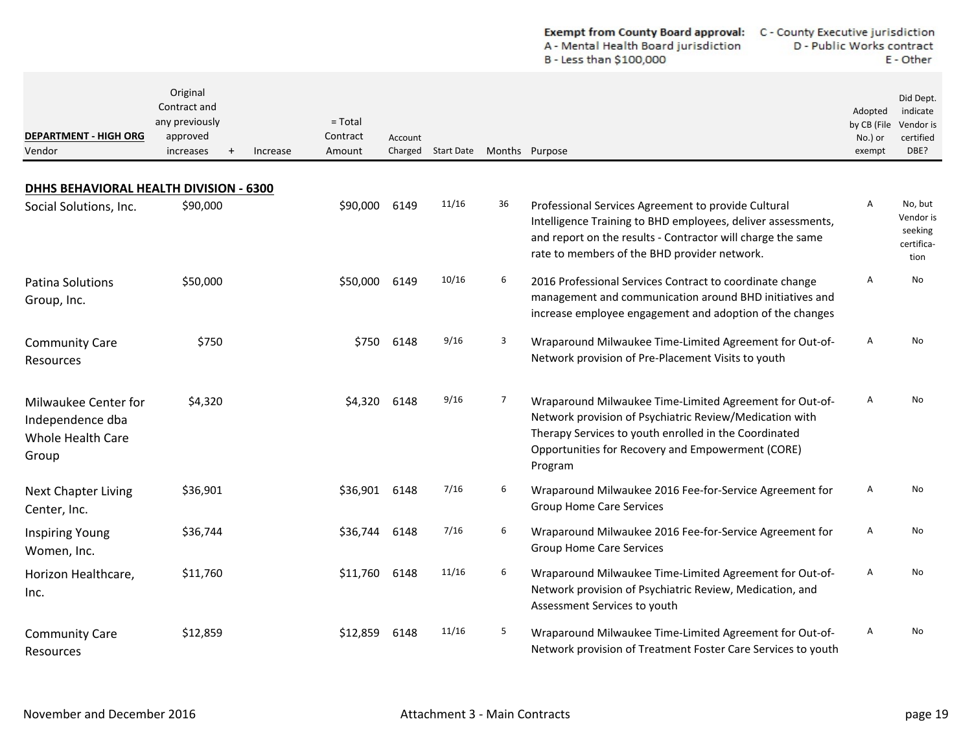|                                                                               |                                                                     |                                             |         |                    |    | B - Less than \$100,000                                                                                                                                                                                                                     |                                             | E - Other                                               |
|-------------------------------------------------------------------------------|---------------------------------------------------------------------|---------------------------------------------|---------|--------------------|----|---------------------------------------------------------------------------------------------------------------------------------------------------------------------------------------------------------------------------------------------|---------------------------------------------|---------------------------------------------------------|
| DEPARTMENT - HIGH ORG<br>Vendor                                               | Original<br>Contract and<br>any previously<br>approved<br>increases | $=$ Total<br>Contract<br>Increase<br>Amount | Account | Charged Start Date |    | Months Purpose                                                                                                                                                                                                                              | Adopted<br>by CB (File<br>No.) or<br>exempt | Did Dept.<br>indicate<br>Vendor is<br>certified<br>DBE? |
|                                                                               |                                                                     |                                             |         |                    |    |                                                                                                                                                                                                                                             |                                             |                                                         |
| <b>DHHS BEHAVIORAL HEALTH DIVISION - 6300</b><br>Social Solutions, Inc.       | \$90,000                                                            | \$90,000                                    | 6149    | 11/16              | 36 | Professional Services Agreement to provide Cultural<br>Intelligence Training to BHD employees, deliver assessments,<br>and report on the results - Contractor will charge the same<br>rate to members of the BHD provider network.          | Α                                           | No, but<br>Vendor is<br>seeking<br>certifica-<br>tion   |
| Patina Solutions<br>Group, Inc.                                               | \$50,000                                                            | \$50,000                                    | 6149    | 10/16              | 6  | 2016 Professional Services Contract to coordinate change<br>management and communication around BHD initiatives and<br>increase employee engagement and adoption of the changes                                                             | A                                           | No                                                      |
| <b>Community Care</b><br>Resources                                            | \$750                                                               | \$750                                       | 6148    | 9/16               | 3  | Wraparound Milwaukee Time-Limited Agreement for Out-of-<br>Network provision of Pre-Placement Visits to youth                                                                                                                               | A                                           | No                                                      |
| Milwaukee Center for<br>Independence dba<br><b>Whole Health Care</b><br>Group | \$4,320                                                             | \$4,320                                     | 6148    | 9/16               | 7  | Wraparound Milwaukee Time-Limited Agreement for Out-of-<br>Network provision of Psychiatric Review/Medication with<br>Therapy Services to youth enrolled in the Coordinated<br>Opportunities for Recovery and Empowerment (CORE)<br>Program | Α                                           | No                                                      |
| <b>Next Chapter Living</b><br>Center, Inc.                                    | \$36,901                                                            | \$36,901                                    | 6148    | 7/16               | 6  | Wraparound Milwaukee 2016 Fee-for-Service Agreement for<br><b>Group Home Care Services</b>                                                                                                                                                  | Α                                           | No                                                      |
| <b>Inspiring Young</b><br>Women, Inc.                                         | \$36,744                                                            | \$36,744                                    | 6148    | 7/16               | 6  | Wraparound Milwaukee 2016 Fee-for-Service Agreement for<br><b>Group Home Care Services</b>                                                                                                                                                  | Α                                           | No                                                      |
| Horizon Healthcare,<br>Inc.                                                   | \$11,760                                                            | \$11,760                                    | 6148    | 11/16              | 6  | Wraparound Milwaukee Time-Limited Agreement for Out-of-<br>Network provision of Psychiatric Review, Medication, and<br>Assessment Services to youth                                                                                         | Α                                           | No                                                      |
| <b>Community Care</b><br>Resources                                            | \$12,859                                                            | \$12,859                                    | 6148    | 11/16              | 5  | Wraparound Milwaukee Time-Limited Agreement for Out-of-<br>Network provision of Treatment Foster Care Services to youth                                                                                                                     | Α                                           | No                                                      |

D - Public Works contract

A - Mental Health Board jurisdiction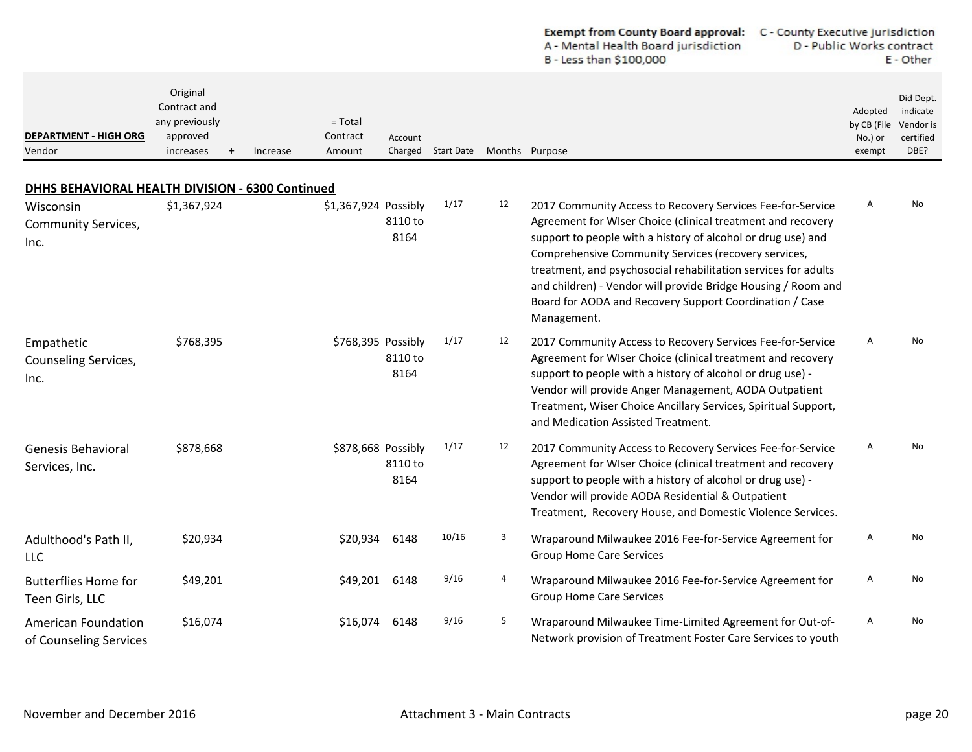|                                                      |                                                                                  |                                             |                    |                   |    | Exempt from County Board approval: C - County Executive jurisdiction<br>A - Mental Health Board jurisdiction<br>B - Less than \$100,000                                                                                                                                                                                                                                                                                                                        | D - Public Works contract                   | E - Other                                               |
|------------------------------------------------------|----------------------------------------------------------------------------------|---------------------------------------------|--------------------|-------------------|----|----------------------------------------------------------------------------------------------------------------------------------------------------------------------------------------------------------------------------------------------------------------------------------------------------------------------------------------------------------------------------------------------------------------------------------------------------------------|---------------------------------------------|---------------------------------------------------------|
| <b>DEPARTMENT - HIGH ORG</b><br>Vendor               | Original<br>Contract and<br>any previously<br>approved<br>increases<br>$\ddot{}$ | $=$ Total<br>Contract<br>Amount<br>Increase | Account<br>Charged | <b>Start Date</b> |    | Months Purpose                                                                                                                                                                                                                                                                                                                                                                                                                                                 | Adopted<br>by CB (File<br>No.) or<br>exempt | Did Dept.<br>indicate<br>Vendor is<br>certified<br>DBE? |
| DHHS BEHAVIORAL HEALTH DIVISION - 6300 Continued     |                                                                                  |                                             |                    |                   |    |                                                                                                                                                                                                                                                                                                                                                                                                                                                                |                                             |                                                         |
| Wisconsin<br><b>Community Services,</b><br>Inc.      | \$1,367,924                                                                      | \$1,367,924 Possibly                        | 8110 to<br>8164    | 1/17              | 12 | 2017 Community Access to Recovery Services Fee-for-Service<br>Agreement for WIser Choice (clinical treatment and recovery<br>support to people with a history of alcohol or drug use) and<br>Comprehensive Community Services (recovery services,<br>treatment, and psychosocial rehabilitation services for adults<br>and children) - Vendor will provide Bridge Housing / Room and<br>Board for AODA and Recovery Support Coordination / Case<br>Management. | Α                                           | No                                                      |
| Empathetic<br>Counseling Services,<br>Inc.           | \$768,395                                                                        | \$768,395 Possibly                          | 8110 to<br>8164    | 1/17              | 12 | 2017 Community Access to Recovery Services Fee-for-Service<br>Agreement for WIser Choice (clinical treatment and recovery<br>support to people with a history of alcohol or drug use) -<br>Vendor will provide Anger Management, AODA Outpatient<br>Treatment, Wiser Choice Ancillary Services, Spiritual Support,<br>and Medication Assisted Treatment.                                                                                                       | Α                                           | No                                                      |
| <b>Genesis Behavioral</b><br>Services, Inc.          | \$878,668                                                                        | \$878,668 Possibly                          | 8110 to<br>8164    | 1/17              | 12 | 2017 Community Access to Recovery Services Fee-for-Service<br>Agreement for WIser Choice (clinical treatment and recovery<br>support to people with a history of alcohol or drug use) -<br>Vendor will provide AODA Residential & Outpatient<br>Treatment, Recovery House, and Domestic Violence Services.                                                                                                                                                     | Α                                           | No                                                      |
| Adulthood's Path II,<br>LLC                          | \$20,934                                                                         | \$20,934                                    | 6148               | 10/16             | 3  | Wraparound Milwaukee 2016 Fee-for-Service Agreement for<br><b>Group Home Care Services</b>                                                                                                                                                                                                                                                                                                                                                                     | Α                                           | No                                                      |
| <b>Butterflies Home for</b><br>Teen Girls, LLC       | \$49,201                                                                         | \$49,201                                    | 6148               | 9/16              | 4  | Wraparound Milwaukee 2016 Fee-for-Service Agreement for<br><b>Group Home Care Services</b>                                                                                                                                                                                                                                                                                                                                                                     | Α                                           | No                                                      |
| <b>American Foundation</b><br>of Counseling Services | \$16,074                                                                         | \$16,074                                    | 6148               | 9/16              | 5  | Wraparound Milwaukee Time-Limited Agreement for Out-of-<br>Network provision of Treatment Foster Care Services to youth                                                                                                                                                                                                                                                                                                                                        | A                                           | No                                                      |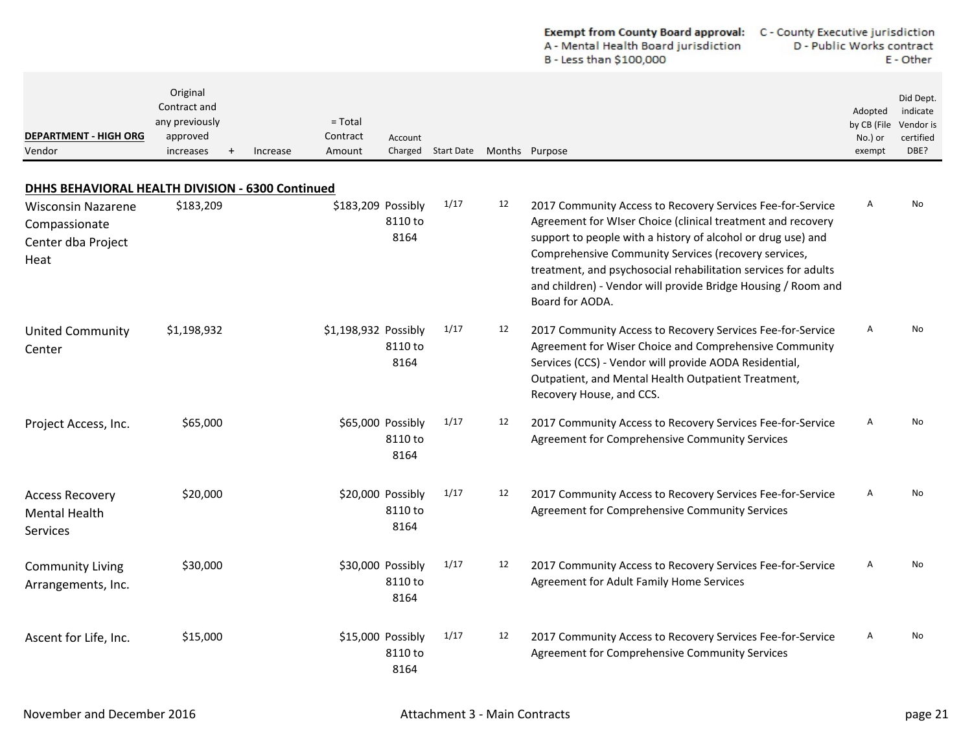|                                                                                                                              |                                                                                  |                                             |                                       |                    |                | <b>Exempt from County Board approval:</b><br>A - Mental Health Board jurisdiction<br>B - Less than \$100,000                                                                                                                                                                                                                                                                                            | C - County Executive jurisdiction<br>D - Public Works contract |                                             | E - Other                                               |
|------------------------------------------------------------------------------------------------------------------------------|----------------------------------------------------------------------------------|---------------------------------------------|---------------------------------------|--------------------|----------------|---------------------------------------------------------------------------------------------------------------------------------------------------------------------------------------------------------------------------------------------------------------------------------------------------------------------------------------------------------------------------------------------------------|----------------------------------------------------------------|---------------------------------------------|---------------------------------------------------------|
| <b>DEPARTMENT - HIGH ORG</b><br>Vendor                                                                                       | Original<br>Contract and<br>any previously<br>approved<br>increases<br>$\ddot{}$ | $=$ Total<br>Contract<br>Amount<br>Increase | Account                               | Charged Start Date | Months Purpose |                                                                                                                                                                                                                                                                                                                                                                                                         |                                                                | Adopted<br>by CB (File<br>No.) or<br>exempt | Did Dept.<br>indicate<br>Vendor is<br>certified<br>DBE? |
| DHHS BEHAVIORAL HEALTH DIVISION - 6300 Continued<br><b>Wisconsin Nazarene</b><br>Compassionate<br>Center dba Project<br>Heat | \$183,209                                                                        |                                             | \$183,209 Possibly<br>8110 to<br>8164 | 1/17               | 12             | 2017 Community Access to Recovery Services Fee-for-Service<br>Agreement for WIser Choice (clinical treatment and recovery<br>support to people with a history of alcohol or drug use) and<br>Comprehensive Community Services (recovery services,<br>treatment, and psychosocial rehabilitation services for adults<br>and children) - Vendor will provide Bridge Housing / Room and<br>Board for AODA. |                                                                | A                                           | No                                                      |
| <b>United Community</b><br>Center                                                                                            | \$1,198,932                                                                      | \$1,198,932 Possibly                        | 8110 to<br>8164                       | 1/17               | 12             | 2017 Community Access to Recovery Services Fee-for-Service<br>Agreement for Wiser Choice and Comprehensive Community<br>Services (CCS) - Vendor will provide AODA Residential,<br>Outpatient, and Mental Health Outpatient Treatment,<br>Recovery House, and CCS.                                                                                                                                       |                                                                | Α                                           | No                                                      |
| Project Access, Inc.                                                                                                         | \$65,000                                                                         |                                             | \$65,000 Possibly<br>8110 to<br>8164  | 1/17               | 12             | 2017 Community Access to Recovery Services Fee-for-Service<br>Agreement for Comprehensive Community Services                                                                                                                                                                                                                                                                                            |                                                                | Α                                           | No                                                      |
| <b>Access Recovery</b><br><b>Mental Health</b><br><b>Services</b>                                                            | \$20,000                                                                         |                                             | \$20,000 Possibly<br>8110 to<br>8164  | 1/17               | 12             | 2017 Community Access to Recovery Services Fee-for-Service<br>Agreement for Comprehensive Community Services                                                                                                                                                                                                                                                                                            |                                                                | A                                           | No                                                      |
| <b>Community Living</b><br>Arrangements, Inc.                                                                                | \$30,000                                                                         |                                             | \$30,000 Possibly<br>8110 to<br>8164  | 1/17               | 12             | 2017 Community Access to Recovery Services Fee-for-Service<br>Agreement for Adult Family Home Services                                                                                                                                                                                                                                                                                                  |                                                                | A                                           | No                                                      |
| Ascent for Life, Inc.                                                                                                        | \$15,000                                                                         |                                             | \$15,000 Possibly<br>8110 to<br>8164  | 1/17               | 12             | 2017 Community Access to Recovery Services Fee-for-Service<br>Agreement for Comprehensive Community Services                                                                                                                                                                                                                                                                                            |                                                                | Α                                           | No                                                      |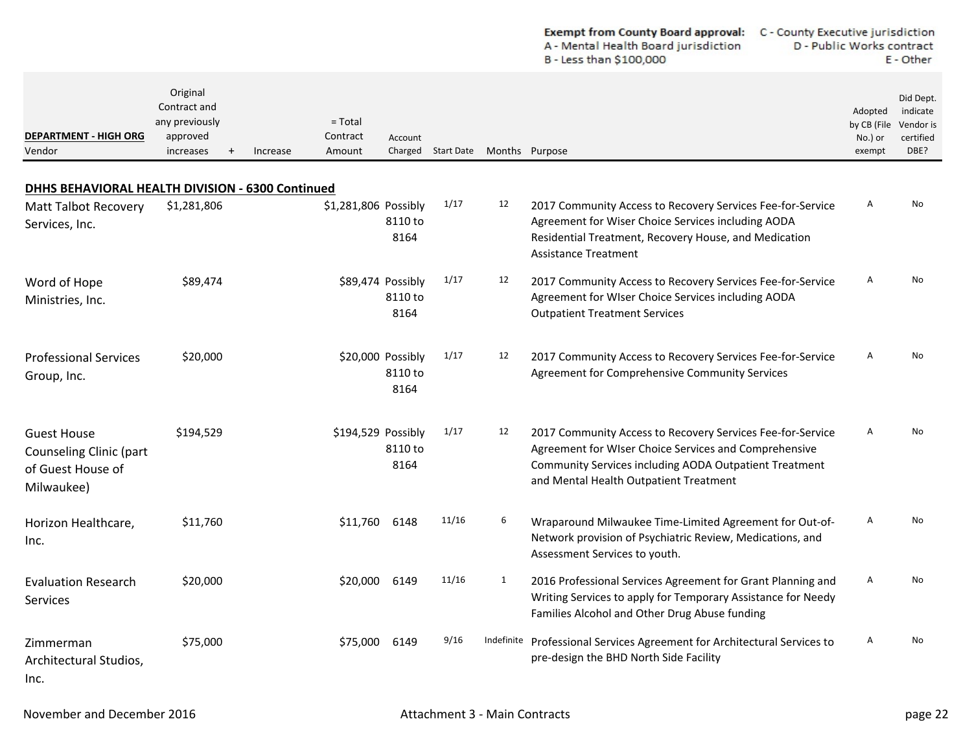|                                                                                  |                                                                                  |                                             |                                      |                    |                | A - Mental Health Board jurisdiction<br>B - Less than \$100,000                                                                                                                                                         | D - Public Works contract                   | E - Other                                               |
|----------------------------------------------------------------------------------|----------------------------------------------------------------------------------|---------------------------------------------|--------------------------------------|--------------------|----------------|-------------------------------------------------------------------------------------------------------------------------------------------------------------------------------------------------------------------------|---------------------------------------------|---------------------------------------------------------|
| <b>DEPARTMENT - HIGH ORG</b><br>Vendor                                           | Original<br>Contract and<br>any previously<br>approved<br>increases<br>$\ddot{}$ | $=$ Total<br>Contract<br>Amount<br>Increase | Account                              | Charged Start Date | Months Purpose |                                                                                                                                                                                                                         | Adopted<br>by CB (File<br>No.) or<br>exempt | Did Dept.<br>indicate<br>Vendor is<br>certified<br>DBE? |
| DHHS BEHAVIORAL HEALTH DIVISION - 6300 Continued                                 |                                                                                  |                                             |                                      |                    |                |                                                                                                                                                                                                                         |                                             |                                                         |
| <b>Matt Talbot Recovery</b><br>Services, Inc.                                    | \$1,281,806                                                                      | \$1,281,806 Possibly                        | 8110 to<br>8164                      | 1/17               | 12             | 2017 Community Access to Recovery Services Fee-for-Service<br>Agreement for Wiser Choice Services including AODA<br>Residential Treatment, Recovery House, and Medication<br>Assistance Treatment                       | Α                                           | No                                                      |
| Word of Hope<br>Ministries, Inc.                                                 | \$89,474                                                                         |                                             | \$89,474 Possibly<br>8110 to<br>8164 | 1/17               | 12             | 2017 Community Access to Recovery Services Fee-for-Service<br>Agreement for WIser Choice Services including AODA<br><b>Outpatient Treatment Services</b>                                                                | A                                           | No                                                      |
| <b>Professional Services</b><br>Group, Inc.                                      | \$20,000                                                                         |                                             | \$20,000 Possibly<br>8110 to<br>8164 | 1/17               | 12             | 2017 Community Access to Recovery Services Fee-for-Service<br>Agreement for Comprehensive Community Services                                                                                                            | Α                                           | No                                                      |
| <b>Guest House</b><br>Counseling Clinic (part<br>of Guest House of<br>Milwaukee) | \$194,529                                                                        | \$194,529 Possibly                          | 8110 to<br>8164                      | 1/17               | 12             | 2017 Community Access to Recovery Services Fee-for-Service<br>Agreement for WIser Choice Services and Comprehensive<br>Community Services including AODA Outpatient Treatment<br>and Mental Health Outpatient Treatment | A                                           | No                                                      |
| Horizon Healthcare,<br>Inc.                                                      | \$11,760                                                                         | \$11,760                                    | 6148                                 | 11/16              | 6              | Wraparound Milwaukee Time-Limited Agreement for Out-of-<br>Network provision of Psychiatric Review, Medications, and<br>Assessment Services to youth.                                                                   | Α                                           | No                                                      |
| <b>Evaluation Research</b><br>Services                                           | \$20,000                                                                         | \$20,000                                    | 6149                                 | 11/16              | 1              | 2016 Professional Services Agreement for Grant Planning and<br>Writing Services to apply for Temporary Assistance for Needy<br>Families Alcohol and Other Drug Abuse funding                                            | A                                           | No                                                      |
| Zimmerman<br>Architectural Studios,<br>Inc.                                      | \$75,000                                                                         | \$75,000 6149                               |                                      | 9/16               |                | Indefinite Professional Services Agreement for Architectural Services to<br>pre-design the BHD North Side Facility                                                                                                      | A                                           | No                                                      |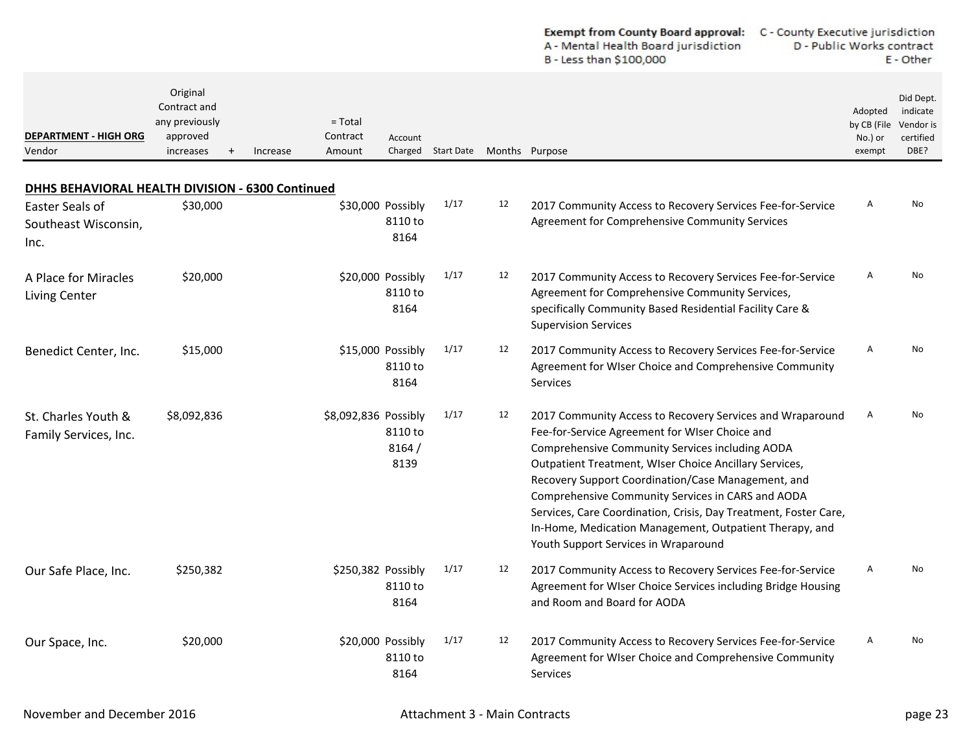|                                                                                                     |                                                                                  |          |                                 |                                      |                                   |    | A - Mental Health Board jurisdiction<br>B - Less than \$100,000                                                                                                                                                                                                                                                                                                                                                                                                                                            | D - Public Works contract                   | E - Other                                               |
|-----------------------------------------------------------------------------------------------------|----------------------------------------------------------------------------------|----------|---------------------------------|--------------------------------------|-----------------------------------|----|------------------------------------------------------------------------------------------------------------------------------------------------------------------------------------------------------------------------------------------------------------------------------------------------------------------------------------------------------------------------------------------------------------------------------------------------------------------------------------------------------------|---------------------------------------------|---------------------------------------------------------|
| <b>DEPARTMENT - HIGH ORG</b><br>Vendor                                                              | Original<br>Contract and<br>any previously<br>approved<br>increases<br>$\ddot{}$ | Increase | $=$ Total<br>Contract<br>Amount | Account                              | Charged Start Date Months Purpose |    |                                                                                                                                                                                                                                                                                                                                                                                                                                                                                                            | Adopted<br>by CB (File<br>No.) or<br>exempt | Did Dept.<br>indicate<br>Vendor is<br>certified<br>DBE? |
|                                                                                                     |                                                                                  |          |                                 |                                      |                                   |    |                                                                                                                                                                                                                                                                                                                                                                                                                                                                                                            |                                             |                                                         |
| DHHS BEHAVIORAL HEALTH DIVISION - 6300 Continued<br>Easter Seals of<br>Southeast Wisconsin,<br>Inc. | \$30,000                                                                         |          |                                 | \$30,000 Possibly<br>8110 to<br>8164 | 1/17                              | 12 | 2017 Community Access to Recovery Services Fee-for-Service<br>Agreement for Comprehensive Community Services                                                                                                                                                                                                                                                                                                                                                                                               | Α                                           | No                                                      |
| A Place for Miracles<br><b>Living Center</b>                                                        | \$20,000                                                                         |          | \$20,000 Possibly               | 8110 to<br>8164                      | 1/17                              | 12 | 2017 Community Access to Recovery Services Fee-for-Service<br>Agreement for Comprehensive Community Services,<br>specifically Community Based Residential Facility Care &<br><b>Supervision Services</b>                                                                                                                                                                                                                                                                                                   | Α                                           | No                                                      |
| Benedict Center, Inc.                                                                               | \$15,000                                                                         |          | \$15,000 Possibly               | 8110 to<br>8164                      | 1/17                              | 12 | 2017 Community Access to Recovery Services Fee-for-Service<br>Agreement for WIser Choice and Comprehensive Community<br>Services                                                                                                                                                                                                                                                                                                                                                                           | Α                                           | No                                                      |
| St. Charles Youth &<br>Family Services, Inc.                                                        | \$8,092,836                                                                      |          | \$8,092,836 Possibly            | 8110 to<br>8164/<br>8139             | 1/17                              | 12 | 2017 Community Access to Recovery Services and Wraparound<br>Fee-for-Service Agreement for WIser Choice and<br>Comprehensive Community Services including AODA<br>Outpatient Treatment, WIser Choice Ancillary Services,<br>Recovery Support Coordination/Case Management, and<br>Comprehensive Community Services in CARS and AODA<br>Services, Care Coordination, Crisis, Day Treatment, Foster Care,<br>In-Home, Medication Management, Outpatient Therapy, and<br>Youth Support Services in Wraparound | Α                                           | No                                                      |
| Our Safe Place, Inc.                                                                                | \$250,382                                                                        |          | \$250,382 Possibly              | 8110 to<br>8164                      | 1/17                              | 12 | 2017 Community Access to Recovery Services Fee-for-Service<br>Agreement for WIser Choice Services including Bridge Housing<br>and Room and Board for AODA                                                                                                                                                                                                                                                                                                                                                  | Α                                           | No                                                      |
| Our Space, Inc.                                                                                     | \$20,000                                                                         |          | \$20,000 Possibly               | 8110 to<br>8164                      | 1/17                              | 12 | 2017 Community Access to Recovery Services Fee-for-Service<br>Agreement for WIser Choice and Comprehensive Community<br><b>Services</b>                                                                                                                                                                                                                                                                                                                                                                    | Α                                           | No                                                      |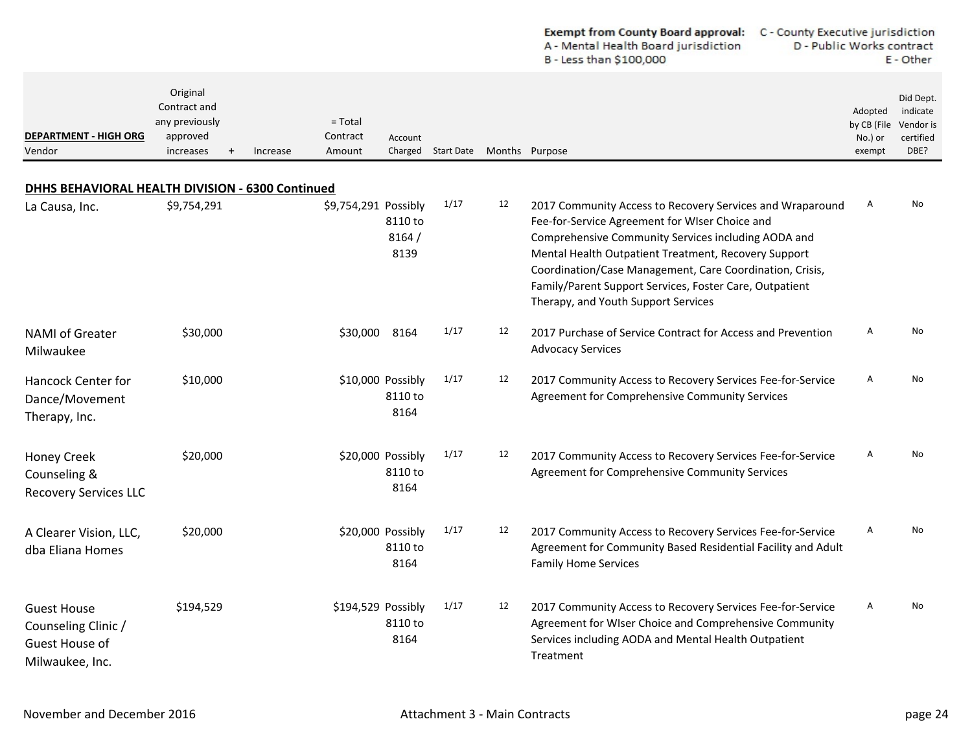|                                                                                |                                                                     |          |                                 |                                      |                    |    | Exempt from County Board approval:<br>C - County Executive jurisdiction<br>A - Mental Health Board jurisdiction<br>B - Less than \$100,000                                                                                                                                                                                                                                               | D - Public Works contract                   | E - Other                                               |
|--------------------------------------------------------------------------------|---------------------------------------------------------------------|----------|---------------------------------|--------------------------------------|--------------------|----|------------------------------------------------------------------------------------------------------------------------------------------------------------------------------------------------------------------------------------------------------------------------------------------------------------------------------------------------------------------------------------------|---------------------------------------------|---------------------------------------------------------|
| <b>DEPARTMENT - HIGH ORG</b><br>Vendor                                         | Original<br>Contract and<br>any previously<br>approved<br>increases | Increase | $=$ Total<br>Contract<br>Amount | Account                              | Charged Start Date |    | Months Purpose                                                                                                                                                                                                                                                                                                                                                                           | Adopted<br>by CB (File<br>No.) or<br>exempt | Did Dept.<br>indicate<br>Vendor is<br>certified<br>DBE? |
| DHHS BEHAVIORAL HEALTH DIVISION - 6300 Continued                               |                                                                     |          |                                 |                                      |                    |    |                                                                                                                                                                                                                                                                                                                                                                                          |                                             |                                                         |
| La Causa, Inc.                                                                 | \$9,754,291                                                         |          | \$9,754,291 Possibly            | 8110 to<br>8164/<br>8139             | 1/17               | 12 | 2017 Community Access to Recovery Services and Wraparound<br>Fee-for-Service Agreement for WIser Choice and<br>Comprehensive Community Services including AODA and<br>Mental Health Outpatient Treatment, Recovery Support<br>Coordination/Case Management, Care Coordination, Crisis,<br>Family/Parent Support Services, Foster Care, Outpatient<br>Therapy, and Youth Support Services | A                                           | No                                                      |
| <b>NAMI</b> of Greater<br>Milwaukee                                            | \$30,000                                                            |          | \$30,000                        | 8164                                 | 1/17               | 12 | 2017 Purchase of Service Contract for Access and Prevention<br><b>Advocacy Services</b>                                                                                                                                                                                                                                                                                                  | A                                           | No                                                      |
| Hancock Center for<br>Dance/Movement<br>Therapy, Inc.                          | \$10,000                                                            |          |                                 | \$10,000 Possibly<br>8110 to<br>8164 | 1/17               | 12 | 2017 Community Access to Recovery Services Fee-for-Service<br>Agreement for Comprehensive Community Services                                                                                                                                                                                                                                                                             | Α                                           | <b>No</b>                                               |
| <b>Honey Creek</b><br>Counseling &<br><b>Recovery Services LLC</b>             | \$20,000                                                            |          |                                 | \$20,000 Possibly<br>8110 to<br>8164 | 1/17               | 12 | 2017 Community Access to Recovery Services Fee-for-Service<br>Agreement for Comprehensive Community Services                                                                                                                                                                                                                                                                             | A                                           | No                                                      |
| A Clearer Vision, LLC,<br>dba Eliana Homes                                     | \$20,000                                                            |          |                                 | \$20,000 Possibly<br>8110 to<br>8164 | 1/17               | 12 | 2017 Community Access to Recovery Services Fee-for-Service<br>Agreement for Community Based Residential Facility and Adult<br><b>Family Home Services</b>                                                                                                                                                                                                                                | Α                                           | No                                                      |
| <b>Guest House</b><br>Counseling Clinic /<br>Guest House of<br>Milwaukee, Inc. | \$194,529                                                           |          | \$194,529 Possibly              | 8110 to<br>8164                      | 1/17               | 12 | 2017 Community Access to Recovery Services Fee-for-Service<br>Agreement for WIser Choice and Comprehensive Community<br>Services including AODA and Mental Health Outpatient<br>Treatment                                                                                                                                                                                                | Α                                           | No                                                      |

 $\sim$  $\overline{a}$   $\mathbf{r}$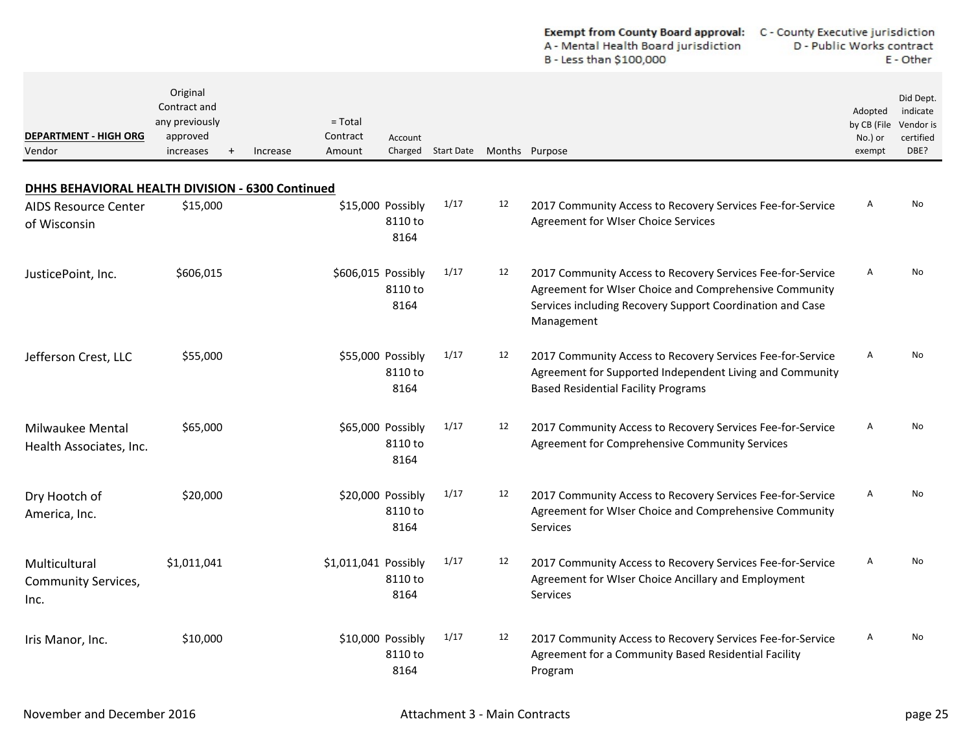| <b>Exempt from County Board approval:</b> | C - County Executive jurisdiction |
|-------------------------------------------|-----------------------------------|
| A - Mental Health Board jurisdiction      | D - Public Works contract         |
| B - Less than \$100,000                   | E - Other                         |

| <b>DEPARTMENT - HIGH ORG</b><br>Vendor              | Original<br>Contract and<br>any previously<br>approved<br>increases<br>$\ddot{}$ | Increase | $=$ Total<br>Contract<br>Amount | Account                              | Charged Start Date Months Purpose |    |                                                                                                                                                                                                 | Adopted<br>by CB (File<br>No.) or<br>exempt | Did Dept.<br>indicate<br>Vendor is<br>certified<br>DBE? |
|-----------------------------------------------------|----------------------------------------------------------------------------------|----------|---------------------------------|--------------------------------------|-----------------------------------|----|-------------------------------------------------------------------------------------------------------------------------------------------------------------------------------------------------|---------------------------------------------|---------------------------------------------------------|
| DHHS BEHAVIORAL HEALTH DIVISION - 6300 Continued    |                                                                                  |          |                                 |                                      |                                   |    |                                                                                                                                                                                                 |                                             |                                                         |
| <b>AIDS Resource Center</b><br>of Wisconsin         | \$15,000                                                                         |          |                                 | \$15,000 Possibly<br>8110 to<br>8164 | 1/17                              | 12 | 2017 Community Access to Recovery Services Fee-for-Service<br>Agreement for WIser Choice Services                                                                                               | A                                           | No.                                                     |
| JusticePoint, Inc.                                  | \$606,015                                                                        |          | \$606,015 Possibly              | 8110 to<br>8164                      | 1/17                              | 12 | 2017 Community Access to Recovery Services Fee-for-Service<br>Agreement for WIser Choice and Comprehensive Community<br>Services including Recovery Support Coordination and Case<br>Management | A                                           | No                                                      |
| Jefferson Crest, LLC                                | \$55,000                                                                         |          |                                 | \$55,000 Possibly<br>8110 to<br>8164 | 1/17                              | 12 | 2017 Community Access to Recovery Services Fee-for-Service<br>Agreement for Supported Independent Living and Community<br><b>Based Residential Facility Programs</b>                            | A                                           | No                                                      |
| Milwaukee Mental<br>Health Associates, Inc.         | \$65,000                                                                         |          |                                 | \$65,000 Possibly<br>8110 to<br>8164 | 1/17                              | 12 | 2017 Community Access to Recovery Services Fee-for-Service<br>Agreement for Comprehensive Community Services                                                                                    | A                                           | No.                                                     |
| Dry Hootch of<br>America, Inc.                      | \$20,000                                                                         |          |                                 | \$20,000 Possibly<br>8110 to<br>8164 | 1/17                              | 12 | 2017 Community Access to Recovery Services Fee-for-Service<br>Agreement for WIser Choice and Comprehensive Community<br>Services                                                                | A                                           | No.                                                     |
| Multicultural<br><b>Community Services,</b><br>Inc. | \$1,011,041                                                                      |          | \$1,011,041 Possibly            | 8110 to<br>8164                      | 1/17                              | 12 | 2017 Community Access to Recovery Services Fee-for-Service<br>Agreement for WIser Choice Ancillary and Employment<br>Services                                                                   | A                                           | No.                                                     |
| Iris Manor, Inc.                                    | \$10,000                                                                         |          |                                 | \$10,000 Possibly<br>8110 to<br>8164 | 1/17                              | 12 | 2017 Community Access to Recovery Services Fee-for-Service<br>Agreement for a Community Based Residential Facility<br>Program                                                                   | $\mathsf{A}$                                | No.                                                     |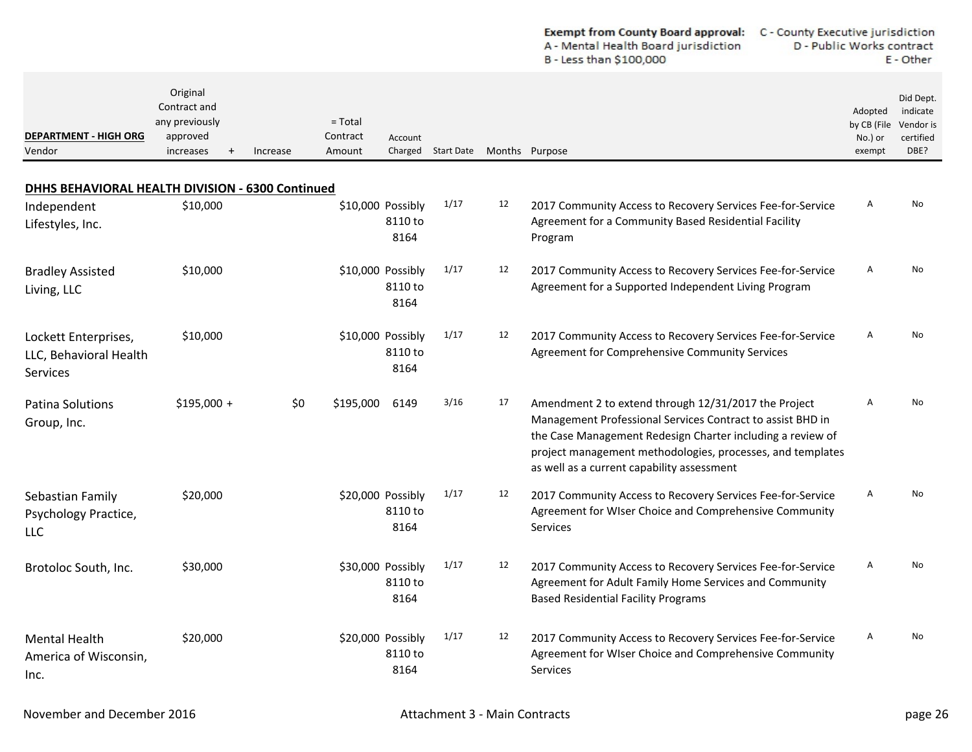| <b>Exempt from County Board approval:</b> | C - County Executive jurisdiction |
|-------------------------------------------|-----------------------------------|
| A - Mental Health Board jurisdiction      | D - Public Works contract         |
| B - Less than \$100,000                   | E - Other                         |

| <b>DEPARTMENT - HIGH ORG</b><br>Vendor                     | Original<br>Contract and<br>any previously<br>approved<br>increases | Increase | $=$ Total<br>Contract<br>Amount | Account                              | Charged Start Date Months Purpose |    |                                                                                                                                                                                                                                                                                              | Adopted<br>by CB (File<br>No.) or<br>exempt | Did Dept.<br>indicate<br>Vendor is<br>certified<br>DBE? |
|------------------------------------------------------------|---------------------------------------------------------------------|----------|---------------------------------|--------------------------------------|-----------------------------------|----|----------------------------------------------------------------------------------------------------------------------------------------------------------------------------------------------------------------------------------------------------------------------------------------------|---------------------------------------------|---------------------------------------------------------|
| DHHS BEHAVIORAL HEALTH DIVISION - 6300 Continued           |                                                                     |          |                                 |                                      |                                   |    |                                                                                                                                                                                                                                                                                              |                                             |                                                         |
| Independent<br>Lifestyles, Inc.                            | \$10,000                                                            |          |                                 | \$10,000 Possibly<br>8110 to<br>8164 | 1/17                              | 12 | 2017 Community Access to Recovery Services Fee-for-Service<br>Agreement for a Community Based Residential Facility<br>Program                                                                                                                                                                | A                                           | No.                                                     |
| <b>Bradley Assisted</b><br>Living, LLC                     | \$10,000                                                            |          |                                 | \$10,000 Possibly<br>8110 to<br>8164 | 1/17                              | 12 | 2017 Community Access to Recovery Services Fee-for-Service<br>Agreement for a Supported Independent Living Program                                                                                                                                                                           | Α                                           | No                                                      |
| Lockett Enterprises,<br>LLC, Behavioral Health<br>Services | \$10,000                                                            |          |                                 | \$10,000 Possibly<br>8110 to<br>8164 | 1/17                              | 12 | 2017 Community Access to Recovery Services Fee-for-Service<br>Agreement for Comprehensive Community Services                                                                                                                                                                                 | Α                                           | <b>No</b>                                               |
| <b>Patina Solutions</b><br>Group, Inc.                     | $$195,000 +$                                                        | \$0      | \$195,000                       | 6149                                 | 3/16                              | 17 | Amendment 2 to extend through 12/31/2017 the Project<br>Management Professional Services Contract to assist BHD in<br>the Case Management Redesign Charter including a review of<br>project management methodologies, processes, and templates<br>as well as a current capability assessment | Α                                           | No                                                      |
| Sebastian Family<br>Psychology Practice,<br>LLC.           | \$20,000                                                            |          |                                 | \$20,000 Possibly<br>8110 to<br>8164 | 1/17                              | 12 | 2017 Community Access to Recovery Services Fee-for-Service<br>Agreement for WIser Choice and Comprehensive Community<br>Services                                                                                                                                                             | Α                                           | No                                                      |
| Brotoloc South, Inc.                                       | \$30,000                                                            |          |                                 | \$30,000 Possibly<br>8110 to<br>8164 | 1/17                              | 12 | 2017 Community Access to Recovery Services Fee-for-Service<br>Agreement for Adult Family Home Services and Community<br><b>Based Residential Facility Programs</b>                                                                                                                           | Α                                           | No                                                      |
| <b>Mental Health</b><br>America of Wisconsin,<br>Inc.      | \$20,000                                                            |          |                                 | \$20,000 Possibly<br>8110 to<br>8164 | 1/17                              | 12 | 2017 Community Access to Recovery Services Fee-for-Service<br>Agreement for WIser Choice and Comprehensive Community<br>Services                                                                                                                                                             | A                                           | No                                                      |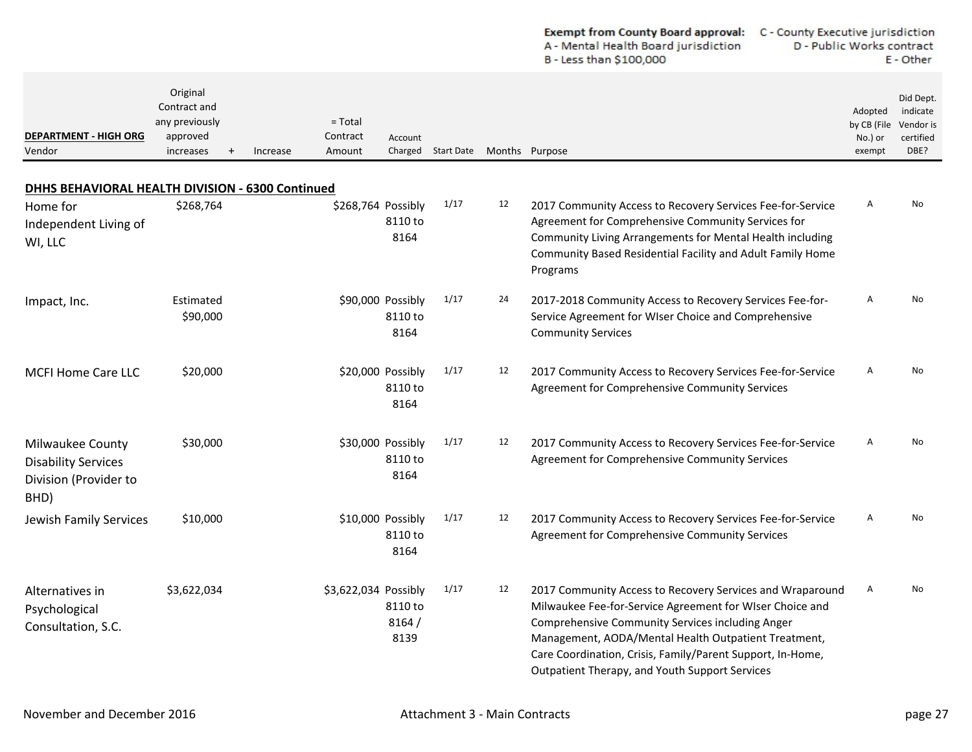|                                                                                                  |                                                                               |                                             |                                      |                   |    | A - Mental Health Board jurisdiction<br>B - Less than \$100,000                                                                                                                                                                                                                                                                                   | D - Public Works contract                   | E - Other                                               |
|--------------------------------------------------------------------------------------------------|-------------------------------------------------------------------------------|---------------------------------------------|--------------------------------------|-------------------|----|---------------------------------------------------------------------------------------------------------------------------------------------------------------------------------------------------------------------------------------------------------------------------------------------------------------------------------------------------|---------------------------------------------|---------------------------------------------------------|
| <b>DEPARTMENT - HIGH ORG</b><br>Vendor                                                           | Original<br>Contract and<br>any previously<br>approved<br>increases<br>$^{+}$ | $=$ Total<br>Contract<br>Increase<br>Amount | Account<br>Charged                   | <b>Start Date</b> |    | Months Purpose                                                                                                                                                                                                                                                                                                                                    | Adopted<br>by CB (File<br>No.) or<br>exempt | Did Dept.<br>indicate<br>Vendor is<br>certified<br>DBE? |
|                                                                                                  |                                                                               |                                             |                                      |                   |    |                                                                                                                                                                                                                                                                                                                                                   |                                             |                                                         |
| DHHS BEHAVIORAL HEALTH DIVISION - 6300 Continued<br>Home for<br>Independent Living of<br>WI, LLC | \$268,764                                                                     | \$268,764 Possibly                          | 8110 to<br>8164                      | 1/17              | 12 | 2017 Community Access to Recovery Services Fee-for-Service<br>Agreement for Comprehensive Community Services for<br>Community Living Arrangements for Mental Health including<br>Community Based Residential Facility and Adult Family Home<br>Programs                                                                                           | A                                           | No                                                      |
| Impact, Inc.                                                                                     | Estimated<br>\$90,000                                                         |                                             | \$90,000 Possibly<br>8110 to<br>8164 | 1/17              | 24 | 2017-2018 Community Access to Recovery Services Fee-for-<br>Service Agreement for WIser Choice and Comprehensive<br><b>Community Services</b>                                                                                                                                                                                                     | Α                                           | No                                                      |
| <b>MCFI Home Care LLC</b>                                                                        | \$20,000                                                                      |                                             | \$20,000 Possibly<br>8110 to<br>8164 | 1/17              | 12 | 2017 Community Access to Recovery Services Fee-for-Service<br>Agreement for Comprehensive Community Services                                                                                                                                                                                                                                      | A                                           | No                                                      |
| Milwaukee County<br><b>Disability Services</b><br>Division (Provider to<br>BHD)                  | \$30,000                                                                      |                                             | \$30,000 Possibly<br>8110 to<br>8164 | 1/17              | 12 | 2017 Community Access to Recovery Services Fee-for-Service<br>Agreement for Comprehensive Community Services                                                                                                                                                                                                                                      | A                                           | No                                                      |
| Jewish Family Services                                                                           | \$10,000                                                                      |                                             | \$10,000 Possibly<br>8110 to<br>8164 | 1/17              | 12 | 2017 Community Access to Recovery Services Fee-for-Service<br>Agreement for Comprehensive Community Services                                                                                                                                                                                                                                      | $\overline{A}$                              | No                                                      |
| Alternatives in<br>Psychological<br>Consultation, S.C.                                           | \$3,622,034                                                                   | \$3,622,034 Possibly                        | 8110 to<br>8164/<br>8139             | 1/17              | 12 | 2017 Community Access to Recovery Services and Wraparound<br>Milwaukee Fee-for-Service Agreement for WIser Choice and<br>Comprehensive Community Services including Anger<br>Management, AODA/Mental Health Outpatient Treatment,<br>Care Coordination, Crisis, Family/Parent Support, In-Home,<br>Outpatient Therapy, and Youth Support Services | A                                           | No                                                      |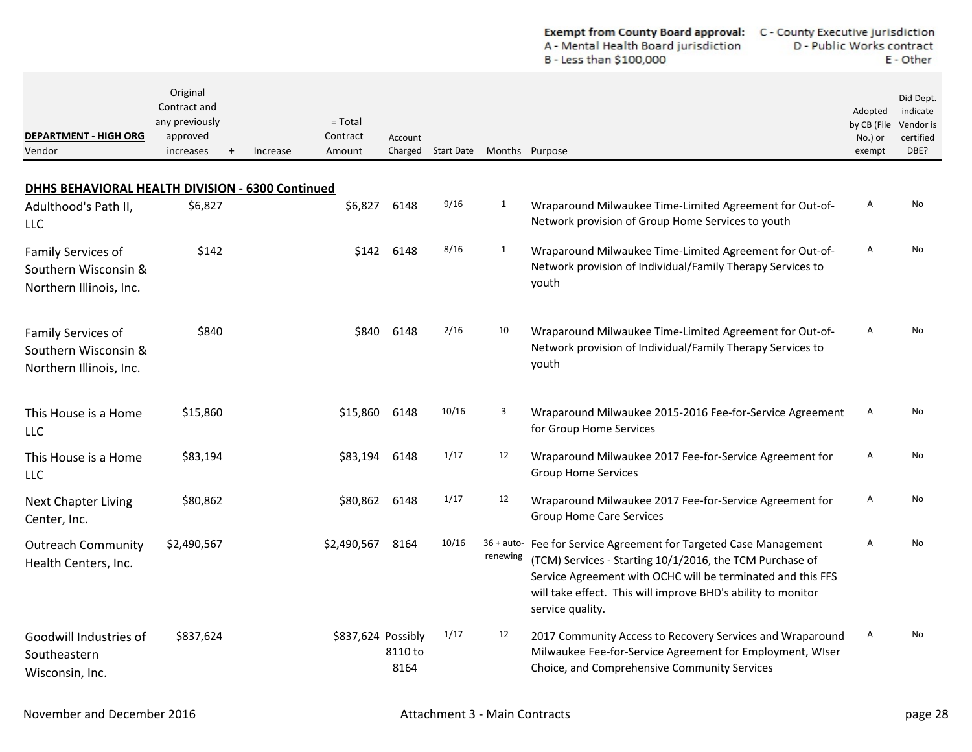|                                                                       |                                                                     |                                             |          |                                       |                    |                | A - Mental Health Board jurisdiction<br>B - Less than \$100,000                                                                                                                                                                                                                  | D - Public Works contract                   | E - Other                                               |
|-----------------------------------------------------------------------|---------------------------------------------------------------------|---------------------------------------------|----------|---------------------------------------|--------------------|----------------|----------------------------------------------------------------------------------------------------------------------------------------------------------------------------------------------------------------------------------------------------------------------------------|---------------------------------------------|---------------------------------------------------------|
| <b>DEPARTMENT - HIGH ORG</b><br>Vendor                                | Original<br>Contract and<br>any previously<br>approved<br>increases | $=$ Total<br>Contract<br>Amount<br>Increase |          | Account                               | Charged Start Date | Months Purpose |                                                                                                                                                                                                                                                                                  | Adopted<br>by CB (File<br>No.) or<br>exempt | Did Dept.<br>indicate<br>Vendor is<br>certified<br>DBE? |
| DHHS BEHAVIORAL HEALTH DIVISION - 6300 Continued                      |                                                                     |                                             |          |                                       |                    |                |                                                                                                                                                                                                                                                                                  |                                             |                                                         |
| Adulthood's Path II,<br>LLC                                           | \$6,827                                                             |                                             | \$6,827  | 6148                                  | 9/16               | 1              | Wraparound Milwaukee Time-Limited Agreement for Out-of-<br>Network provision of Group Home Services to youth                                                                                                                                                                     | Α                                           | No                                                      |
| Family Services of<br>Southern Wisconsin &<br>Northern Illinois, Inc. | \$142                                                               |                                             | \$142    | 6148                                  | 8/16               | $\mathbf{1}$   | Wraparound Milwaukee Time-Limited Agreement for Out-of-<br>Network provision of Individual/Family Therapy Services to<br>youth                                                                                                                                                   | Α                                           | No                                                      |
| Family Services of<br>Southern Wisconsin &<br>Northern Illinois, Inc. | \$840                                                               |                                             | \$840    | 6148                                  | 2/16               | 10             | Wraparound Milwaukee Time-Limited Agreement for Out-of-<br>Network provision of Individual/Family Therapy Services to<br>youth                                                                                                                                                   | A                                           | No                                                      |
| This House is a Home<br>LLC                                           | \$15,860                                                            | \$15,860                                    |          | 6148                                  | 10/16              | 3              | Wraparound Milwaukee 2015-2016 Fee-for-Service Agreement<br>for Group Home Services                                                                                                                                                                                              | Α                                           | No                                                      |
| This House is a Home<br><b>LLC</b>                                    | \$83,194                                                            | \$83,194                                    |          | 6148                                  | 1/17               | 12             | Wraparound Milwaukee 2017 Fee-for-Service Agreement for<br><b>Group Home Services</b>                                                                                                                                                                                            | Α                                           | No                                                      |
| <b>Next Chapter Living</b><br>Center, Inc.                            | \$80,862                                                            |                                             | \$80,862 | 6148                                  | 1/17               | 12             | Wraparound Milwaukee 2017 Fee-for-Service Agreement for<br><b>Group Home Care Services</b>                                                                                                                                                                                       | Α                                           | No                                                      |
| <b>Outreach Community</b><br>Health Centers, Inc.                     | \$2,490,567                                                         | \$2,490,567                                 |          | 8164                                  | 10/16              | renewing       | 36 + auto- Fee for Service Agreement for Targeted Case Management<br>(TCM) Services - Starting 10/1/2016, the TCM Purchase of<br>Service Agreement with OCHC will be terminated and this FFS<br>will take effect. This will improve BHD's ability to monitor<br>service quality. | Α                                           | No                                                      |
| Goodwill Industries of<br>Southeastern<br>Wisconsin, Inc.             | \$837,624                                                           |                                             |          | \$837,624 Possibly<br>8110 to<br>8164 | 1/17               | 12             | 2017 Community Access to Recovery Services and Wraparound<br>Milwaukee Fee-for-Service Agreement for Employment, WIser<br>Choice, and Comprehensive Community Services                                                                                                           | Α                                           | No                                                      |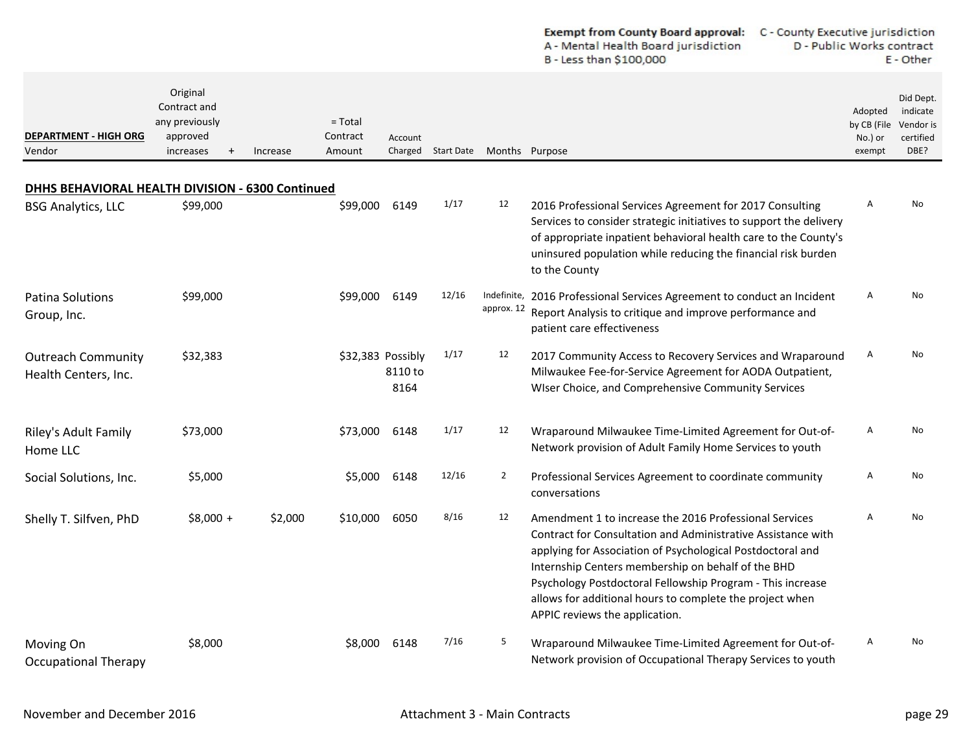|                                                   |                                                                              |          |                                 |                                      |                    |                           | <b>Exempt from County Board approval:</b><br>C - County Executive jurisdiction<br>A - Mental Health Board jurisdiction<br>B - Less than \$100,000                                                                                                                                                                                                                                                      | D - Public Works contract                   | E - Other                                               |
|---------------------------------------------------|------------------------------------------------------------------------------|----------|---------------------------------|--------------------------------------|--------------------|---------------------------|--------------------------------------------------------------------------------------------------------------------------------------------------------------------------------------------------------------------------------------------------------------------------------------------------------------------------------------------------------------------------------------------------------|---------------------------------------------|---------------------------------------------------------|
| <b>DEPARTMENT - HIGH ORG</b><br>Vendor            | Original<br>Contract and<br>any previously<br>approved<br>increases<br>$\pm$ | Increase | $=$ Total<br>Contract<br>Amount | Account                              | Charged Start Date | Months Purpose            |                                                                                                                                                                                                                                                                                                                                                                                                        | Adopted<br>by CB (File<br>No.) or<br>exempt | Did Dept.<br>indicate<br>Vendor is<br>certified<br>DBE? |
| DHHS BEHAVIORAL HEALTH DIVISION - 6300 Continued  |                                                                              |          |                                 |                                      |                    |                           |                                                                                                                                                                                                                                                                                                                                                                                                        |                                             |                                                         |
| <b>BSG Analytics, LLC</b>                         | \$99,000                                                                     |          | \$99,000                        | 6149                                 | 1/17               | 12                        | 2016 Professional Services Agreement for 2017 Consulting<br>Services to consider strategic initiatives to support the delivery<br>of appropriate inpatient behavioral health care to the County's<br>uninsured population while reducing the financial risk burden<br>to the County                                                                                                                    | Α                                           | No                                                      |
| <b>Patina Solutions</b><br>Group, Inc.            | \$99,000                                                                     |          | \$99,000                        | 6149                                 | 12/16              | Indefinite,<br>approx. 12 | 2016 Professional Services Agreement to conduct an Incident<br>Report Analysis to critique and improve performance and<br>patient care effectiveness                                                                                                                                                                                                                                                   | Α                                           | No                                                      |
| <b>Outreach Community</b><br>Health Centers, Inc. | \$32,383                                                                     |          |                                 | \$32,383 Possibly<br>8110 to<br>8164 | 1/17               | 12                        | 2017 Community Access to Recovery Services and Wraparound<br>Milwaukee Fee-for-Service Agreement for AODA Outpatient,<br>Wiser Choice, and Comprehensive Community Services                                                                                                                                                                                                                            | A                                           | No                                                      |
| Riley's Adult Family<br>Home LLC                  | \$73,000                                                                     |          | \$73,000                        | 6148                                 | 1/17               | 12                        | Wraparound Milwaukee Time-Limited Agreement for Out-of-<br>Network provision of Adult Family Home Services to youth                                                                                                                                                                                                                                                                                    | Α                                           | No                                                      |
| Social Solutions, Inc.                            | \$5,000                                                                      |          | \$5,000                         | 6148                                 | 12/16              | $\overline{2}$            | Professional Services Agreement to coordinate community<br>conversations                                                                                                                                                                                                                                                                                                                               | Α                                           | No                                                      |
| Shelly T. Silfven, PhD                            | $$8,000 +$                                                                   | \$2,000  | \$10,000                        | 6050                                 | 8/16               | 12                        | Amendment 1 to increase the 2016 Professional Services<br>Contract for Consultation and Administrative Assistance with<br>applying for Association of Psychological Postdoctoral and<br>Internship Centers membership on behalf of the BHD<br>Psychology Postdoctoral Fellowship Program - This increase<br>allows for additional hours to complete the project when<br>APPIC reviews the application. | Α                                           | No                                                      |
| Moving On<br><b>Occupational Therapy</b>          | \$8,000                                                                      |          |                                 | \$8,000 6148                         | 7/16               | 5                         | Wraparound Milwaukee Time-Limited Agreement for Out-of-<br>Network provision of Occupational Therapy Services to youth                                                                                                                                                                                                                                                                                 | A                                           | No                                                      |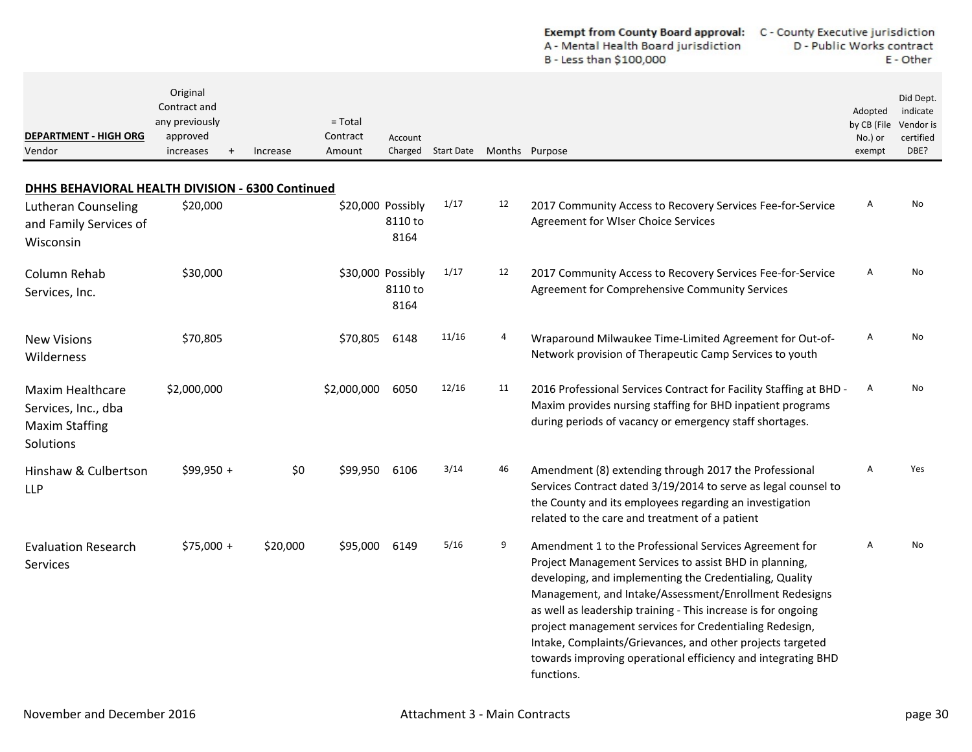| <b>Exempt from County Board approval:</b> | C - County Executive jurisdiction |
|-------------------------------------------|-----------------------------------|
| A - Mental Health Board jurisdiction      | D - Public Works contract         |
| B - Less than \$100,000                   | E - Other                         |

| <b>DEPARTMENT - HIGH ORG</b><br>Vendor                                               | Original<br>Contract and<br>any previously<br>approved<br>increases<br>$^{+}$ | Increase | $=$ Total<br>Contract<br>Amount | Account                              | Charged Start Date Months Purpose |    |                                                                                                                                                                                                                                                                                                                                                                                                                                                                                                               | Adopted<br>by CB (File<br>No.) or<br>exempt | Did Dept.<br>indicate<br>Vendor is<br>certified<br>DBE? |
|--------------------------------------------------------------------------------------|-------------------------------------------------------------------------------|----------|---------------------------------|--------------------------------------|-----------------------------------|----|---------------------------------------------------------------------------------------------------------------------------------------------------------------------------------------------------------------------------------------------------------------------------------------------------------------------------------------------------------------------------------------------------------------------------------------------------------------------------------------------------------------|---------------------------------------------|---------------------------------------------------------|
| DHHS BEHAVIORAL HEALTH DIVISION - 6300 Continued                                     |                                                                               |          |                                 |                                      |                                   |    |                                                                                                                                                                                                                                                                                                                                                                                                                                                                                                               |                                             |                                                         |
| Lutheran Counseling<br>and Family Services of<br>Wisconsin                           | \$20,000                                                                      |          |                                 | \$20,000 Possibly<br>8110 to<br>8164 | 1/17                              | 12 | 2017 Community Access to Recovery Services Fee-for-Service<br>Agreement for WIser Choice Services                                                                                                                                                                                                                                                                                                                                                                                                             | A                                           | No                                                      |
| Column Rehab<br>Services, Inc.                                                       | \$30,000                                                                      |          |                                 | \$30,000 Possibly<br>8110 to<br>8164 | 1/17                              | 12 | 2017 Community Access to Recovery Services Fee-for-Service<br>Agreement for Comprehensive Community Services                                                                                                                                                                                                                                                                                                                                                                                                  | A                                           | No                                                      |
| <b>New Visions</b><br>Wilderness                                                     | \$70,805                                                                      |          | \$70,805                        | 6148                                 | 11/16                             | 4  | Wraparound Milwaukee Time-Limited Agreement for Out-of-<br>Network provision of Therapeutic Camp Services to youth                                                                                                                                                                                                                                                                                                                                                                                            | A                                           | No                                                      |
| <b>Maxim Healthcare</b><br>Services, Inc., dba<br><b>Maxim Staffing</b><br>Solutions | \$2,000,000                                                                   |          | \$2,000,000                     | 6050                                 | 12/16                             | 11 | 2016 Professional Services Contract for Facility Staffing at BHD -<br>Maxim provides nursing staffing for BHD inpatient programs<br>during periods of vacancy or emergency staff shortages.                                                                                                                                                                                                                                                                                                                   | A                                           | No                                                      |
| Hinshaw & Culbertson<br><b>LLP</b>                                                   | \$99,950 +                                                                    | \$0      | \$99.950                        | 6106                                 | 3/14                              | 46 | Amendment (8) extending through 2017 the Professional<br>Services Contract dated 3/19/2014 to serve as legal counsel to<br>the County and its employees regarding an investigation<br>related to the care and treatment of a patient                                                                                                                                                                                                                                                                          | $\overline{A}$                              | <b>Yes</b>                                              |
| <b>Evaluation Research</b><br><b>Services</b>                                        | $$75,000 +$                                                                   | \$20,000 | \$95,000                        | 6149                                 | 5/16                              | 9  | Amendment 1 to the Professional Services Agreement for<br>Project Management Services to assist BHD in planning,<br>developing, and implementing the Credentialing, Quality<br>Management, and Intake/Assessment/Enrollment Redesigns<br>as well as leadership training - This increase is for ongoing<br>project management services for Credentialing Redesign,<br>Intake, Complaints/Grievances, and other projects targeted<br>towards improving operational efficiency and integrating BHD<br>functions. | A                                           | No                                                      |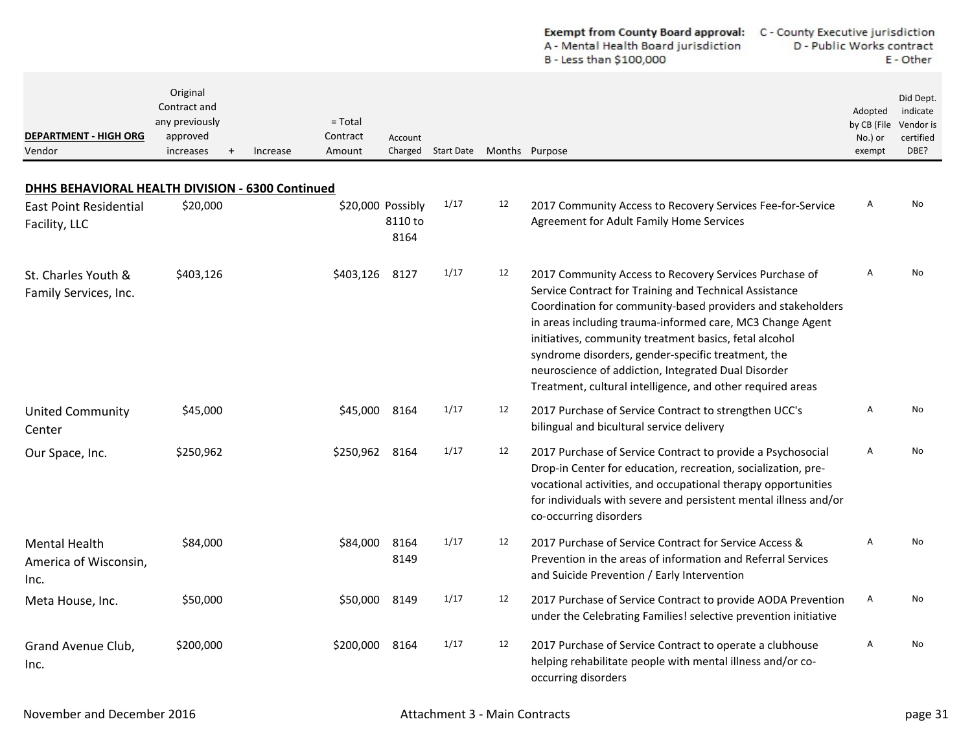|                                                       |                                                                     |                                             |                                      |                                   | <b>Exempt from County Board approval:</b><br>A - Mental Health Board jurisdiction<br>B - Less than \$100,000 | C - County Executive jurisdiction<br>D - Public Works contract<br>E - Other                                                                                                                                                                                                                                                                                                                                                                                                       |  |                                             |                                                         |
|-------------------------------------------------------|---------------------------------------------------------------------|---------------------------------------------|--------------------------------------|-----------------------------------|--------------------------------------------------------------------------------------------------------------|-----------------------------------------------------------------------------------------------------------------------------------------------------------------------------------------------------------------------------------------------------------------------------------------------------------------------------------------------------------------------------------------------------------------------------------------------------------------------------------|--|---------------------------------------------|---------------------------------------------------------|
| <b>DEPARTMENT - HIGH ORG</b><br>Vendor                | Original<br>Contract and<br>any previously<br>approved<br>increases | $=$ Total<br>Contract<br>Increase<br>Amount | Account                              | Charged Start Date Months Purpose |                                                                                                              |                                                                                                                                                                                                                                                                                                                                                                                                                                                                                   |  | Adopted<br>by CB (File<br>No.) or<br>exempt | Did Dept.<br>indicate<br>Vendor is<br>certified<br>DBE? |
| DHHS BEHAVIORAL HEALTH DIVISION - 6300 Continued      |                                                                     |                                             |                                      |                                   |                                                                                                              |                                                                                                                                                                                                                                                                                                                                                                                                                                                                                   |  |                                             |                                                         |
| <b>East Point Residential</b><br>Facility, LLC        | \$20,000                                                            |                                             | \$20,000 Possibly<br>8110 to<br>8164 | 1/17                              | 12                                                                                                           | 2017 Community Access to Recovery Services Fee-for-Service<br>Agreement for Adult Family Home Services                                                                                                                                                                                                                                                                                                                                                                            |  | Α                                           | No                                                      |
| St. Charles Youth &<br>Family Services, Inc.          | \$403,126                                                           | \$403,126                                   | 8127                                 | 1/17                              | 12                                                                                                           | 2017 Community Access to Recovery Services Purchase of<br>Service Contract for Training and Technical Assistance<br>Coordination for community-based providers and stakeholders<br>in areas including trauma-informed care, MC3 Change Agent<br>initiatives, community treatment basics, fetal alcohol<br>syndrome disorders, gender-specific treatment, the<br>neuroscience of addiction, Integrated Dual Disorder<br>Treatment, cultural intelligence, and other required areas |  | A                                           | No                                                      |
| <b>United Community</b><br>Center                     | \$45,000                                                            | \$45,000                                    | 8164                                 | 1/17                              | 12                                                                                                           | 2017 Purchase of Service Contract to strengthen UCC's<br>bilingual and bicultural service delivery                                                                                                                                                                                                                                                                                                                                                                                |  | A                                           | No                                                      |
| Our Space, Inc.                                       | \$250,962                                                           | \$250,962 8164                              |                                      | 1/17                              | 12                                                                                                           | 2017 Purchase of Service Contract to provide a Psychosocial<br>Drop-in Center for education, recreation, socialization, pre-<br>vocational activities, and occupational therapy opportunities<br>for individuals with severe and persistent mental illness and/or<br>co-occurring disorders                                                                                                                                                                                       |  | Α                                           | No                                                      |
| <b>Mental Health</b><br>America of Wisconsin,<br>Inc. | \$84,000                                                            | \$84,000                                    | 8164<br>8149                         | 1/17                              | 12                                                                                                           | 2017 Purchase of Service Contract for Service Access &<br>Prevention in the areas of information and Referral Services<br>and Suicide Prevention / Early Intervention                                                                                                                                                                                                                                                                                                             |  | A                                           | No                                                      |
| Meta House, Inc.                                      | \$50,000                                                            |                                             | \$50,000 8149                        | 1/17                              | 12                                                                                                           | 2017 Purchase of Service Contract to provide AODA Prevention<br>under the Celebrating Families! selective prevention initiative                                                                                                                                                                                                                                                                                                                                                   |  | Α                                           | No                                                      |
| Grand Avenue Club,<br>Inc.                            | \$200,000                                                           | \$200,000 8164                              |                                      | 1/17                              | 12                                                                                                           | 2017 Purchase of Service Contract to operate a clubhouse<br>helping rehabilitate people with mental illness and/or co-<br>occurring disorders                                                                                                                                                                                                                                                                                                                                     |  | Α                                           | No                                                      |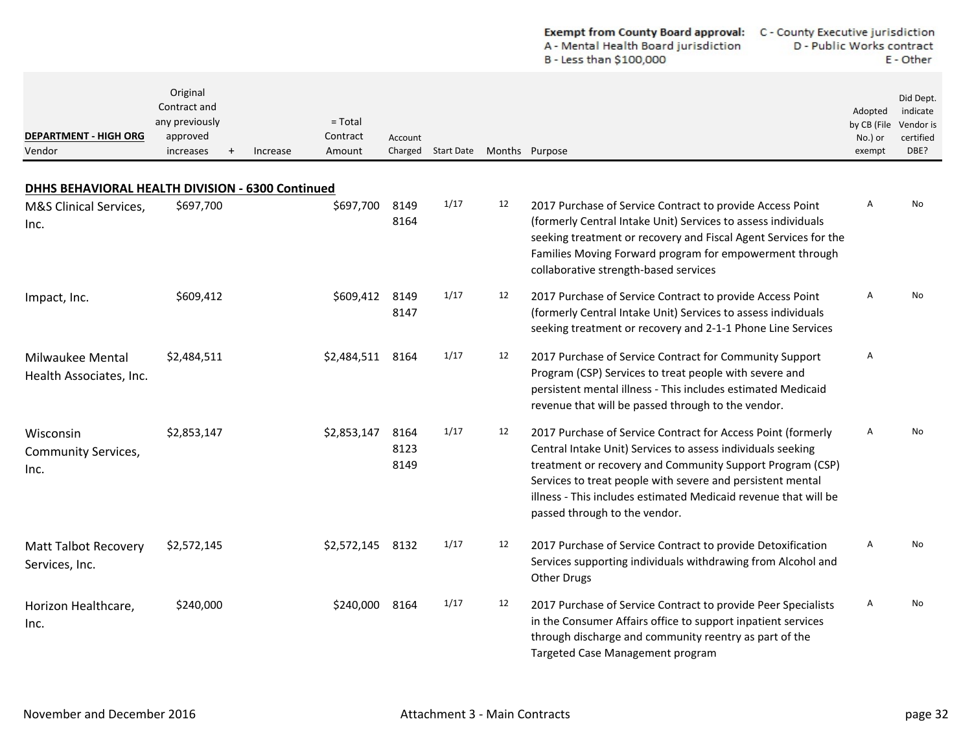|                                                  |                                                                               |                                             |                      |                   |    | <b>Exempt from County Board approval:</b><br>A - Mental Health Board jurisdiction<br>B - Less than \$100,000                                                                                                                                                                                                                                               | C - County Executive jurisdiction<br>D - Public Works contract |                                             | E - Other                                               |
|--------------------------------------------------|-------------------------------------------------------------------------------|---------------------------------------------|----------------------|-------------------|----|------------------------------------------------------------------------------------------------------------------------------------------------------------------------------------------------------------------------------------------------------------------------------------------------------------------------------------------------------------|----------------------------------------------------------------|---------------------------------------------|---------------------------------------------------------|
| <b>DEPARTMENT - HIGH ORG</b><br>Vendor           | Original<br>Contract and<br>any previously<br>approved<br>increases<br>$^{+}$ | $=$ Total<br>Contract<br>Increase<br>Amount | Account<br>Charged   | <b>Start Date</b> |    | Months Purpose                                                                                                                                                                                                                                                                                                                                             |                                                                | Adopted<br>by CB (File<br>No.) or<br>exempt | Did Dept.<br>indicate<br>Vendor is<br>certified<br>DBE? |
| DHHS BEHAVIORAL HEALTH DIVISION - 6300 Continued |                                                                               |                                             |                      |                   |    |                                                                                                                                                                                                                                                                                                                                                            |                                                                |                                             |                                                         |
| M&S Clinical Services,<br>Inc.                   | \$697,700                                                                     | \$697,700                                   | 8149<br>8164         | 1/17              | 12 | 2017 Purchase of Service Contract to provide Access Point<br>(formerly Central Intake Unit) Services to assess individuals<br>seeking treatment or recovery and Fiscal Agent Services for the<br>Families Moving Forward program for empowerment through<br>collaborative strength-based services                                                          |                                                                | $\overline{A}$                              | No                                                      |
| Impact, Inc.                                     | \$609,412                                                                     | \$609,412                                   | 8149<br>8147         | 1/17              | 12 | 2017 Purchase of Service Contract to provide Access Point<br>(formerly Central Intake Unit) Services to assess individuals<br>seeking treatment or recovery and 2-1-1 Phone Line Services                                                                                                                                                                  |                                                                | A                                           | No                                                      |
| Milwaukee Mental<br>Health Associates, Inc.      | \$2,484,511                                                                   | \$2,484,511 8164                            |                      | 1/17              | 12 | 2017 Purchase of Service Contract for Community Support<br>Program (CSP) Services to treat people with severe and<br>persistent mental illness - This includes estimated Medicaid<br>revenue that will be passed through to the vendor.                                                                                                                    |                                                                | A                                           |                                                         |
| Wisconsin<br><b>Community Services,</b><br>Inc.  | \$2,853,147                                                                   | \$2,853,147                                 | 8164<br>8123<br>8149 | 1/17              | 12 | 2017 Purchase of Service Contract for Access Point (formerly<br>Central Intake Unit) Services to assess individuals seeking<br>treatment or recovery and Community Support Program (CSP)<br>Services to treat people with severe and persistent mental<br>illness - This includes estimated Medicaid revenue that will be<br>passed through to the vendor. |                                                                | A                                           | No                                                      |
| <b>Matt Talbot Recovery</b><br>Services, Inc.    | \$2,572,145                                                                   | \$2,572,145 8132                            |                      | 1/17              | 12 | 2017 Purchase of Service Contract to provide Detoxification<br>Services supporting individuals withdrawing from Alcohol and<br>Other Drugs                                                                                                                                                                                                                 |                                                                | A                                           | No                                                      |
| Horizon Healthcare,<br>Inc.                      | \$240,000                                                                     | \$240,000                                   | 8164                 | 1/17              | 12 | 2017 Purchase of Service Contract to provide Peer Specialists<br>in the Consumer Affairs office to support inpatient services<br>through discharge and community reentry as part of the<br>Targeted Case Management program                                                                                                                                |                                                                | Α                                           | No                                                      |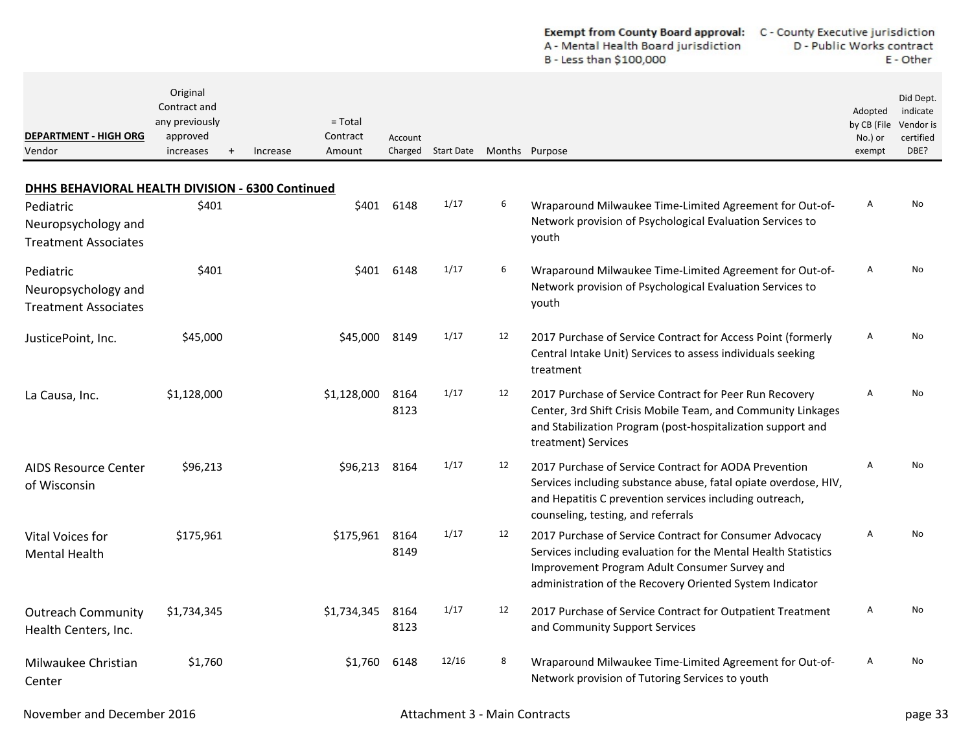| <b>Exempt from County Board approval:</b> | C - County Executive jurisdiction |
|-------------------------------------------|-----------------------------------|
| A - Mental Health Board jurisdiction      | D - Public Works contract         |
| B - Less than \$100,000                   | E - Other                         |

| <b>DEPARTMENT - HIGH ORG</b><br>Vendor                          | Original<br>Contract and<br>any previously<br>approved<br>increases | $=$ Total<br>Contract<br>Amount<br>Increase | Account<br>Charged        |       | Start Date Months Purpose |                                                                                                                                                                                                                                        | Adopted<br>by CB (File<br>No.) or<br>exempt | Did Dept.<br>indicate<br>Vendor is<br>certified<br>DBE? |
|-----------------------------------------------------------------|---------------------------------------------------------------------|---------------------------------------------|---------------------------|-------|---------------------------|----------------------------------------------------------------------------------------------------------------------------------------------------------------------------------------------------------------------------------------|---------------------------------------------|---------------------------------------------------------|
| DHHS BEHAVIORAL HEALTH DIVISION - 6300 Continued                |                                                                     |                                             |                           |       |                           |                                                                                                                                                                                                                                        |                                             |                                                         |
| Pediatric<br>Neuropsychology and<br><b>Treatment Associates</b> | \$401                                                               |                                             | \$401<br>6148             | 1/17  | 6                         | Wraparound Milwaukee Time-Limited Agreement for Out-of-<br>Network provision of Psychological Evaluation Services to<br>youth                                                                                                          | Α                                           | No                                                      |
| Pediatric<br>Neuropsychology and<br><b>Treatment Associates</b> | \$401                                                               |                                             | \$401 6148                | 1/17  | 6                         | Wraparound Milwaukee Time-Limited Agreement for Out-of-<br>Network provision of Psychological Evaluation Services to<br>youth                                                                                                          | Α                                           | No                                                      |
| JusticePoint, Inc.                                              | \$45,000                                                            |                                             | \$45,000<br>8149          | 1/17  | 12                        | 2017 Purchase of Service Contract for Access Point (formerly<br>Central Intake Unit) Services to assess individuals seeking<br>treatment                                                                                               | Α                                           | No                                                      |
| La Causa, Inc.                                                  | \$1,128,000                                                         | \$1,128,000                                 | 8164<br>8123              | 1/17  | 12                        | 2017 Purchase of Service Contract for Peer Run Recovery<br>Center, 3rd Shift Crisis Mobile Team, and Community Linkages<br>and Stabilization Program (post-hospitalization support and<br>treatment) Services                          | A                                           | No                                                      |
| <b>AIDS Resource Center</b><br>of Wisconsin                     | \$96,213                                                            |                                             | \$96,213<br>8164          | 1/17  | 12                        | 2017 Purchase of Service Contract for AODA Prevention<br>Services including substance abuse, fatal opiate overdose, HIV,<br>and Hepatitis C prevention services including outreach,<br>counseling, testing, and referrals              | A                                           | No                                                      |
| Vital Voices for<br><b>Mental Health</b>                        | \$175,961                                                           |                                             | 8164<br>\$175,961<br>8149 | 1/17  | 12                        | 2017 Purchase of Service Contract for Consumer Advocacy<br>Services including evaluation for the Mental Health Statistics<br>Improvement Program Adult Consumer Survey and<br>administration of the Recovery Oriented System Indicator | A                                           | No                                                      |
| <b>Outreach Community</b><br>Health Centers, Inc.               | \$1,734,345                                                         | \$1,734,345                                 | 8164<br>8123              | 1/17  | 12                        | 2017 Purchase of Service Contract for Outpatient Treatment<br>and Community Support Services                                                                                                                                           | A                                           | No                                                      |
| Milwaukee Christian<br>Center                                   | \$1,760                                                             |                                             | 6148<br>\$1,760           | 12/16 | 8                         | Wraparound Milwaukee Time-Limited Agreement for Out-of-<br>Network provision of Tutoring Services to youth                                                                                                                             | A                                           | <b>No</b>                                               |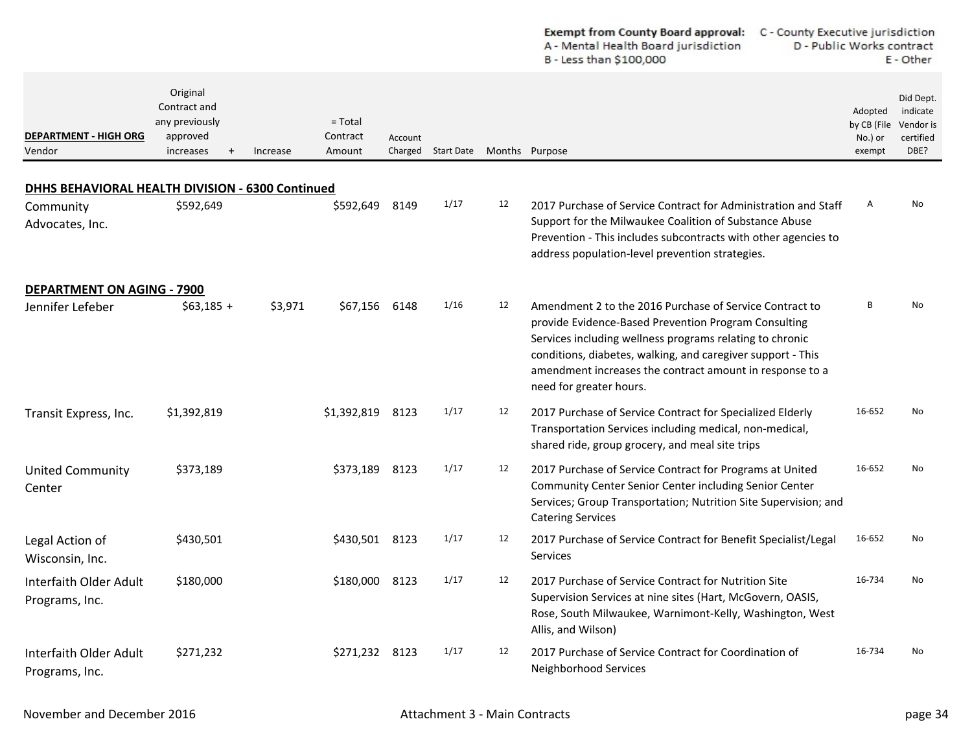|                                                                                  |                                                                     |          |                                 |                    |            |    | Exempt from County Board approval:<br>C - County Executive jurisdiction<br>A - Mental Health Board jurisdiction<br>B - Less than \$100,000                                                                                                                                                                                        | D - Public Works contract<br>E - Other      |                                                         |
|----------------------------------------------------------------------------------|---------------------------------------------------------------------|----------|---------------------------------|--------------------|------------|----|-----------------------------------------------------------------------------------------------------------------------------------------------------------------------------------------------------------------------------------------------------------------------------------------------------------------------------------|---------------------------------------------|---------------------------------------------------------|
| <b>DEPARTMENT - HIGH ORG</b><br>Vendor                                           | Original<br>Contract and<br>any previously<br>approved<br>increases | Increase | $=$ Total<br>Contract<br>Amount | Account<br>Charged | Start Date |    | Months Purpose                                                                                                                                                                                                                                                                                                                    | Adopted<br>by CB (File<br>No.) or<br>exempt | Did Dept.<br>indicate<br>Vendor is<br>certified<br>DBE? |
|                                                                                  |                                                                     |          |                                 |                    |            |    |                                                                                                                                                                                                                                                                                                                                   |                                             |                                                         |
| DHHS BEHAVIORAL HEALTH DIVISION - 6300 Continued<br>Community<br>Advocates, Inc. | \$592,649                                                           |          | \$592,649                       | 8149               | 1/17       | 12 | 2017 Purchase of Service Contract for Administration and Staff<br>Support for the Milwaukee Coalition of Substance Abuse<br>Prevention - This includes subcontracts with other agencies to<br>address population-level prevention strategies.                                                                                     | A                                           | No                                                      |
| <b>DEPARTMENT ON AGING - 7900</b>                                                |                                                                     |          |                                 |                    |            |    |                                                                                                                                                                                                                                                                                                                                   |                                             |                                                         |
| Jennifer Lefeber                                                                 | $$63,185 +$                                                         | \$3,971  | \$67,156                        | 6148               | 1/16       | 12 | Amendment 2 to the 2016 Purchase of Service Contract to<br>provide Evidence-Based Prevention Program Consulting<br>Services including wellness programs relating to chronic<br>conditions, diabetes, walking, and caregiver support - This<br>amendment increases the contract amount in response to a<br>need for greater hours. | B                                           | No                                                      |
| Transit Express, Inc.                                                            | \$1,392,819                                                         |          | \$1,392,819                     | 8123               | 1/17       | 12 | 2017 Purchase of Service Contract for Specialized Elderly<br>Transportation Services including medical, non-medical,<br>shared ride, group grocery, and meal site trips                                                                                                                                                           | 16-652                                      | No                                                      |
| <b>United Community</b><br>Center                                                | \$373,189                                                           |          | \$373,189                       | 8123               | 1/17       | 12 | 2017 Purchase of Service Contract for Programs at United<br>Community Center Senior Center including Senior Center<br>Services; Group Transportation; Nutrition Site Supervision; and<br><b>Catering Services</b>                                                                                                                 | 16-652                                      | No                                                      |
| Legal Action of<br>Wisconsin, Inc.                                               | \$430,501                                                           |          | \$430,501 8123                  |                    | 1/17       | 12 | 2017 Purchase of Service Contract for Benefit Specialist/Legal<br>Services                                                                                                                                                                                                                                                        | 16-652                                      | No                                                      |
| Interfaith Older Adult<br>Programs, Inc.                                         | \$180,000                                                           |          | \$180,000 8123                  |                    | 1/17       | 12 | 2017 Purchase of Service Contract for Nutrition Site<br>Supervision Services at nine sites (Hart, McGovern, OASIS,<br>Rose, South Milwaukee, Warnimont-Kelly, Washington, West<br>Allis, and Wilson)                                                                                                                              | 16-734                                      | No                                                      |
| Interfaith Older Adult<br>Programs, Inc.                                         | \$271,232                                                           |          | \$271,232 8123                  |                    | 1/17       | 12 | 2017 Purchase of Service Contract for Coordination of<br>Neighborhood Services                                                                                                                                                                                                                                                    | 16-734                                      | No                                                      |

 $\sim$  $\overline{a}$   $\mathbf{r}$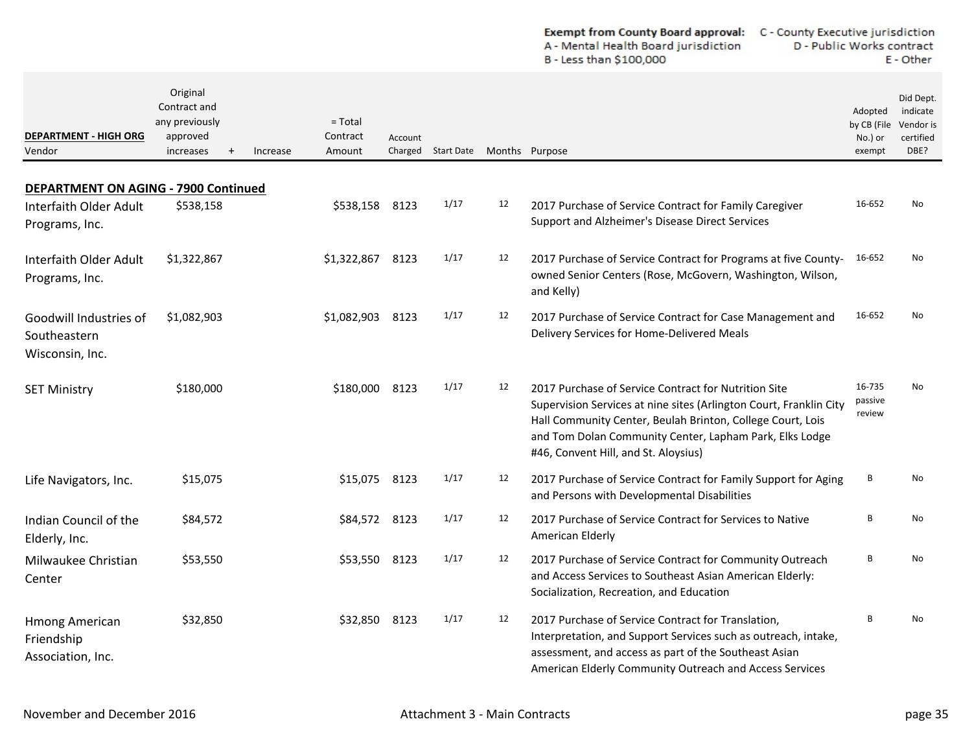| <b>Exempt from County Board approval:</b> | C - County Executive jurisdiction |
|-------------------------------------------|-----------------------------------|
| A - Mental Health Board jurisdiction      | D - Public Works contract         |
| B - Less than \$100,000                   | E - Other                         |

| <b>DEPARTMENT - HIGH ORG</b><br>Vendor                                                  | Original<br>Contract and<br>any previously<br>approved<br>increases | Increase | $=$ Total<br>Contract<br>Amount | Account | Charged Start Date Months Purpose |    |                                                                                                                                                                                                                                                                                             | Adopted<br>by CB (File<br>No.) or<br>exempt | Did Dept.<br>indicate<br>Vendor is<br>certified<br>DBE? |
|-----------------------------------------------------------------------------------------|---------------------------------------------------------------------|----------|---------------------------------|---------|-----------------------------------|----|---------------------------------------------------------------------------------------------------------------------------------------------------------------------------------------------------------------------------------------------------------------------------------------------|---------------------------------------------|---------------------------------------------------------|
|                                                                                         |                                                                     |          |                                 |         |                                   |    |                                                                                                                                                                                                                                                                                             |                                             |                                                         |
| <b>DEPARTMENT ON AGING - 7900 Continued</b><br>Interfaith Older Adult<br>Programs, Inc. | \$538,158                                                           |          | \$538,158                       | 8123    | 1/17                              | 12 | 2017 Purchase of Service Contract for Family Caregiver<br>Support and Alzheimer's Disease Direct Services                                                                                                                                                                                   | 16-652                                      | No                                                      |
| Interfaith Older Adult<br>Programs, Inc.                                                | \$1,322,867                                                         |          | \$1,322,867                     | 8123    | 1/17                              | 12 | 2017 Purchase of Service Contract for Programs at five County-<br>owned Senior Centers (Rose, McGovern, Washington, Wilson,<br>and Kelly)                                                                                                                                                   | 16-652                                      | No                                                      |
| Goodwill Industries of<br>Southeastern<br>Wisconsin, Inc.                               | \$1,082,903                                                         |          | \$1,082,903                     | 8123    | 1/17                              | 12 | 2017 Purchase of Service Contract for Case Management and<br>Delivery Services for Home-Delivered Meals                                                                                                                                                                                     | 16-652                                      | No                                                      |
| <b>SET Ministry</b>                                                                     | \$180,000                                                           |          | \$180,000 8123                  |         | 1/17                              | 12 | 2017 Purchase of Service Contract for Nutrition Site<br>Supervision Services at nine sites (Arlington Court, Franklin City<br>Hall Community Center, Beulah Brinton, College Court, Lois<br>and Tom Dolan Community Center, Lapham Park, Elks Lodge<br>#46, Convent Hill, and St. Aloysius) | 16-735<br>passive<br>review                 | No                                                      |
| Life Navigators, Inc.                                                                   | \$15,075                                                            |          | \$15,075                        | 8123    | 1/17                              | 12 | 2017 Purchase of Service Contract for Family Support for Aging<br>and Persons with Developmental Disabilities                                                                                                                                                                               | В                                           | No                                                      |
| Indian Council of the<br>Elderly, Inc.                                                  | \$84,572                                                            |          | \$84,572 8123                   |         | 1/17                              | 12 | 2017 Purchase of Service Contract for Services to Native<br>American Elderly                                                                                                                                                                                                                | В                                           | No                                                      |
| Milwaukee Christian<br>Center                                                           | \$53,550                                                            |          | \$53,550 8123                   |         | 1/17                              | 12 | 2017 Purchase of Service Contract for Community Outreach<br>and Access Services to Southeast Asian American Elderly:<br>Socialization, Recreation, and Education                                                                                                                            | В                                           | No                                                      |
| <b>Hmong American</b><br>Friendship<br>Association, Inc.                                | \$32,850                                                            |          | \$32,850                        | 8123    | 1/17                              | 12 | 2017 Purchase of Service Contract for Translation,<br>Interpretation, and Support Services such as outreach, intake,<br>assessment, and access as part of the Southeast Asian<br>American Elderly Community Outreach and Access Services                                                    | B                                           | No                                                      |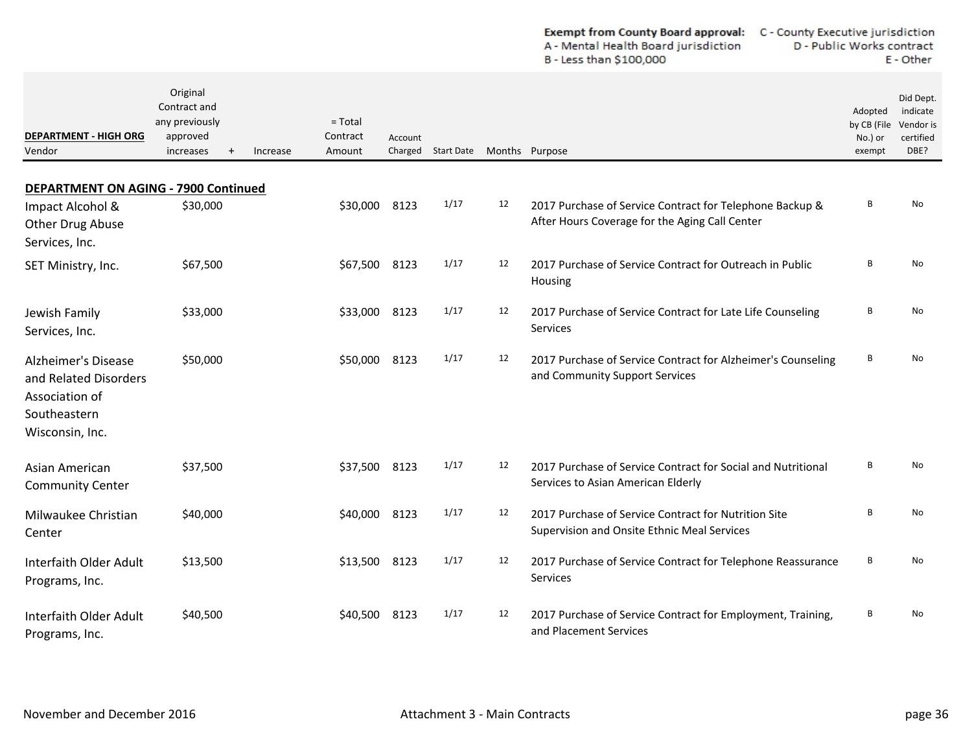| <b>Exempt from County Board approval:</b> | C - County Executive jurisdiction |
|-------------------------------------------|-----------------------------------|
| A - Mental Health Board jurisdiction      | D - Public Works contract         |
| B - Less than \$100,000                   | E - Other                         |

| <b>DEPARTMENT - HIGH ORG</b><br>Vendor                                                                   | Original<br>Contract and<br>any previously<br>approved<br>increases<br>$\ddot{}$ | Increase | $=$ Total<br>Contract<br>Amount | Account<br>Charged | <b>Start Date</b> |    | Months Purpose                                                                                             | Adopted<br>by CB (File<br>No.) or<br>exempt | Did Dept.<br>indicate<br>Vendor is<br>certified<br>DBE? |
|----------------------------------------------------------------------------------------------------------|----------------------------------------------------------------------------------|----------|---------------------------------|--------------------|-------------------|----|------------------------------------------------------------------------------------------------------------|---------------------------------------------|---------------------------------------------------------|
| <b>DEPARTMENT ON AGING - 7900 Continued</b>                                                              |                                                                                  |          |                                 |                    |                   |    |                                                                                                            |                                             |                                                         |
| Impact Alcohol &<br>Other Drug Abuse<br>Services, Inc.                                                   | \$30,000                                                                         |          | \$30,000                        | 8123               | 1/17              | 12 | 2017 Purchase of Service Contract for Telephone Backup &<br>After Hours Coverage for the Aging Call Center | В                                           | No                                                      |
| SET Ministry, Inc.                                                                                       | \$67,500                                                                         |          | \$67,500 8123                   |                    | 1/17              | 12 | 2017 Purchase of Service Contract for Outreach in Public<br>Housing                                        | B                                           | No                                                      |
| Jewish Family<br>Services, Inc.                                                                          | \$33,000                                                                         |          | \$33,000                        | 8123               | 1/17              | 12 | 2017 Purchase of Service Contract for Late Life Counseling<br>Services                                     | В                                           | No                                                      |
| <b>Alzheimer's Disease</b><br>and Related Disorders<br>Association of<br>Southeastern<br>Wisconsin, Inc. | \$50,000                                                                         |          | \$50,000                        | 8123               | 1/17              | 12 | 2017 Purchase of Service Contract for Alzheimer's Counseling<br>and Community Support Services             | В                                           | No                                                      |
| Asian American<br><b>Community Center</b>                                                                | \$37,500                                                                         |          | \$37,500                        | 8123               | 1/17              | 12 | 2017 Purchase of Service Contract for Social and Nutritional<br>Services to Asian American Elderly         | В                                           | N <sub>o</sub>                                          |
| Milwaukee Christian<br>Center                                                                            | \$40,000                                                                         |          | \$40,000                        | 8123               | 1/17              | 12 | 2017 Purchase of Service Contract for Nutrition Site<br>Supervision and Onsite Ethnic Meal Services        | В                                           | No.                                                     |
| Interfaith Older Adult<br>Programs, Inc.                                                                 | \$13,500                                                                         |          | \$13,500 8123                   |                    | 1/17              | 12 | 2017 Purchase of Service Contract for Telephone Reassurance<br>Services                                    | В                                           | N <sub>o</sub>                                          |
| Interfaith Older Adult<br>Programs, Inc.                                                                 | \$40,500                                                                         |          | \$40,500                        | 8123               | 1/17              | 12 | 2017 Purchase of Service Contract for Employment, Training,<br>and Placement Services                      | В                                           | N <sub>o</sub>                                          |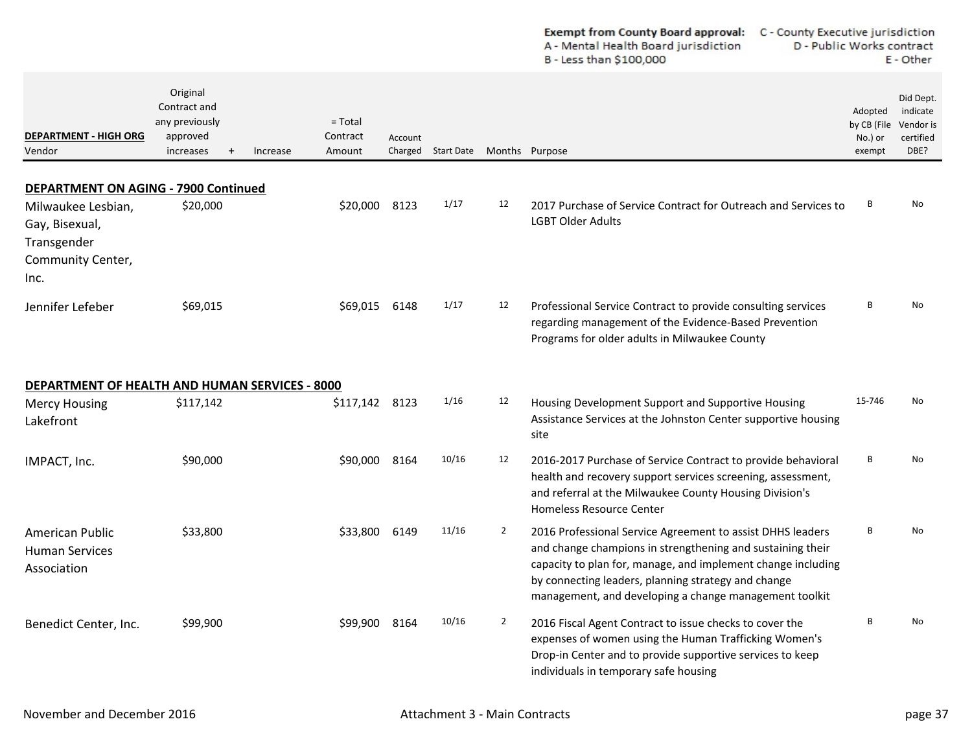|                                                                                  |                                                                                  |                                             |         | <b>Exempt from County Board approval:</b><br>A - Mental Health Board jurisdiction<br>B - Less than \$100,000 | C - County Executive jurisdiction<br>D - Public Works contract<br>E - Other |                                                                                                                                                                                                                                                                                                           |                                             |                                                         |
|----------------------------------------------------------------------------------|----------------------------------------------------------------------------------|---------------------------------------------|---------|--------------------------------------------------------------------------------------------------------------|-----------------------------------------------------------------------------|-----------------------------------------------------------------------------------------------------------------------------------------------------------------------------------------------------------------------------------------------------------------------------------------------------------|---------------------------------------------|---------------------------------------------------------|
| <b>DEPARTMENT - HIGH ORG</b><br>Vendor                                           | Original<br>Contract and<br>any previously<br>approved<br>increases<br>$\ddot{}$ | $=$ Total<br>Contract<br>Increase<br>Amount | Account | Charged Start Date                                                                                           | Months Purpose                                                              |                                                                                                                                                                                                                                                                                                           | Adopted<br>by CB (File<br>No.) or<br>exempt | Did Dept.<br>indicate<br>Vendor is<br>certified<br>DBE? |
| <b>DEPARTMENT ON AGING - 7900 Continued</b>                                      |                                                                                  |                                             |         |                                                                                                              |                                                                             |                                                                                                                                                                                                                                                                                                           |                                             |                                                         |
| Milwaukee Lesbian,<br>Gay, Bisexual,<br>Transgender<br>Community Center,<br>Inc. | \$20,000                                                                         | \$20,000                                    | 8123    | 1/17                                                                                                         | 12                                                                          | 2017 Purchase of Service Contract for Outreach and Services to<br><b>LGBT Older Adults</b>                                                                                                                                                                                                                | В                                           | No                                                      |
| Jennifer Lefeber                                                                 | \$69,015                                                                         | \$69,015                                    | 6148    | 1/17                                                                                                         | 12                                                                          | Professional Service Contract to provide consulting services<br>regarding management of the Evidence-Based Prevention<br>Programs for older adults in Milwaukee County                                                                                                                                    | B                                           | No                                                      |
| DEPARTMENT OF HEALTH AND HUMAN SERVICES - 8000                                   |                                                                                  |                                             |         |                                                                                                              |                                                                             |                                                                                                                                                                                                                                                                                                           |                                             |                                                         |
| <b>Mercy Housing</b><br>Lakefront                                                | \$117,142                                                                        | \$117,142                                   | 8123    | 1/16                                                                                                         | 12                                                                          | Housing Development Support and Supportive Housing<br>Assistance Services at the Johnston Center supportive housing<br>site                                                                                                                                                                               | 15-746                                      | No                                                      |
| IMPACT, Inc.                                                                     | \$90,000                                                                         | \$90,000                                    | 8164    | 10/16                                                                                                        | 12                                                                          | 2016-2017 Purchase of Service Contract to provide behavioral<br>health and recovery support services screening, assessment,<br>and referral at the Milwaukee County Housing Division's<br><b>Homeless Resource Center</b>                                                                                 | В                                           | No                                                      |
| American Public<br><b>Human Services</b><br>Association                          | \$33,800                                                                         | \$33,800                                    | 6149    | 11/16                                                                                                        | $\overline{2}$                                                              | 2016 Professional Service Agreement to assist DHHS leaders<br>and change champions in strengthening and sustaining their<br>capacity to plan for, manage, and implement change including<br>by connecting leaders, planning strategy and change<br>management, and developing a change management toolkit | В                                           | No                                                      |
| Benedict Center, Inc.                                                            | \$99,900                                                                         | \$99,900 8164                               |         | 10/16                                                                                                        | $\overline{2}$                                                              | 2016 Fiscal Agent Contract to issue checks to cover the<br>expenses of women using the Human Trafficking Women's<br>Drop-in Center and to provide supportive services to keep<br>individuals in temporary safe housing                                                                                    | B                                           | No                                                      |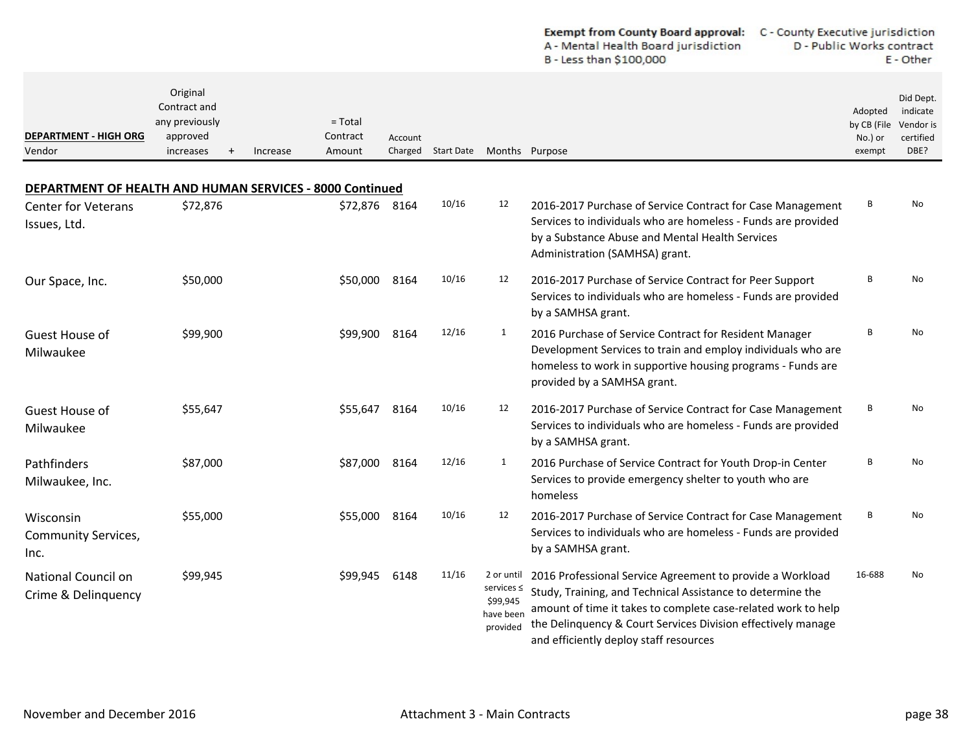|                                                                 |                                                                                  |                                             |         |                    |                                                                    | <b>Exempt from County Board approval:</b><br>A - Mental Health Board jurisdiction<br>B - Less than \$100,000                                                                                                                                                                                       | C - County Executive jurisdiction<br>D - Public Works contract<br>E - Other |                                                         |  |
|-----------------------------------------------------------------|----------------------------------------------------------------------------------|---------------------------------------------|---------|--------------------|--------------------------------------------------------------------|----------------------------------------------------------------------------------------------------------------------------------------------------------------------------------------------------------------------------------------------------------------------------------------------------|-----------------------------------------------------------------------------|---------------------------------------------------------|--|
| <b>DEPARTMENT - HIGH ORG</b><br>Vendor                          | Original<br>Contract and<br>any previously<br>approved<br>increases<br>$\ddot{}$ | $=$ Total<br>Contract<br>Increase<br>Amount | Account | Charged Start Date | Months Purpose                                                     |                                                                                                                                                                                                                                                                                                    | Adopted<br>by CB (File<br>No.) or<br>exempt                                 | Did Dept.<br>indicate<br>Vendor is<br>certified<br>DBE? |  |
| <b>DEPARTMENT OF HEALTH AND HUMAN SERVICES - 8000 Continued</b> |                                                                                  |                                             |         |                    |                                                                    |                                                                                                                                                                                                                                                                                                    |                                                                             |                                                         |  |
| <b>Center for Veterans</b><br>Issues, Ltd.                      | \$72,876                                                                         | \$72,876 8164                               |         | 10/16              | 12                                                                 | 2016-2017 Purchase of Service Contract for Case Management<br>Services to individuals who are homeless - Funds are provided<br>by a Substance Abuse and Mental Health Services<br>Administration (SAMHSA) grant.                                                                                   | В                                                                           | No.                                                     |  |
| Our Space, Inc.                                                 | \$50,000                                                                         | \$50,000                                    | 8164    | 10/16              | 12                                                                 | 2016-2017 Purchase of Service Contract for Peer Support<br>Services to individuals who are homeless - Funds are provided<br>by a SAMHSA grant.                                                                                                                                                     | B                                                                           | No                                                      |  |
| Guest House of<br>Milwaukee                                     | \$99,900                                                                         | \$99,900                                    | 8164    | 12/16              | $\mathbf{1}$                                                       | 2016 Purchase of Service Contract for Resident Manager<br>Development Services to train and employ individuals who are<br>homeless to work in supportive housing programs - Funds are<br>provided by a SAMHSA grant.                                                                               | B                                                                           | No                                                      |  |
| Guest House of<br>Milwaukee                                     | \$55,647                                                                         | \$55,647                                    | 8164    | 10/16              | 12                                                                 | 2016-2017 Purchase of Service Contract for Case Management<br>Services to individuals who are homeless - Funds are provided<br>by a SAMHSA grant.                                                                                                                                                  | В                                                                           | <b>No</b>                                               |  |
| Pathfinders<br>Milwaukee, Inc.                                  | \$87,000                                                                         | \$87,000                                    | 8164    | 12/16              | $\mathbf{1}$                                                       | 2016 Purchase of Service Contract for Youth Drop-in Center<br>Services to provide emergency shelter to youth who are<br>homeless                                                                                                                                                                   | В                                                                           | No                                                      |  |
| Wisconsin<br><b>Community Services,</b><br>Inc.                 | \$55,000                                                                         | \$55,000                                    | 8164    | 10/16              | 12                                                                 | 2016-2017 Purchase of Service Contract for Case Management<br>Services to individuals who are homeless - Funds are provided<br>by a SAMHSA grant.                                                                                                                                                  | В                                                                           | No.                                                     |  |
| National Council on<br>Crime & Delinquency                      | \$99,945                                                                         | \$99,945                                    | 6148    | 11/16              | 2 or until<br>services $\leq$<br>\$99,945<br>have been<br>provided | 2016 Professional Service Agreement to provide a Workload<br>Study, Training, and Technical Assistance to determine the<br>amount of time it takes to complete case-related work to help<br>the Delinquency & Court Services Division effectively manage<br>and efficiently deploy staff resources | 16-688                                                                      | No                                                      |  |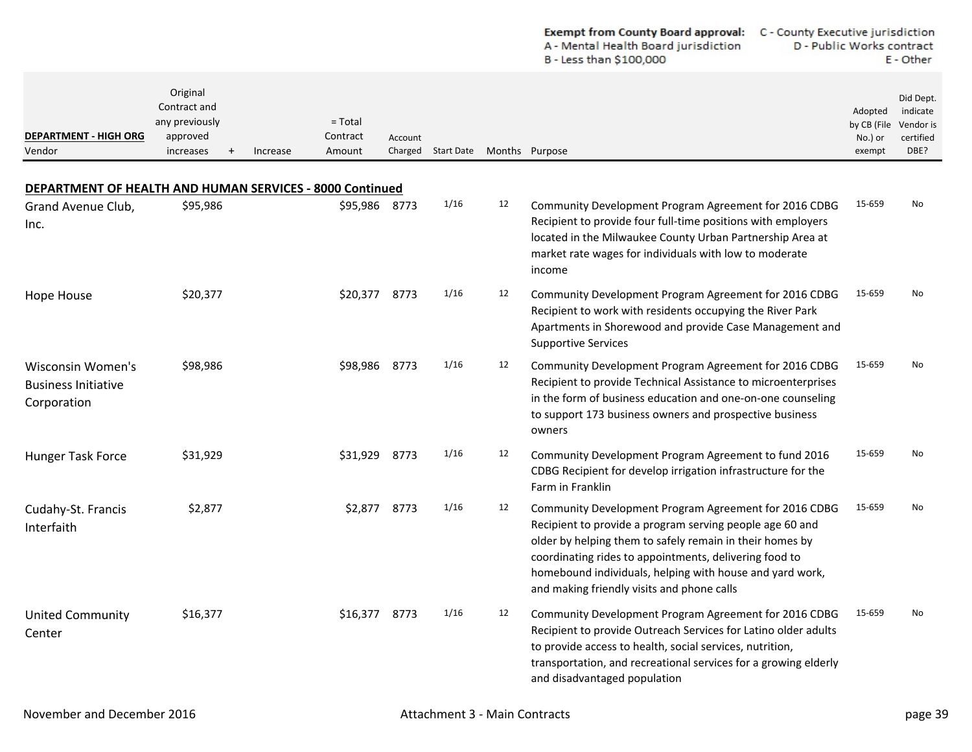|                                                                                        |                                                                     |                                             |                    |                   |    | A - Mental Health Board jurisdiction<br>B - Less than \$100,000                                                                                                                                                                                                                                                                                   | D - Public Works contract                   | E - Other                                               |
|----------------------------------------------------------------------------------------|---------------------------------------------------------------------|---------------------------------------------|--------------------|-------------------|----|---------------------------------------------------------------------------------------------------------------------------------------------------------------------------------------------------------------------------------------------------------------------------------------------------------------------------------------------------|---------------------------------------------|---------------------------------------------------------|
| <b>DEPARTMENT - HIGH ORG</b><br>Vendor                                                 | Original<br>Contract and<br>any previously<br>approved<br>increases | $=$ Total<br>Contract<br>Increase<br>Amount | Account<br>Charged | <b>Start Date</b> |    | Months Purpose                                                                                                                                                                                                                                                                                                                                    | Adopted<br>by CB (File<br>No.) or<br>exempt | Did Dept.<br>indicate<br>Vendor is<br>certified<br>DBE? |
|                                                                                        |                                                                     |                                             |                    |                   |    |                                                                                                                                                                                                                                                                                                                                                   |                                             |                                                         |
| DEPARTMENT OF HEALTH AND HUMAN SERVICES - 8000 Continued<br>Grand Avenue Club,<br>Inc. | \$95,986                                                            | \$95,986 8773                               |                    | 1/16              | 12 | Community Development Program Agreement for 2016 CDBG<br>Recipient to provide four full-time positions with employers<br>located in the Milwaukee County Urban Partnership Area at<br>market rate wages for individuals with low to moderate<br>income                                                                                            | 15-659                                      | No                                                      |
| Hope House                                                                             | \$20,377                                                            | \$20,377 8773                               |                    | 1/16              | 12 | Community Development Program Agreement for 2016 CDBG<br>Recipient to work with residents occupying the River Park<br>Apartments in Shorewood and provide Case Management and<br><b>Supportive Services</b>                                                                                                                                       | 15-659                                      | No                                                      |
| Wisconsin Women's<br><b>Business Initiative</b><br>Corporation                         | \$98,986                                                            | \$98,986                                    | 8773               | 1/16              | 12 | Community Development Program Agreement for 2016 CDBG<br>Recipient to provide Technical Assistance to microenterprises<br>in the form of business education and one-on-one counseling<br>to support 173 business owners and prospective business<br>owners                                                                                        | 15-659                                      | No                                                      |
| Hunger Task Force                                                                      | \$31,929                                                            | \$31,929 8773                               |                    | 1/16              | 12 | Community Development Program Agreement to fund 2016<br>CDBG Recipient for develop irrigation infrastructure for the<br>Farm in Franklin                                                                                                                                                                                                          | 15-659                                      | No                                                      |
| Cudahy-St. Francis<br>Interfaith                                                       | \$2,877                                                             | \$2,877 8773                                |                    | 1/16              | 12 | Community Development Program Agreement for 2016 CDBG<br>Recipient to provide a program serving people age 60 and<br>older by helping them to safely remain in their homes by<br>coordinating rides to appointments, delivering food to<br>homebound individuals, helping with house and yard work,<br>and making friendly visits and phone calls | 15-659                                      | No                                                      |
| <b>United Community</b><br>Center                                                      | \$16,377                                                            | \$16,377 8773                               |                    | 1/16              | 12 | Community Development Program Agreement for 2016 CDBG<br>Recipient to provide Outreach Services for Latino older adults<br>to provide access to health, social services, nutrition,<br>transportation, and recreational services for a growing elderly<br>and disadvantaged population                                                            | 15-659                                      | No                                                      |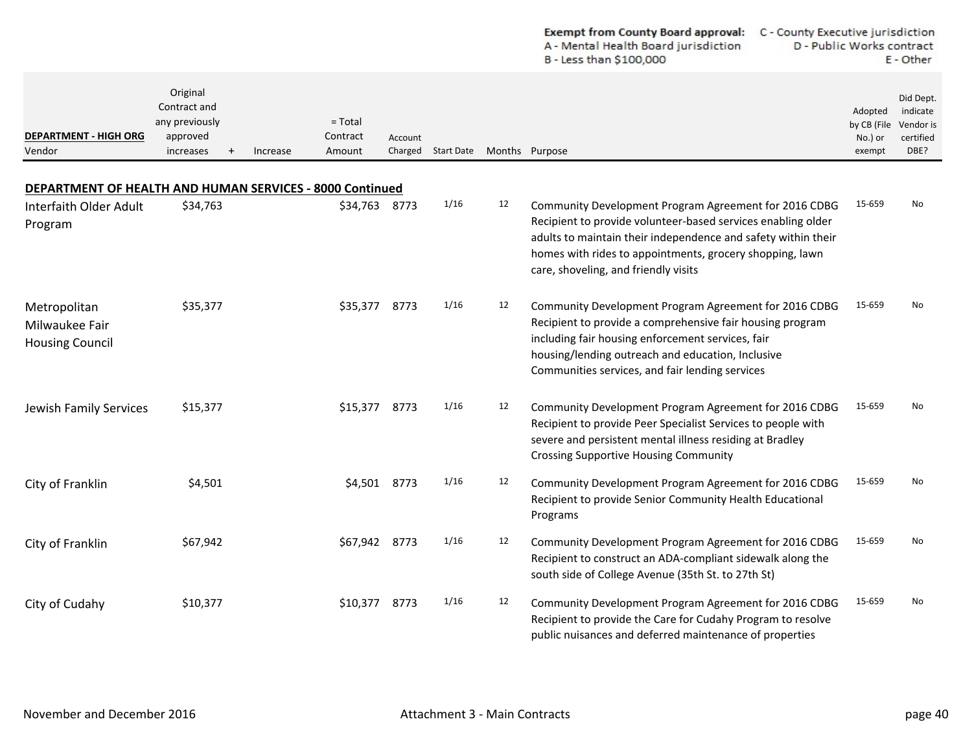|                                                          |                                                                            |                                                                 |         |                    |    | Exempt from County Board approval:<br>C - County Executive jurisdiction<br>A - Mental Health Board jurisdiction<br>B - Less than \$100,000                                                                                                                                                 | D - Public Works contract                   | E - Other                                               |
|----------------------------------------------------------|----------------------------------------------------------------------------|-----------------------------------------------------------------|---------|--------------------|----|--------------------------------------------------------------------------------------------------------------------------------------------------------------------------------------------------------------------------------------------------------------------------------------------|---------------------------------------------|---------------------------------------------------------|
| <b>DEPARTMENT - HIGH ORG</b><br>Vendor                   | Original<br>Contract and<br>any previously<br>approved<br>increases<br>$+$ | $=$ Total<br>Contract<br>Increase<br>Amount                     | Account | Charged Start Date |    | Months Purpose                                                                                                                                                                                                                                                                             | Adopted<br>by CB (File<br>No.) or<br>exempt | Did Dept.<br>indicate<br>Vendor is<br>certified<br>DBE? |
|                                                          |                                                                            | <b>DEPARTMENT OF HEALTH AND HUMAN SERVICES - 8000 Continued</b> |         |                    |    |                                                                                                                                                                                                                                                                                            |                                             |                                                         |
| Interfaith Older Adult<br>Program                        | \$34,763                                                                   | \$34,763 8773                                                   |         | 1/16               | 12 | Community Development Program Agreement for 2016 CDBG<br>Recipient to provide volunteer-based services enabling older<br>adults to maintain their independence and safety within their<br>homes with rides to appointments, grocery shopping, lawn<br>care, shoveling, and friendly visits | 15-659                                      | No                                                      |
| Metropolitan<br>Milwaukee Fair<br><b>Housing Council</b> | \$35,377                                                                   | \$35,377                                                        | 8773    | 1/16               | 12 | Community Development Program Agreement for 2016 CDBG<br>Recipient to provide a comprehensive fair housing program<br>including fair housing enforcement services, fair<br>housing/lending outreach and education, Inclusive<br>Communities services, and fair lending services            | 15-659                                      | No                                                      |
| Jewish Family Services                                   | \$15,377                                                                   | \$15,377                                                        | 8773    | 1/16               | 12 | Community Development Program Agreement for 2016 CDBG<br>Recipient to provide Peer Specialist Services to people with<br>severe and persistent mental illness residing at Bradley<br><b>Crossing Supportive Housing Community</b>                                                          | 15-659                                      | No                                                      |
| City of Franklin                                         | \$4,501                                                                    | \$4,501 8773                                                    |         | 1/16               | 12 | Community Development Program Agreement for 2016 CDBG<br>Recipient to provide Senior Community Health Educational<br>Programs                                                                                                                                                              | 15-659                                      | No                                                      |
| City of Franklin                                         | \$67,942                                                                   | \$67,942                                                        | 8773    | 1/16               | 12 | Community Development Program Agreement for 2016 CDBG<br>Recipient to construct an ADA-compliant sidewalk along the<br>south side of College Avenue (35th St. to 27th St)                                                                                                                  | 15-659                                      | No                                                      |
| City of Cudahy                                           | \$10,377                                                                   | \$10,377                                                        | 8773    | 1/16               | 12 | Community Development Program Agreement for 2016 CDBG<br>Recipient to provide the Care for Cudahy Program to resolve<br>public nuisances and deferred maintenance of properties                                                                                                            | 15-659                                      | No                                                      |

 $\overline{\phantom{0}}$  $\overline{a}$   $\mathbf{r}$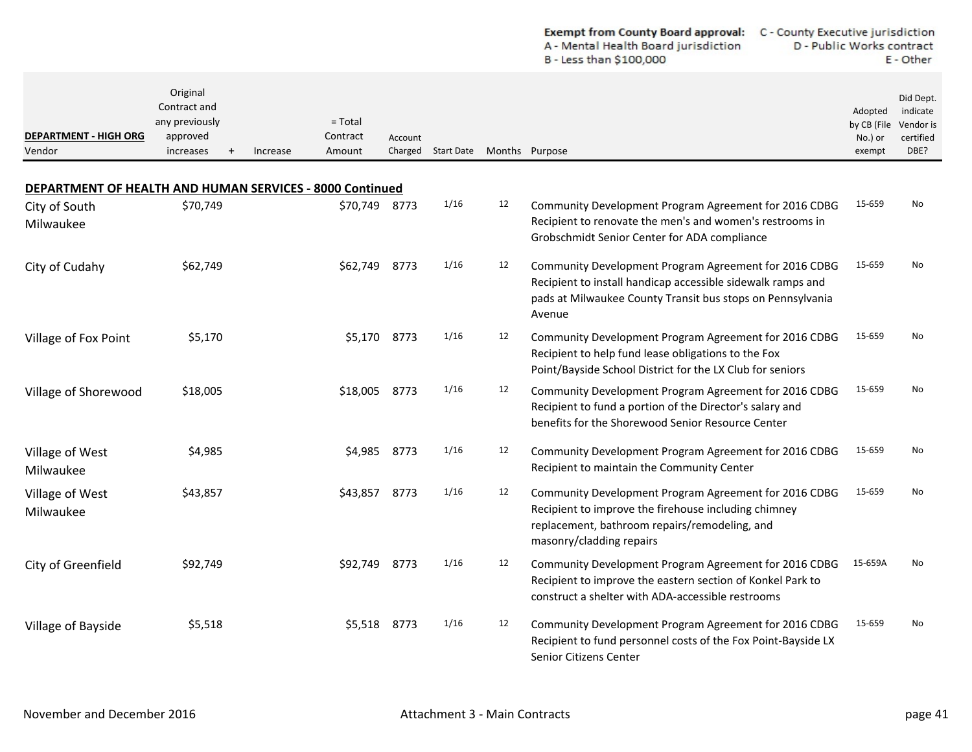| <b>Exempt from County Board approval:</b> | C - County Executive jurisdiction |
|-------------------------------------------|-----------------------------------|
| A - Mental Health Board jurisdiction      | D - Public Works contract         |
| B - Less than \$100,000                   | E - Other                         |

| <b>DEPARTMENT - HIGH ORG</b><br>Vendor                   | Original<br>Contract and<br>any previously<br>approved<br>increases | Increase | $=$ Total<br>Contract<br>Amount | Account<br>Charged | Start Date |    | Months Purpose                                                                                                                                                                               | Adopted<br>by CB (File<br>No.) or<br>exempt | Did Dept.<br>indicate<br>Vendor is<br>certified<br>DBE? |
|----------------------------------------------------------|---------------------------------------------------------------------|----------|---------------------------------|--------------------|------------|----|----------------------------------------------------------------------------------------------------------------------------------------------------------------------------------------------|---------------------------------------------|---------------------------------------------------------|
| DEPARTMENT OF HEALTH AND HUMAN SERVICES - 8000 Continued |                                                                     |          |                                 |                    |            |    |                                                                                                                                                                                              |                                             |                                                         |
| City of South<br>Milwaukee                               | \$70,749                                                            |          | \$70,749                        | 8773               | 1/16       | 12 | Community Development Program Agreement for 2016 CDBG<br>Recipient to renovate the men's and women's restrooms in<br>Grobschmidt Senior Center for ADA compliance                            | 15-659                                      | No                                                      |
| City of Cudahy                                           | \$62,749                                                            |          | \$62,749                        | 8773               | 1/16       | 12 | Community Development Program Agreement for 2016 CDBG<br>Recipient to install handicap accessible sidewalk ramps and<br>pads at Milwaukee County Transit bus stops on Pennsylvania<br>Avenue | 15-659                                      | No                                                      |
| Village of Fox Point                                     | \$5,170                                                             |          | \$5,170                         | 8773               | 1/16       | 12 | Community Development Program Agreement for 2016 CDBG<br>Recipient to help fund lease obligations to the Fox<br>Point/Bayside School District for the LX Club for seniors                    | 15-659                                      | No                                                      |
| Village of Shorewood                                     | \$18,005                                                            |          | \$18,005                        | 8773               | 1/16       | 12 | Community Development Program Agreement for 2016 CDBG<br>Recipient to fund a portion of the Director's salary and<br>benefits for the Shorewood Senior Resource Center                       | 15-659                                      | No                                                      |
| Village of West<br>Milwaukee                             | \$4,985                                                             |          | \$4,985                         | 8773               | 1/16       | 12 | Community Development Program Agreement for 2016 CDBG<br>Recipient to maintain the Community Center                                                                                          | 15-659                                      | No                                                      |
| Village of West<br>Milwaukee                             | \$43,857                                                            |          | \$43,857                        | 8773               | 1/16       | 12 | Community Development Program Agreement for 2016 CDBG<br>Recipient to improve the firehouse including chimney<br>replacement, bathroom repairs/remodeling, and<br>masonry/cladding repairs   | 15-659                                      | No                                                      |
| City of Greenfield                                       | \$92,749                                                            |          | \$92,749                        | 8773               | 1/16       | 12 | Community Development Program Agreement for 2016 CDBG<br>Recipient to improve the eastern section of Konkel Park to<br>construct a shelter with ADA-accessible restrooms                     | 15-659A                                     | No                                                      |
| Village of Bayside                                       | \$5,518                                                             |          | \$5,518                         | 8773               | 1/16       | 12 | Community Development Program Agreement for 2016 CDBG<br>Recipient to fund personnel costs of the Fox Point-Bayside LX<br>Senior Citizens Center                                             | 15-659                                      | No                                                      |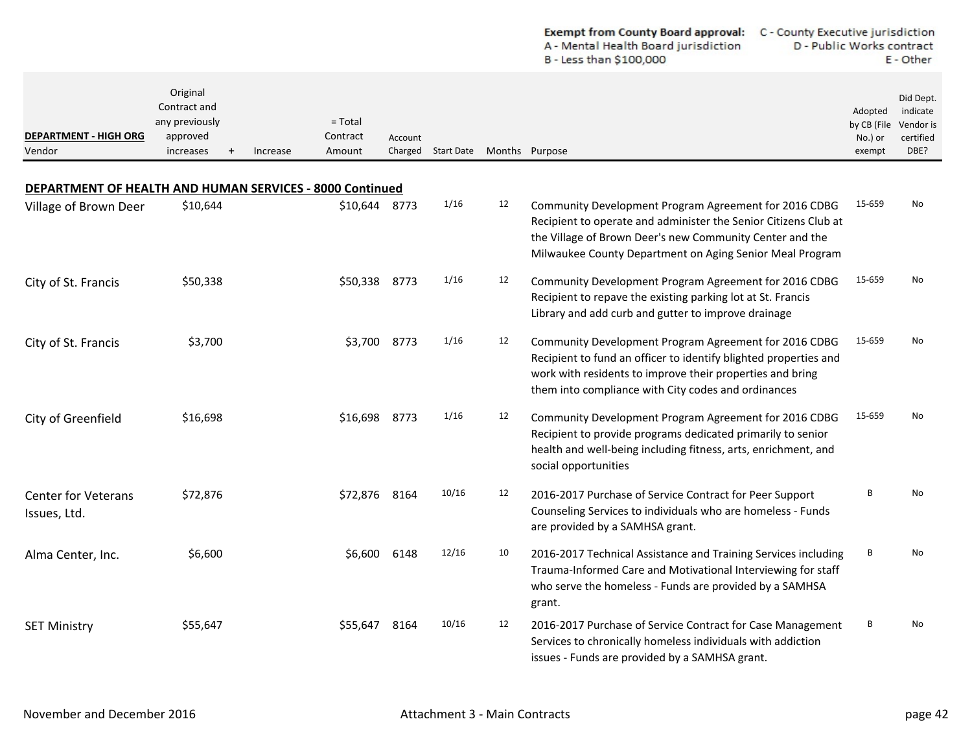|                                                          |                                                                            |                                             |         |                    |    | A - Mental Health Board jurisdiction<br>B - Less than \$100,000                                                                                                                                                                                  | D - Public Works contract                   | E - Other                                               |
|----------------------------------------------------------|----------------------------------------------------------------------------|---------------------------------------------|---------|--------------------|----|--------------------------------------------------------------------------------------------------------------------------------------------------------------------------------------------------------------------------------------------------|---------------------------------------------|---------------------------------------------------------|
| <b>DEPARTMENT - HIGH ORG</b><br>Vendor                   | Original<br>Contract and<br>any previously<br>approved<br>increases<br>$+$ | $=$ Total<br>Contract<br>Amount<br>Increase | Account | Charged Start Date |    | Months Purpose                                                                                                                                                                                                                                   | Adopted<br>by CB (File<br>No.) or<br>exempt | Did Dept.<br>indicate<br>Vendor is<br>certified<br>DBE? |
| DEPARTMENT OF HEALTH AND HUMAN SERVICES - 8000 Continued |                                                                            |                                             |         |                    |    |                                                                                                                                                                                                                                                  |                                             |                                                         |
| Village of Brown Deer                                    | \$10,644                                                                   | \$10,644 8773                               |         | 1/16               | 12 | Community Development Program Agreement for 2016 CDBG<br>Recipient to operate and administer the Senior Citizens Club at<br>the Village of Brown Deer's new Community Center and the<br>Milwaukee County Department on Aging Senior Meal Program | 15-659                                      | No                                                      |
| City of St. Francis                                      | \$50,338                                                                   | \$50,338                                    | 8773    | 1/16               | 12 | Community Development Program Agreement for 2016 CDBG<br>Recipient to repave the existing parking lot at St. Francis<br>Library and add curb and gutter to improve drainage                                                                      | 15-659                                      | No                                                      |
| City of St. Francis                                      | \$3,700                                                                    | \$3,700                                     | 8773    | 1/16               | 12 | Community Development Program Agreement for 2016 CDBG<br>Recipient to fund an officer to identify blighted properties and<br>work with residents to improve their properties and bring<br>them into compliance with City codes and ordinances    | 15-659                                      | No                                                      |
| City of Greenfield                                       | \$16,698                                                                   | \$16,698                                    | 8773    | 1/16               | 12 | Community Development Program Agreement for 2016 CDBG<br>Recipient to provide programs dedicated primarily to senior<br>health and well-being including fitness, arts, enrichment, and<br>social opportunities                                   | 15-659                                      | No                                                      |
| <b>Center for Veterans</b><br>Issues, Ltd.               | \$72,876                                                                   | \$72,876                                    | 8164    | 10/16              | 12 | 2016-2017 Purchase of Service Contract for Peer Support<br>Counseling Services to individuals who are homeless - Funds<br>are provided by a SAMHSA grant.                                                                                        | B                                           | No                                                      |
| Alma Center, Inc.                                        | \$6,600                                                                    | \$6,600                                     | 6148    | 12/16              | 10 | 2016-2017 Technical Assistance and Training Services including<br>Trauma-Informed Care and Motivational Interviewing for staff<br>who serve the homeless - Funds are provided by a SAMHSA<br>grant.                                              | В                                           | No                                                      |
| <b>SET Ministry</b>                                      | \$55,647                                                                   | \$55,647                                    | 8164    | 10/16              | 12 | 2016-2017 Purchase of Service Contract for Case Management<br>Services to chronically homeless individuals with addiction<br>issues - Funds are provided by a SAMHSA grant.                                                                      | B                                           | No                                                      |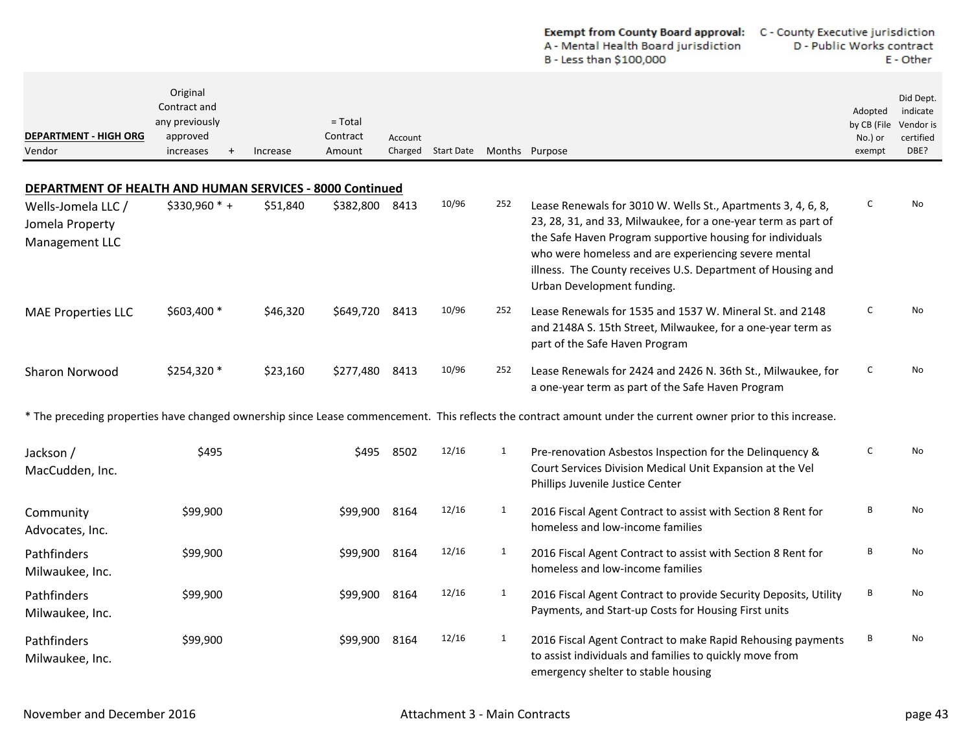|                                                                 |                                                                                  |          |                                 |                    |                   |              | <b>Exempt from County Board approval:</b><br>A - Mental Health Board jurisdiction<br>B - Less than \$100,000                                                                                                                                                                                                                                    | C - County Executive jurisdiction<br>D - Public Works contract<br>E - Other |                                                         |  |
|-----------------------------------------------------------------|----------------------------------------------------------------------------------|----------|---------------------------------|--------------------|-------------------|--------------|-------------------------------------------------------------------------------------------------------------------------------------------------------------------------------------------------------------------------------------------------------------------------------------------------------------------------------------------------|-----------------------------------------------------------------------------|---------------------------------------------------------|--|
| <b>DEPARTMENT - HIGH ORG</b><br>Vendor                          | Original<br>Contract and<br>any previously<br>approved<br>increases<br>$\ddot{}$ | Increase | $=$ Total<br>Contract<br>Amount | Account<br>Charged | <b>Start Date</b> |              | Months Purpose                                                                                                                                                                                                                                                                                                                                  | Adopted<br>by CB (File<br>No.) or<br>exempt                                 | Did Dept.<br>indicate<br>Vendor is<br>certified<br>DBE? |  |
| <b>DEPARTMENT OF HEALTH AND HUMAN SERVICES - 8000 Continued</b> |                                                                                  |          |                                 |                    |                   |              |                                                                                                                                                                                                                                                                                                                                                 |                                                                             |                                                         |  |
| Wells-Jomela LLC /<br>Jomela Property<br>Management LLC         | \$330,960 * +                                                                    | \$51,840 | \$382,800                       | 8413               | 10/96             | 252          | Lease Renewals for 3010 W. Wells St., Apartments 3, 4, 6, 8,<br>23, 28, 31, and 33, Milwaukee, for a one-year term as part of<br>the Safe Haven Program supportive housing for individuals<br>who were homeless and are experiencing severe mental<br>illness. The County receives U.S. Department of Housing and<br>Urban Development funding. | c                                                                           | No                                                      |  |
| <b>MAE Properties LLC</b>                                       | \$603,400 *                                                                      | \$46,320 | \$649,720                       | 8413               | 10/96             | 252          | Lease Renewals for 1535 and 1537 W. Mineral St. and 2148<br>and 2148A S. 15th Street, Milwaukee, for a one-year term as<br>part of the Safe Haven Program                                                                                                                                                                                       | c                                                                           | No                                                      |  |
| Sharon Norwood                                                  | \$254,320 *                                                                      | \$23,160 | \$277,480                       | 8413               | 10/96             | 252          | Lease Renewals for 2424 and 2426 N. 36th St., Milwaukee, for<br>a one-year term as part of the Safe Haven Program                                                                                                                                                                                                                               | c                                                                           | No                                                      |  |
|                                                                 |                                                                                  |          |                                 |                    |                   |              | * The preceding properties have changed ownership since Lease commencement. This reflects the contract amount under the current owner prior to this increase.                                                                                                                                                                                   |                                                                             |                                                         |  |
| Jackson /<br>MacCudden, Inc.                                    | \$495                                                                            |          | \$495                           | 8502               | 12/16             | 1            | Pre-renovation Asbestos Inspection for the Delinquency &<br>Court Services Division Medical Unit Expansion at the Vel<br>Phillips Juvenile Justice Center                                                                                                                                                                                       | С                                                                           | No                                                      |  |
| Community<br>Advocates, Inc.                                    | \$99,900                                                                         |          | \$99,900                        | 8164               | 12/16             | $\mathbf{1}$ | 2016 Fiscal Agent Contract to assist with Section 8 Rent for<br>homeless and low-income families                                                                                                                                                                                                                                                | В                                                                           | No                                                      |  |
| Pathfinders<br>Milwaukee, Inc.                                  | \$99,900                                                                         |          | \$99,900                        | 8164               | 12/16             | 1            | 2016 Fiscal Agent Contract to assist with Section 8 Rent for<br>homeless and low-income families                                                                                                                                                                                                                                                | В                                                                           | No                                                      |  |
| Pathfinders<br>Milwaukee, Inc.                                  | \$99,900                                                                         |          | \$99,900 8164                   |                    | 12/16             | $\mathbf{1}$ | 2016 Fiscal Agent Contract to provide Security Deposits, Utility<br>Payments, and Start-up Costs for Housing First units                                                                                                                                                                                                                        | В                                                                           | No                                                      |  |
| Pathfinders<br>Milwaukee, Inc.                                  | \$99,900                                                                         |          | \$99,900                        | 8164               | 12/16             | $\mathbf{1}$ | 2016 Fiscal Agent Contract to make Rapid Rehousing payments<br>to assist individuals and families to quickly move from<br>emergency shelter to stable housing                                                                                                                                                                                   | В                                                                           | No                                                      |  |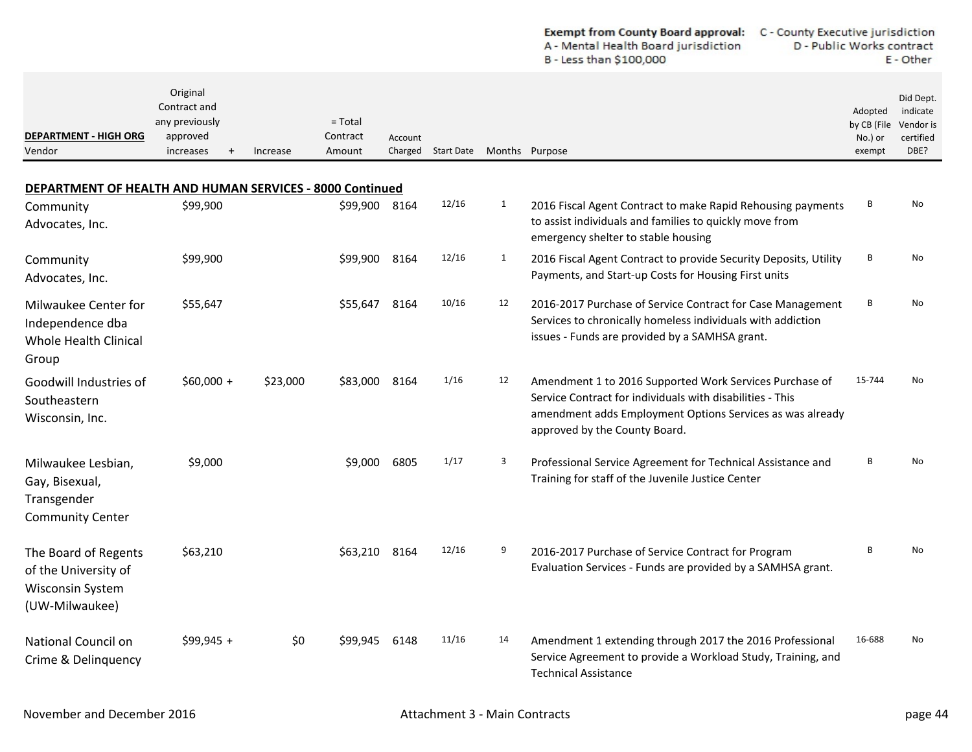| <b>Exempt from County Board approval:</b> | C - County Executive jurisdiction |
|-------------------------------------------|-----------------------------------|
| A - Mental Health Board jurisdiction      | D - Public Works contract         |
| B - Less than \$100,000                   | E - Other                         |

| <b>DEPARTMENT - HIGH ORG</b><br>Vendor                                                    | Original<br>Contract and<br>any previously<br>approved<br>increases | Increase | $=$ Total<br>Contract<br>Amount | Account | Charged Start Date Months Purpose |              |                                                                                                                                                                                                                    | Adopted<br>by CB (File<br>No.) or<br>exempt | Did Dept.<br>indicate<br>Vendor is<br>certified<br>DBE? |
|-------------------------------------------------------------------------------------------|---------------------------------------------------------------------|----------|---------------------------------|---------|-----------------------------------|--------------|--------------------------------------------------------------------------------------------------------------------------------------------------------------------------------------------------------------------|---------------------------------------------|---------------------------------------------------------|
| <b>DEPARTMENT OF HEALTH AND HUMAN SERVICES - 8000 Continued</b>                           |                                                                     |          |                                 |         |                                   |              |                                                                                                                                                                                                                    |                                             |                                                         |
| Community<br>Advocates, Inc.                                                              | \$99,900                                                            |          | \$99,900 8164                   |         | 12/16                             | 1            | 2016 Fiscal Agent Contract to make Rapid Rehousing payments<br>to assist individuals and families to quickly move from<br>emergency shelter to stable housing                                                      | В                                           | No                                                      |
| Community<br>Advocates, Inc.                                                              | \$99,900                                                            |          | \$99,900                        | 8164    | 12/16                             | $\mathbf{1}$ | 2016 Fiscal Agent Contract to provide Security Deposits, Utility<br>Payments, and Start-up Costs for Housing First units                                                                                           | В                                           | No                                                      |
| Milwaukee Center for<br>Independence dba<br><b>Whole Health Clinical</b><br>Group         | \$55,647                                                            |          | \$55,647                        | 8164    | 10/16                             | 12           | 2016-2017 Purchase of Service Contract for Case Management<br>Services to chronically homeless individuals with addiction<br>issues - Funds are provided by a SAMHSA grant.                                        | B                                           | No                                                      |
| Goodwill Industries of<br>Southeastern<br>Wisconsin, Inc.                                 | $$60,000 +$                                                         | \$23,000 | \$83,000                        | 8164    | 1/16                              | 12           | Amendment 1 to 2016 Supported Work Services Purchase of<br>Service Contract for individuals with disabilities - This<br>amendment adds Employment Options Services as was already<br>approved by the County Board. | 15-744                                      | No                                                      |
| Milwaukee Lesbian,<br>Gay, Bisexual,<br>Transgender<br><b>Community Center</b>            | \$9,000                                                             |          | \$9.000                         | 6805    | 1/17                              | 3            | Professional Service Agreement for Technical Assistance and<br>Training for staff of the Juvenile Justice Center                                                                                                   | B                                           | <b>No</b>                                               |
| The Board of Regents<br>of the University of<br><b>Wisconsin System</b><br>(UW-Milwaukee) | \$63,210                                                            |          | \$63,210                        | 8164    | 12/16                             | 9            | 2016-2017 Purchase of Service Contract for Program<br>Evaluation Services - Funds are provided by a SAMHSA grant.                                                                                                  | B                                           | No                                                      |
| National Council on<br>Crime & Delinquency                                                | $$99,945 +$                                                         | \$0      | \$99,945                        | 6148    | 11/16                             | 14           | Amendment 1 extending through 2017 the 2016 Professional<br>Service Agreement to provide a Workload Study, Training, and<br><b>Technical Assistance</b>                                                            | 16-688                                      | No                                                      |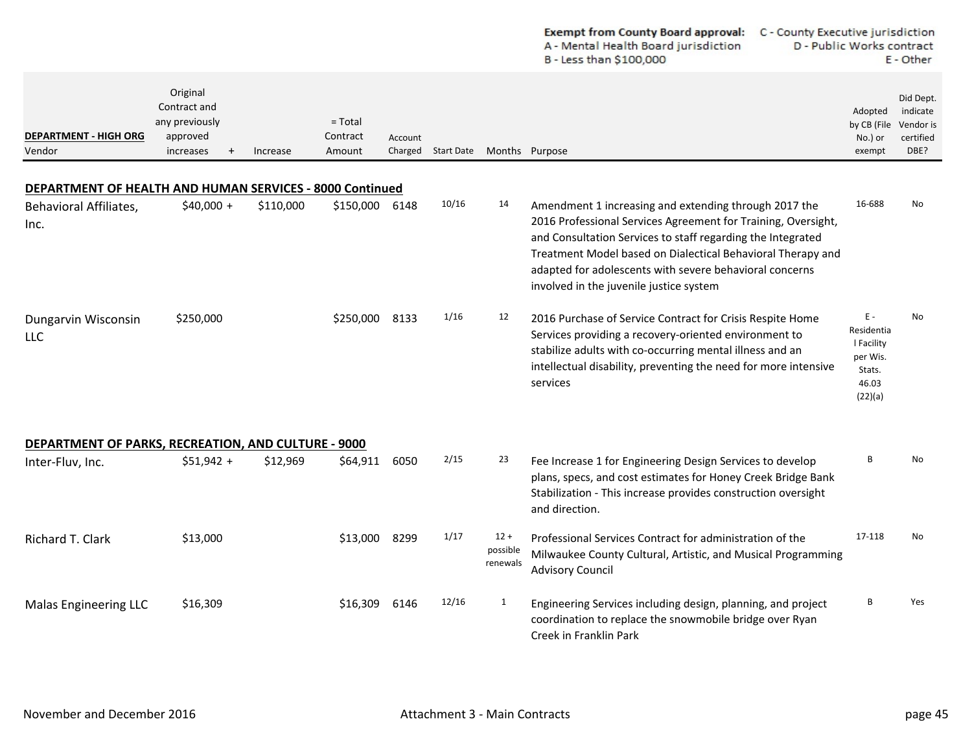|                                                                 |                                                                     |           |                                 |                    |                   |                                | <b>Exempt from County Board approval:</b><br>C - County Executive jurisdiction<br>A - Mental Health Board jurisdiction<br>B - Less than \$100,000                                                                                                                                                                                                          | D - Public Works contract                                                   | E - Other                                               |
|-----------------------------------------------------------------|---------------------------------------------------------------------|-----------|---------------------------------|--------------------|-------------------|--------------------------------|------------------------------------------------------------------------------------------------------------------------------------------------------------------------------------------------------------------------------------------------------------------------------------------------------------------------------------------------------------|-----------------------------------------------------------------------------|---------------------------------------------------------|
| <b>DEPARTMENT - HIGH ORG</b><br>Vendor                          | Original<br>Contract and<br>any previously<br>approved<br>increases | Increase  | $=$ Total<br>Contract<br>Amount | Account<br>Charged | <b>Start Date</b> |                                | Months Purpose                                                                                                                                                                                                                                                                                                                                             | Adopted<br>by CB (File<br>No.) or<br>exempt                                 | Did Dept.<br>indicate<br>Vendor is<br>certified<br>DBE? |
| <b>DEPARTMENT OF HEALTH AND HUMAN SERVICES - 8000 Continued</b> |                                                                     |           |                                 |                    |                   |                                |                                                                                                                                                                                                                                                                                                                                                            |                                                                             |                                                         |
| <b>Behavioral Affiliates,</b><br>Inc.                           | $$40,000 +$                                                         | \$110,000 | \$150,000                       | 6148               | 10/16             | 14                             | Amendment 1 increasing and extending through 2017 the<br>2016 Professional Services Agreement for Training, Oversight,<br>and Consultation Services to staff regarding the Integrated<br>Treatment Model based on Dialectical Behavioral Therapy and<br>adapted for adolescents with severe behavioral concerns<br>involved in the juvenile justice system | 16-688                                                                      | No.                                                     |
| Dungarvin Wisconsin<br><b>LLC</b>                               | \$250,000                                                           |           | \$250,000 8133                  |                    | 1/16              | 12                             | 2016 Purchase of Service Contract for Crisis Respite Home<br>Services providing a recovery-oriented environment to<br>stabilize adults with co-occurring mental illness and an<br>intellectual disability, preventing the need for more intensive<br>services                                                                                              | $E -$<br>Residentia<br>I Facility<br>per Wis.<br>Stats.<br>46.03<br>(22)(a) | No                                                      |
| DEPARTMENT OF PARKS, RECREATION, AND CULTURE - 9000             |                                                                     |           |                                 |                    |                   |                                |                                                                                                                                                                                                                                                                                                                                                            |                                                                             |                                                         |
| Inter-Fluv, Inc.                                                | $$51,942 +$                                                         | \$12,969  | \$64,911                        | 6050               | 2/15              | 23                             | Fee Increase 1 for Engineering Design Services to develop<br>plans, specs, and cost estimates for Honey Creek Bridge Bank<br>Stabilization - This increase provides construction oversight<br>and direction.                                                                                                                                               | В                                                                           | No                                                      |
| Richard T. Clark                                                | \$13,000                                                            |           | \$13,000                        | 8299               | 1/17              | $12 +$<br>possible<br>renewals | Professional Services Contract for administration of the<br>Milwaukee County Cultural, Artistic, and Musical Programming<br><b>Advisory Council</b>                                                                                                                                                                                                        | 17-118                                                                      | No.                                                     |
| <b>Malas Engineering LLC</b>                                    | \$16,309                                                            |           | \$16,309                        | 6146               | 12/16             | 1                              | Engineering Services including design, planning, and project<br>coordination to replace the snowmobile bridge over Ryan<br>Creek in Franklin Park                                                                                                                                                                                                          | В                                                                           | Yes                                                     |